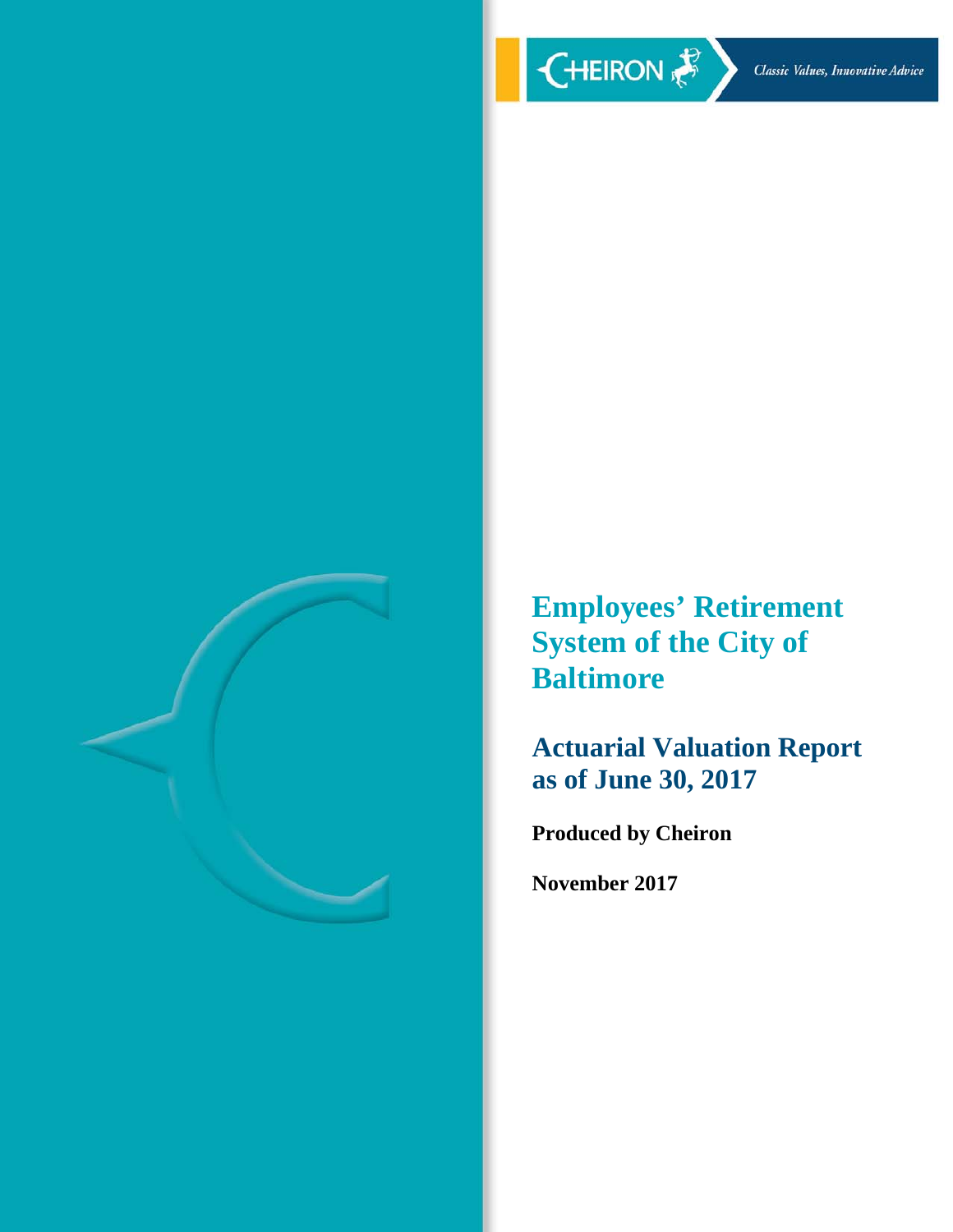

**Employees' Retirement System of the City of Baltimore** 

**Actuarial Valuation Report as of June 30, 2017** 

**Produced by Cheiron** 

**November 2017**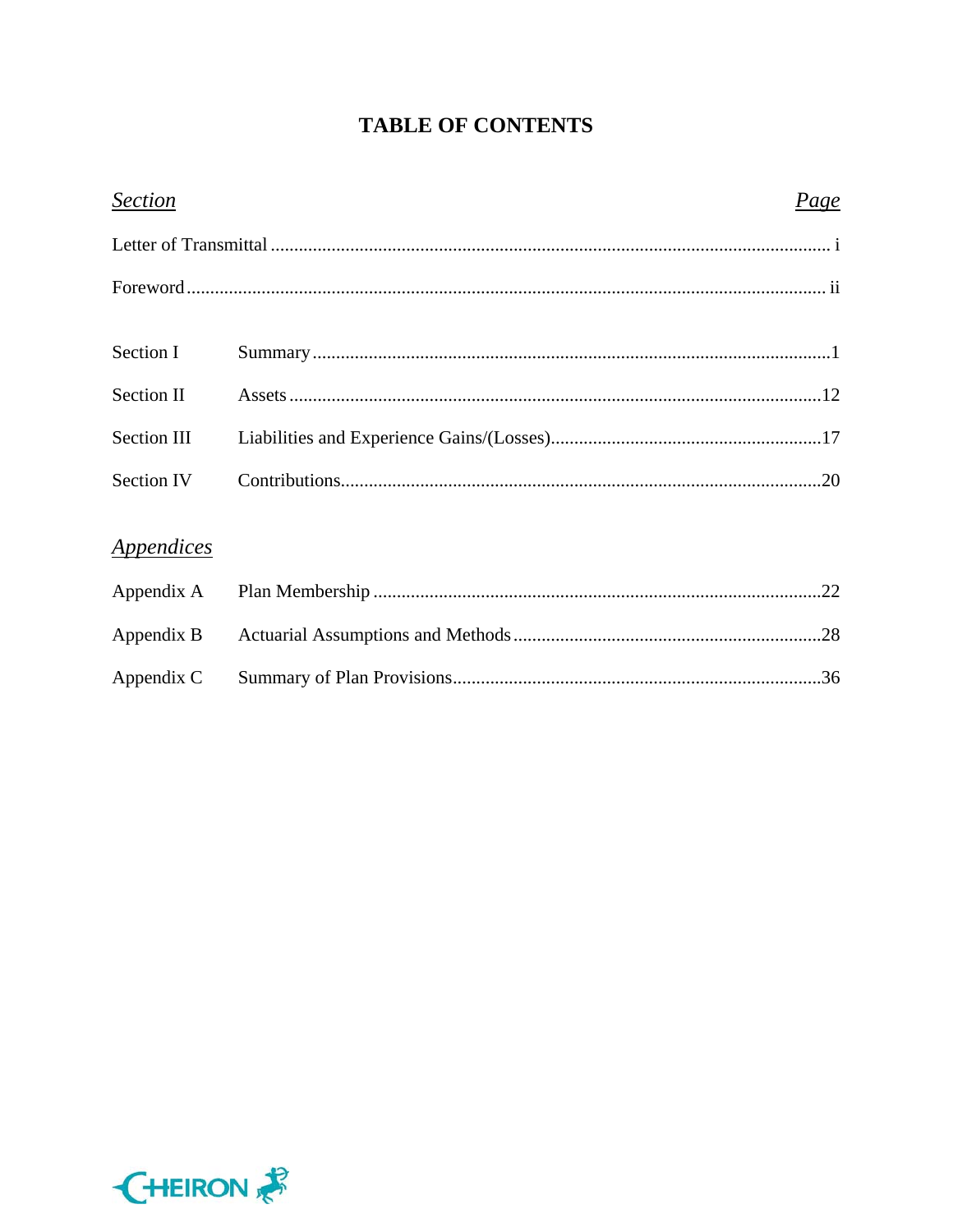## **TABLE OF CONTENTS**

| <b>Section</b> | Page |  |
|----------------|------|--|
|                |      |  |
|                |      |  |
|                |      |  |
| Section I      |      |  |
| Section II     |      |  |
| Section III    |      |  |
| Section IV     |      |  |
|                |      |  |
| Appendices     |      |  |
| Appendix A     |      |  |
| Appendix B     |      |  |



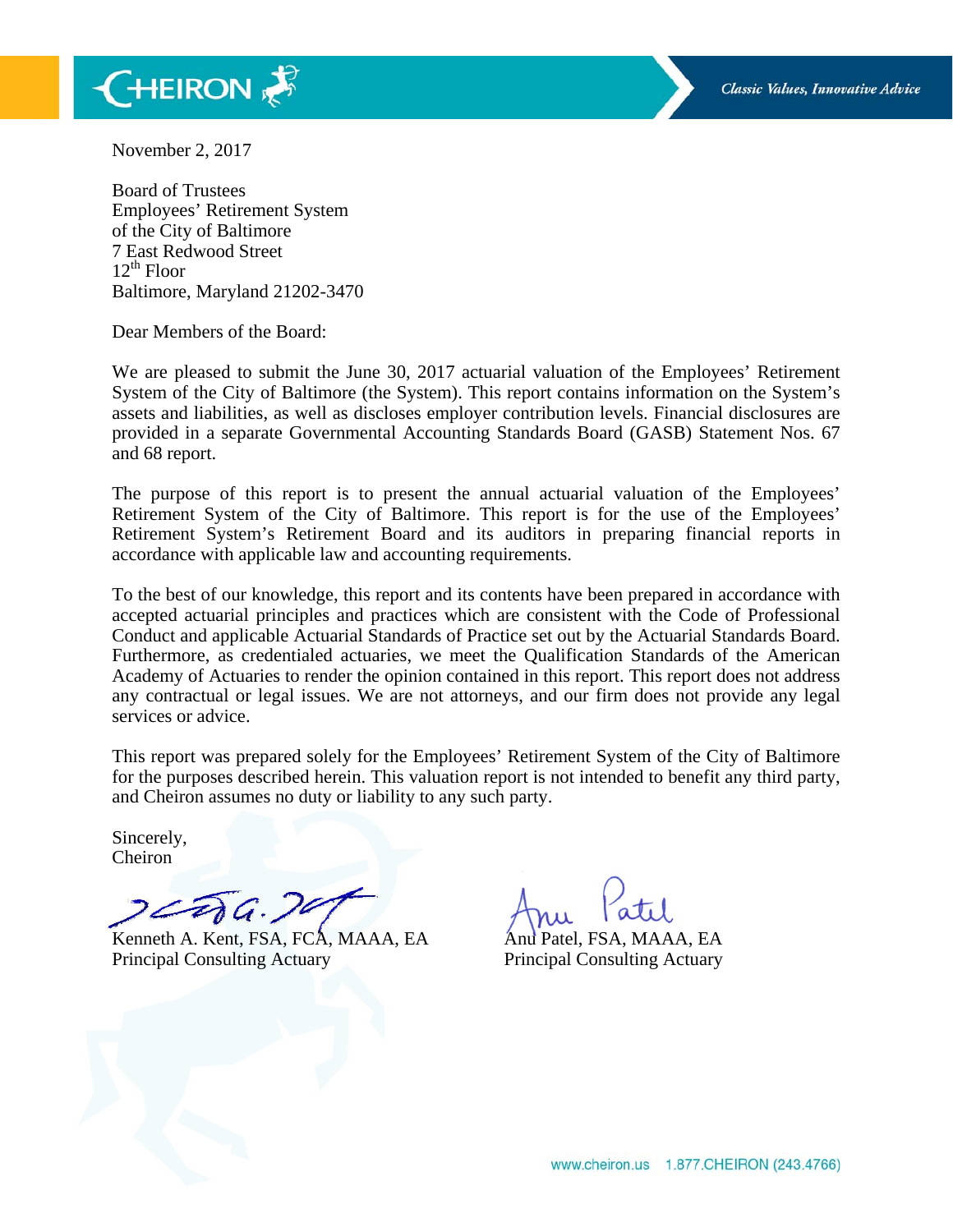

November 2, 2017

Board of Trustees Employees' Retirement System of the City of Baltimore 7 East Redwood Street  $12^{th}$  Floor Baltimore, Maryland 21202-3470

Dear Members of the Board:

We are pleased to submit the June 30, 2017 actuarial valuation of the Employees' Retirement System of the City of Baltimore (the System). This report contains information on the System's assets and liabilities, as well as discloses employer contribution levels. Financial disclosures are provided in a separate Governmental Accounting Standards Board (GASB) Statement Nos. 67 and 68 report.

The purpose of this report is to present the annual actuarial valuation of the Employees' Retirement System of the City of Baltimore. This report is for the use of the Employees' Retirement System's Retirement Board and its auditors in preparing financial reports in accordance with applicable law and accounting requirements.

To the best of our knowledge, this report and its contents have been prepared in accordance with accepted actuarial principles and practices which are consistent with the Code of Professional Conduct and applicable Actuarial Standards of Practice set out by the Actuarial Standards Board. Furthermore, as credentialed actuaries, we meet the Qualification Standards of the American Academy of Actuaries to render the opinion contained in this report. This report does not address any contractual or legal issues. We are not attorneys, and our firm does not provide any legal services or advice.

This report was prepared solely for the Employees' Retirement System of the City of Baltimore for the purposes described herein. This valuation report is not intended to benefit any third party, and Cheiron assumes no duty or liability to any such party.

Sincerely, Cheiron

Da. 29

Kenneth A. Kent, FSA, FCA, MAAA, EA Anu Patel, FSA, MAAA, EA Principal Consulting Actuary Principal Consulting Actuary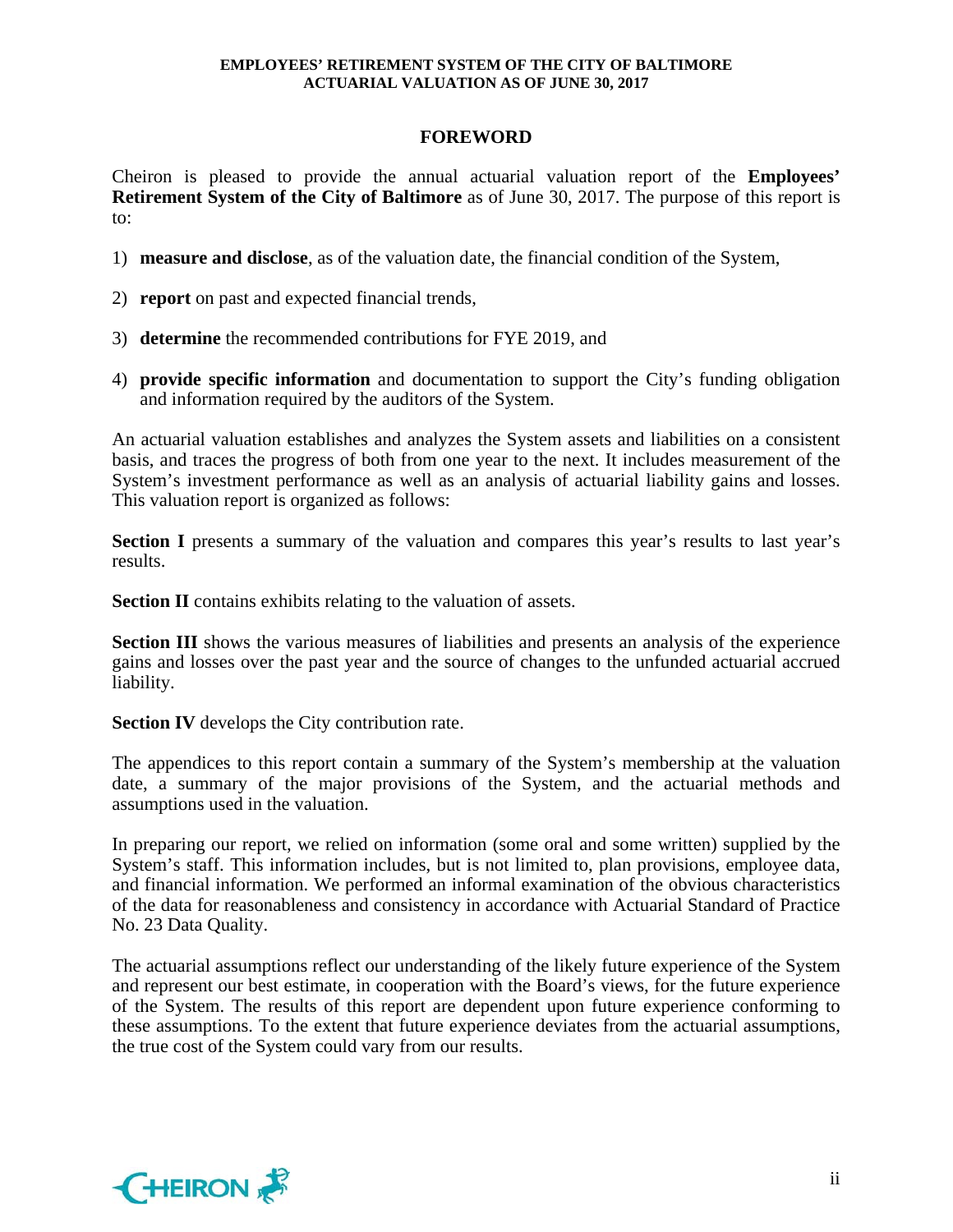## **FOREWORD**

Cheiron is pleased to provide the annual actuarial valuation report of the **Employees' Retirement System of the City of Baltimore** as of June 30, 2017. The purpose of this report is to:

- 1) **measure and disclose**, as of the valuation date, the financial condition of the System,
- 2) **report** on past and expected financial trends,
- 3) **determine** the recommended contributions for FYE 2019, and
- 4) **provide specific information** and documentation to support the City's funding obligation and information required by the auditors of the System.

An actuarial valuation establishes and analyzes the System assets and liabilities on a consistent basis, and traces the progress of both from one year to the next. It includes measurement of the System's investment performance as well as an analysis of actuarial liability gains and losses. This valuation report is organized as follows:

**Section I** presents a summary of the valuation and compares this year's results to last year's results.

**Section II** contains exhibits relating to the valuation of assets.

**Section III** shows the various measures of liabilities and presents an analysis of the experience gains and losses over the past year and the source of changes to the unfunded actuarial accrued liability.

**Section IV** develops the City contribution rate.

The appendices to this report contain a summary of the System's membership at the valuation date, a summary of the major provisions of the System, and the actuarial methods and assumptions used in the valuation.

In preparing our report, we relied on information (some oral and some written) supplied by the System's staff. This information includes, but is not limited to, plan provisions, employee data, and financial information. We performed an informal examination of the obvious characteristics of the data for reasonableness and consistency in accordance with Actuarial Standard of Practice No. 23 Data Quality.

The actuarial assumptions reflect our understanding of the likely future experience of the System and represent our best estimate, in cooperation with the Board's views, for the future experience of the System. The results of this report are dependent upon future experience conforming to these assumptions. To the extent that future experience deviates from the actuarial assumptions, the true cost of the System could vary from our results.

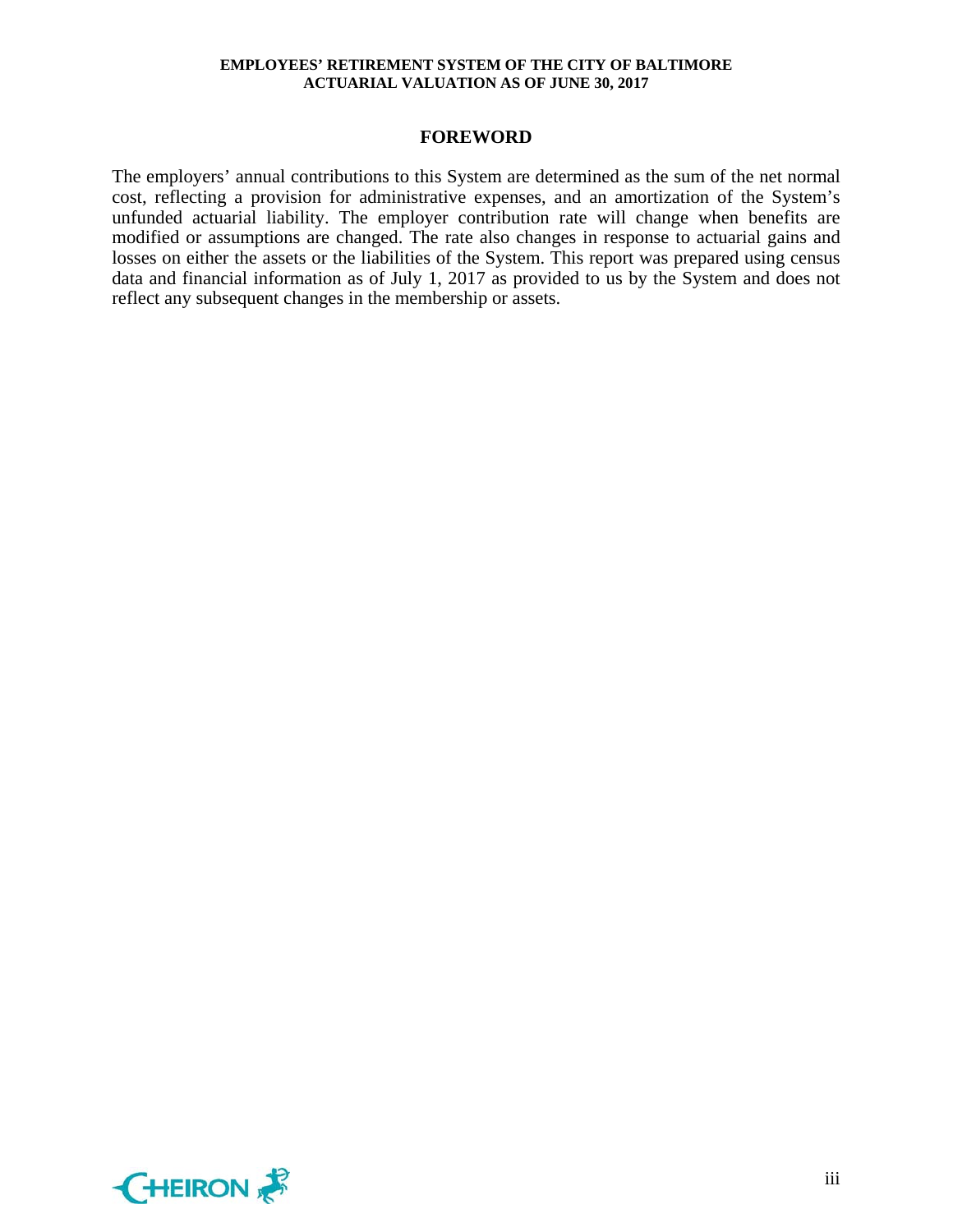#### **FOREWORD**

The employers' annual contributions to this System are determined as the sum of the net normal cost, reflecting a provision for administrative expenses, and an amortization of the System's unfunded actuarial liability. The employer contribution rate will change when benefits are modified or assumptions are changed. The rate also changes in response to actuarial gains and losses on either the assets or the liabilities of the System. This report was prepared using census data and financial information as of July 1, 2017 as provided to us by the System and does not reflect any subsequent changes in the membership or assets.

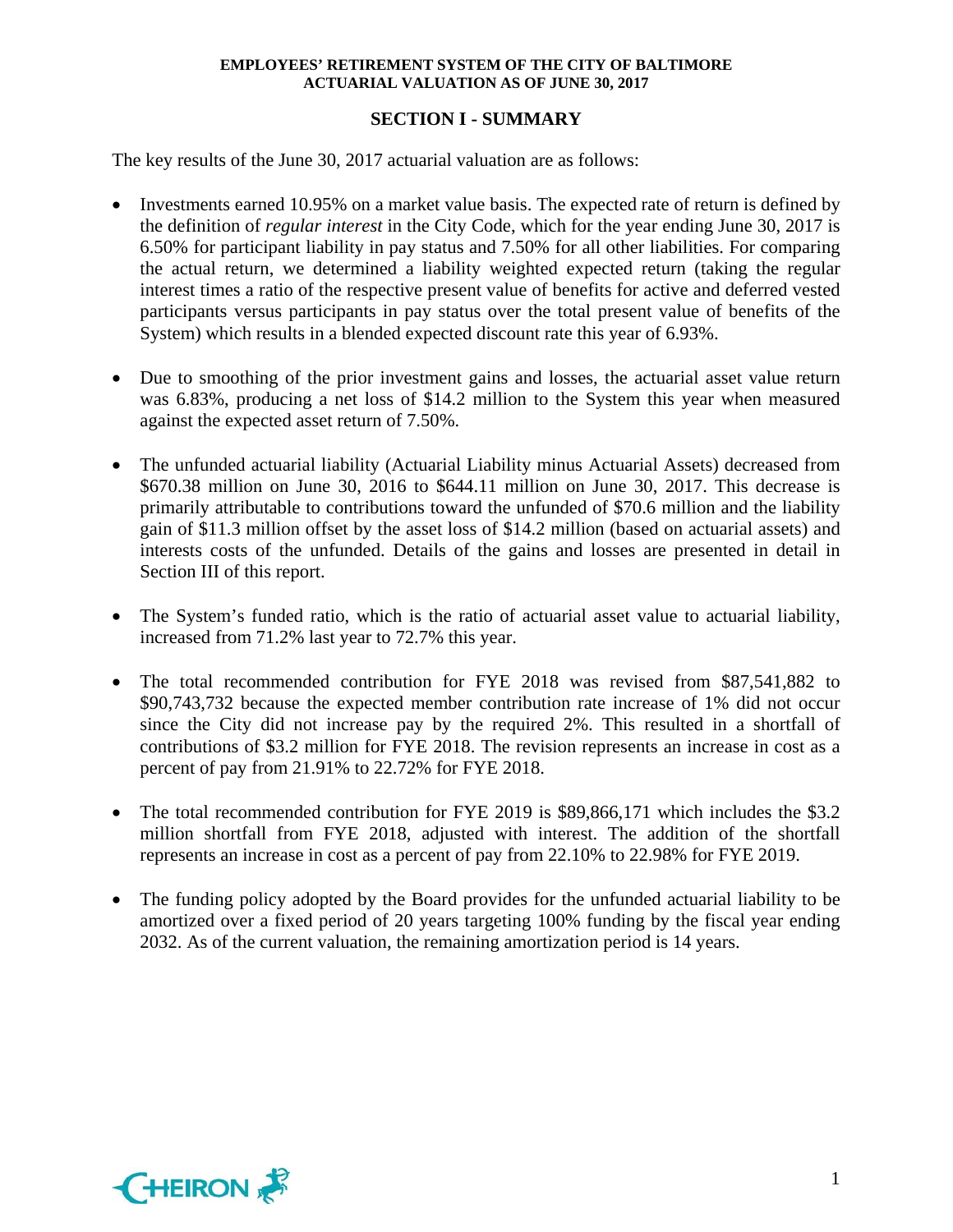## **SECTION I - SUMMARY**

The key results of the June 30, 2017 actuarial valuation are as follows:

- Investments earned 10.95% on a market value basis. The expected rate of return is defined by the definition of *regular interest* in the City Code, which for the year ending June 30, 2017 is 6.50% for participant liability in pay status and 7.50% for all other liabilities. For comparing the actual return, we determined a liability weighted expected return (taking the regular interest times a ratio of the respective present value of benefits for active and deferred vested participants versus participants in pay status over the total present value of benefits of the System) which results in a blended expected discount rate this year of 6.93%.
- Due to smoothing of the prior investment gains and losses, the actuarial asset value return was 6.83%, producing a net loss of \$14.2 million to the System this year when measured against the expected asset return of 7.50%.
- The unfunded actuarial liability (Actuarial Liability minus Actuarial Assets) decreased from \$670.38 million on June 30, 2016 to \$644.11 million on June 30, 2017. This decrease is primarily attributable to contributions toward the unfunded of \$70.6 million and the liability gain of \$11.3 million offset by the asset loss of \$14.2 million (based on actuarial assets) and interests costs of the unfunded. Details of the gains and losses are presented in detail in Section III of this report.
- The System's funded ratio, which is the ratio of actuarial asset value to actuarial liability, increased from 71.2% last year to 72.7% this year.
- The total recommended contribution for FYE 2018 was revised from \$87,541,882 to \$90,743,732 because the expected member contribution rate increase of 1% did not occur since the City did not increase pay by the required 2%. This resulted in a shortfall of contributions of \$3.2 million for FYE 2018. The revision represents an increase in cost as a percent of pay from 21.91% to 22.72% for FYE 2018.
- The total recommended contribution for FYE 2019 is \$89,866,171 which includes the \$3.2 million shortfall from FYE 2018, adjusted with interest. The addition of the shortfall represents an increase in cost as a percent of pay from 22.10% to 22.98% for FYE 2019.
- The funding policy adopted by the Board provides for the unfunded actuarial liability to be amortized over a fixed period of 20 years targeting 100% funding by the fiscal year ending 2032. As of the current valuation, the remaining amortization period is 14 years.

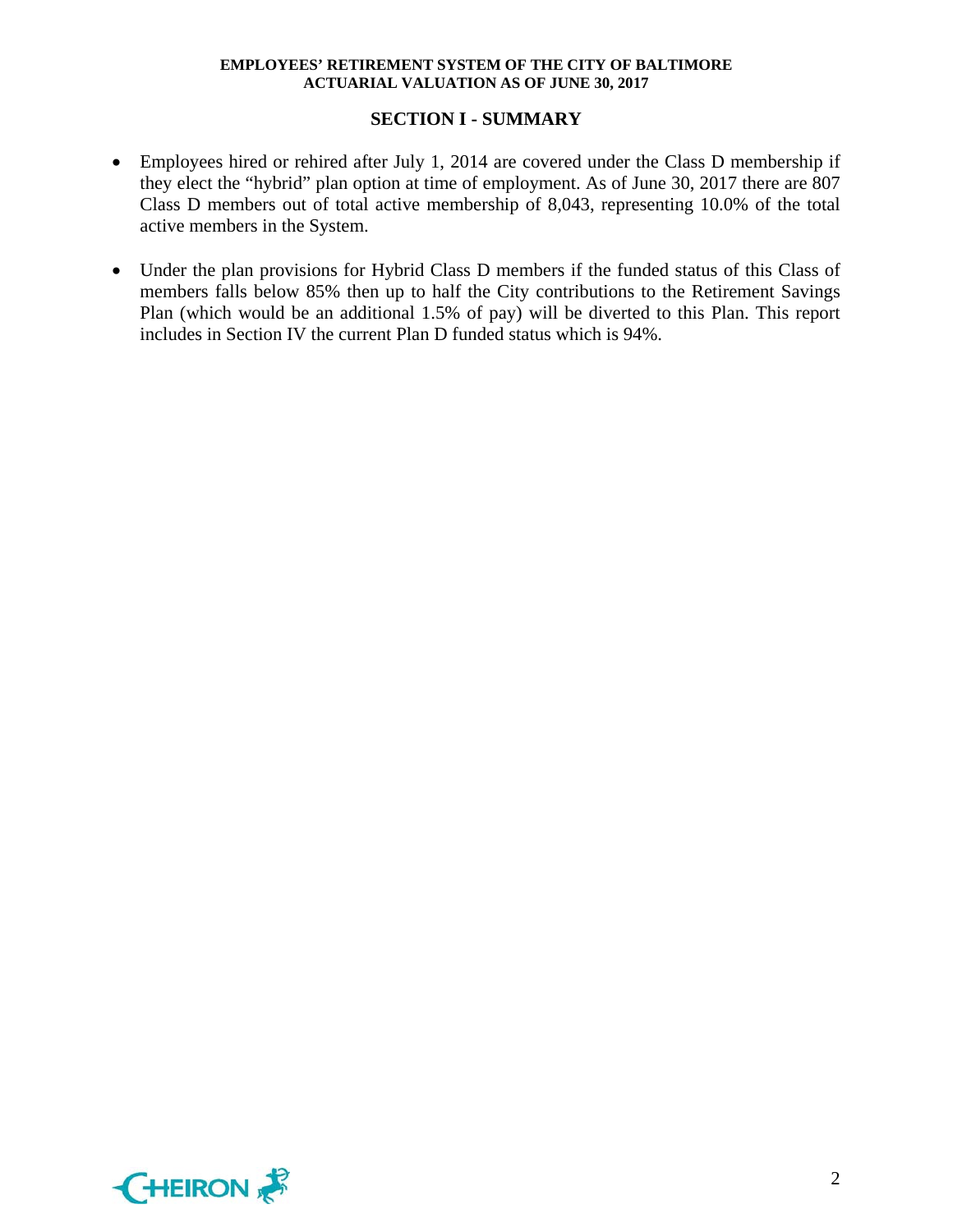## **SECTION I - SUMMARY**

- Employees hired or rehired after July 1, 2014 are covered under the Class D membership if they elect the "hybrid" plan option at time of employment. As of June 30, 2017 there are 807 Class D members out of total active membership of 8,043, representing 10.0% of the total active members in the System.
- Under the plan provisions for Hybrid Class D members if the funded status of this Class of members falls below 85% then up to half the City contributions to the Retirement Savings Plan (which would be an additional 1.5% of pay) will be diverted to this Plan. This report includes in Section IV the current Plan D funded status which is 94%.

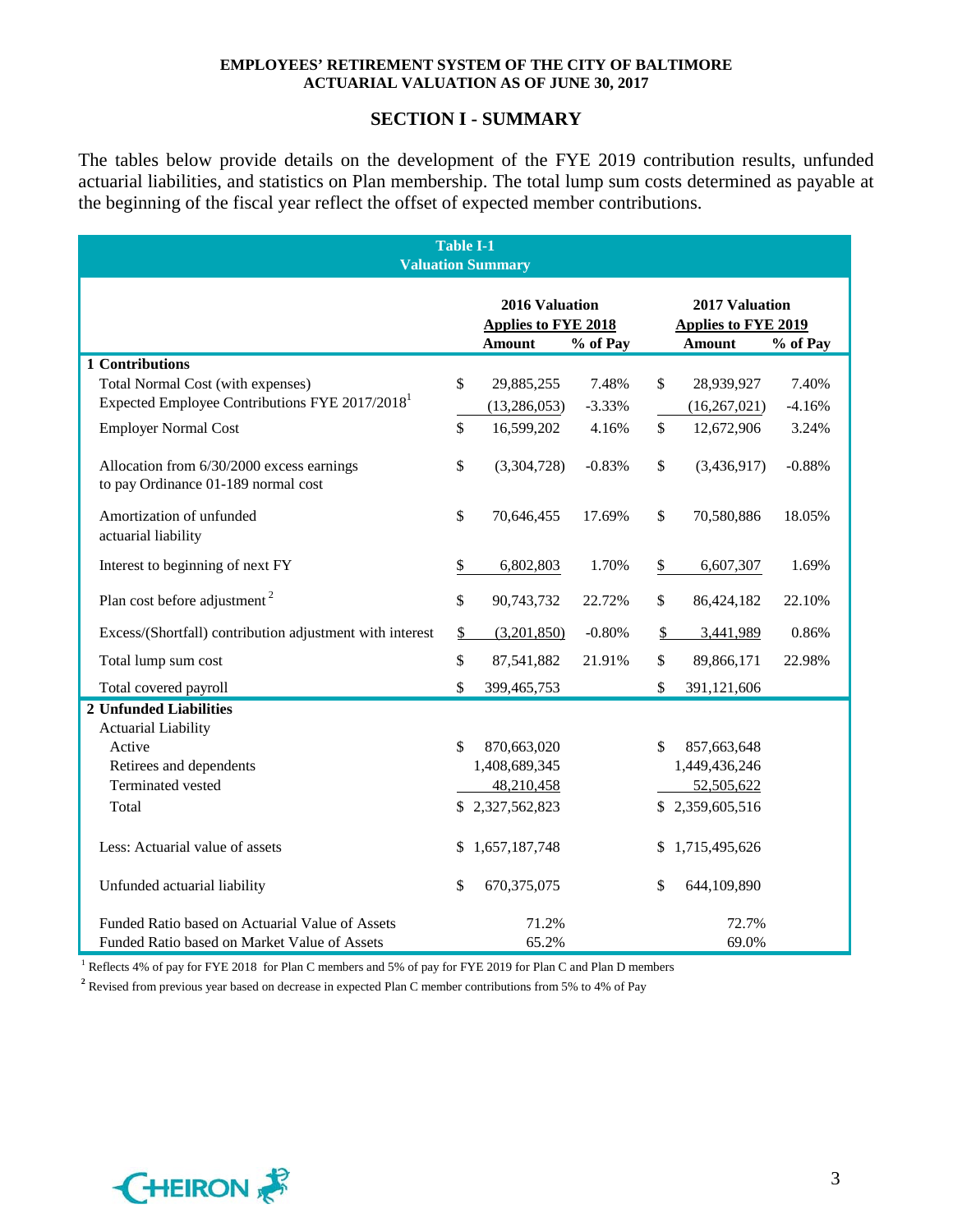## **SECTION I - SUMMARY**

The tables below provide details on the development of the FYE 2019 contribution results, unfunded actuarial liabilities, and statistics on Plan membership. The total lump sum costs determined as payable at the beginning of the fiscal year reflect the offset of expected member contributions.

|                                                                                  | <b>Table I-1</b><br><b>Valuation Summary</b>                  |          |                                                                           |                 |          |  |  |  |
|----------------------------------------------------------------------------------|---------------------------------------------------------------|----------|---------------------------------------------------------------------------|-----------------|----------|--|--|--|
|                                                                                  | 2016 Valuation<br><b>Applies to FYE 2018</b><br><b>Amount</b> | % of Pay | 2017 Valuation<br><b>Applies to FYE 2019</b><br><b>Amount</b><br>% of Pay |                 |          |  |  |  |
| 1 Contributions                                                                  |                                                               |          |                                                                           |                 |          |  |  |  |
| Total Normal Cost (with expenses)                                                | \$<br>29,885,255                                              | 7.48%    | \$                                                                        | 28,939,927      | 7.40%    |  |  |  |
| Expected Employee Contributions FYE 2017/2018 <sup>1</sup>                       | (13, 286, 053)                                                | $-3.33%$ |                                                                           | (16, 267, 021)  | $-4.16%$ |  |  |  |
| <b>Employer Normal Cost</b>                                                      | \$<br>16,599,202                                              | 4.16%    | \$                                                                        | 12,672,906      | 3.24%    |  |  |  |
| Allocation from 6/30/2000 excess earnings<br>to pay Ordinance 01-189 normal cost | \$<br>(3,304,728)                                             | $-0.83%$ | \$                                                                        | (3,436,917)     | $-0.88%$ |  |  |  |
| Amortization of unfunded<br>actuarial liability                                  | \$<br>70,646,455                                              | 17.69%   | \$                                                                        | 70,580,886      | 18.05%   |  |  |  |
| Interest to beginning of next FY                                                 | \$<br>6,802,803                                               | 1.70%    | \$                                                                        | 6,607,307       | 1.69%    |  |  |  |
| Plan cost before adjustment <sup>2</sup>                                         | \$<br>90,743,732                                              | 22.72%   | \$                                                                        | 86,424,182      | 22.10%   |  |  |  |
| Excess/(Shortfall) contribution adjustment with interest                         | \$<br>(3,201,850)                                             | $-0.80%$ | \$                                                                        | 3,441,989       | 0.86%    |  |  |  |
| Total lump sum cost                                                              | \$<br>87,541,882                                              | 21.91%   | \$                                                                        | 89,866,171      | 22.98%   |  |  |  |
| Total covered payroll                                                            | \$<br>399,465,753                                             |          | \$                                                                        | 391,121,606     |          |  |  |  |
| <b>2 Unfunded Liabilities</b>                                                    |                                                               |          |                                                                           |                 |          |  |  |  |
| <b>Actuarial Liability</b>                                                       |                                                               |          |                                                                           |                 |          |  |  |  |
| Active                                                                           | \$<br>870,663,020                                             |          | \$                                                                        | 857,663,648     |          |  |  |  |
| Retirees and dependents                                                          | 1,408,689,345                                                 |          |                                                                           | 1,449,436,246   |          |  |  |  |
| Terminated vested                                                                | 48,210,458                                                    |          |                                                                           | 52,505,622      |          |  |  |  |
| Total                                                                            | \$2,327,562,823                                               |          |                                                                           | \$2,359,605,516 |          |  |  |  |
| Less: Actuarial value of assets                                                  | \$<br>1,657,187,748                                           |          | \$                                                                        | 1,715,495,626   |          |  |  |  |
| Unfunded actuarial liability                                                     | \$<br>670,375,075                                             |          | \$                                                                        | 644,109,890     |          |  |  |  |
| Funded Ratio based on Actuarial Value of Assets                                  | 71.2%                                                         |          |                                                                           | 72.7%           |          |  |  |  |
| Funded Ratio based on Market Value of Assets                                     | 65.2%                                                         |          |                                                                           | 69.0%           |          |  |  |  |

<sup>1</sup> Reflects 4% of pay for FYE 2018 for Plan C members and 5% of pay for FYE 2019 for Plan C and Plan D members

**<sup>2</sup>** Revised from previous year based on decrease in expected Plan C member contributions from 5% to 4% of Pay

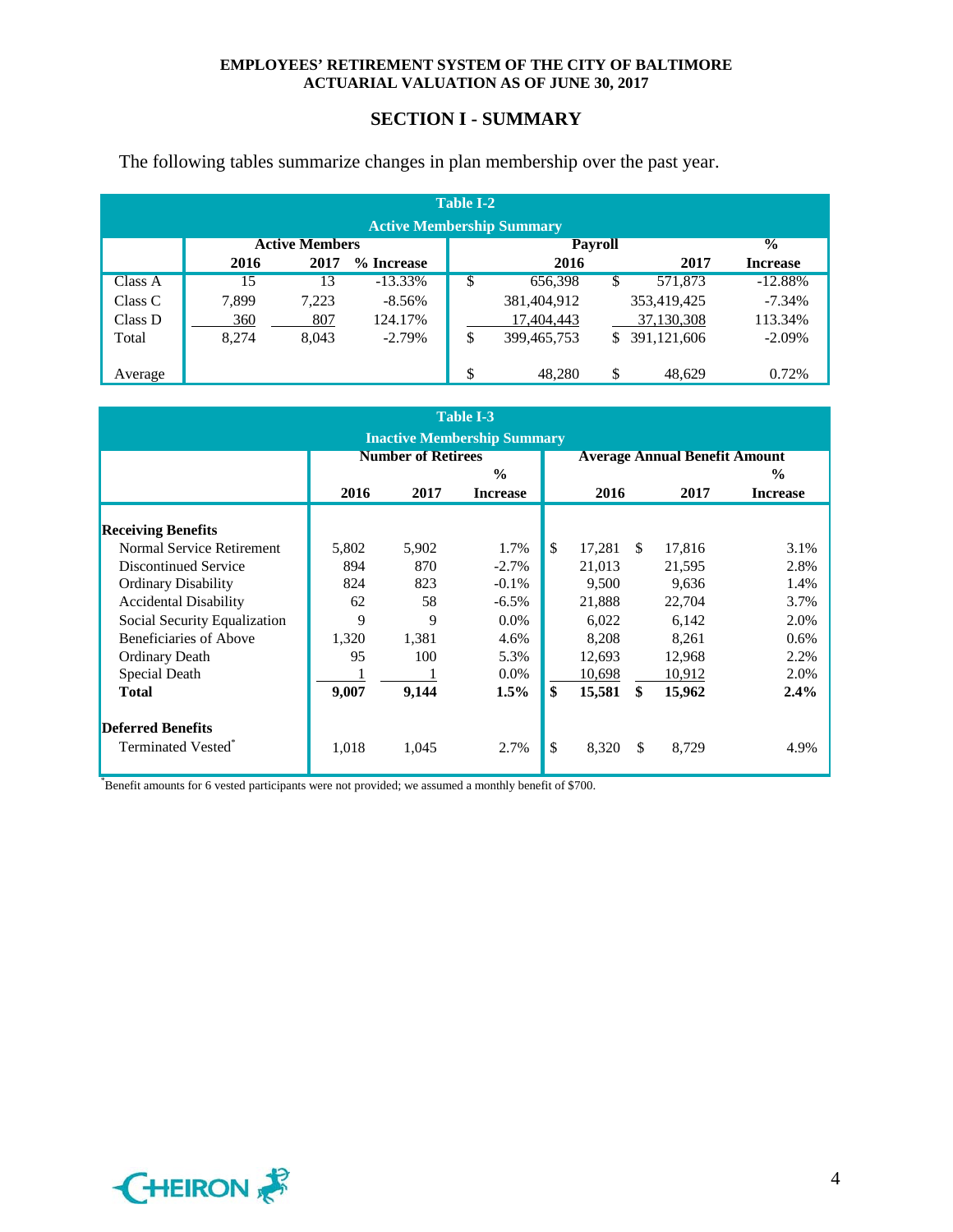## **SECTION I - SUMMARY**

The following tables summarize changes in plan membership over the past year.

| <b>Table I-2</b><br><b>Active Membership Summary</b> |       |                       |            |    |                |    |             |                          |  |  |  |  |
|------------------------------------------------------|-------|-----------------------|------------|----|----------------|----|-------------|--------------------------|--|--|--|--|
|                                                      |       | <b>Active Members</b> |            |    | <b>Payroll</b> |    |             | $\overline{\mathcal{C}}$ |  |  |  |  |
|                                                      | 2016  | 2017                  | % Increase |    | 2016           |    | 2017        | <b>Increase</b>          |  |  |  |  |
| Class A                                              | 15    | 13                    | $-13.33\%$ | S  | 656,398        | \$ | 571,873     | $-12.88%$                |  |  |  |  |
| Class C                                              | 7,899 | 7,223                 | $-8.56\%$  |    | 381,404,912    |    | 353,419,425 | $-7.34%$                 |  |  |  |  |
| Class D                                              | 360   | 807                   | 124.17%    |    | 17,404,443     |    | 37,130,308  | 113.34%                  |  |  |  |  |
| Total                                                | 8,274 | 8.043                 | $-2.79%$   | \$ | 399, 465, 753  | \$ | 391,121,606 | $-2.09\%$                |  |  |  |  |
|                                                      |       |                       |            |    |                |    |             |                          |  |  |  |  |
| Average                                              |       |                       |            | Φ  | 48.280         | \$ | 48.629      | 0.72%                    |  |  |  |  |

|                              |       |                           | <b>Table I-3</b>                   |              |               |                                      |                 |  |
|------------------------------|-------|---------------------------|------------------------------------|--------------|---------------|--------------------------------------|-----------------|--|
|                              |       |                           | <b>Inactive Membership Summary</b> |              |               |                                      |                 |  |
|                              |       | <b>Number of Retirees</b> |                                    |              |               | <b>Average Annual Benefit Amount</b> |                 |  |
|                              |       |                           | $\frac{0}{0}$                      |              |               |                                      | $\frac{0}{0}$   |  |
|                              | 2016  | 2017                      | <b>Increase</b>                    | 2016         |               | 2017                                 | <b>Increase</b> |  |
| <b>Receiving Benefits</b>    |       |                           |                                    |              |               |                                      |                 |  |
| Normal Service Retirement    | 5,802 | 5,902                     | 1.7%                               | \$<br>17,281 | <sup>\$</sup> | 17,816                               | 3.1%            |  |
| <b>Discontinued Service</b>  | 894   | 870                       | $-2.7\%$                           | 21,013       |               | 21,595                               | 2.8%            |  |
| <b>Ordinary Disability</b>   | 824   | 823                       | $-0.1\%$                           | 9,500        |               | 9,636                                | 1.4%            |  |
| <b>Accidental Disability</b> | 62    | 58                        | $-6.5\%$                           | 21,888       |               | 22,704                               | 3.7%            |  |
| Social Security Equalization | 9     | 9                         | $0.0\%$                            | 6,022        |               | 6,142                                | 2.0%            |  |
| Beneficiaries of Above       | 1,320 | 1,381                     | 4.6%                               | 8,208        |               | 8,261                                | 0.6%            |  |
| <b>Ordinary Death</b>        | 95    | 100                       | 5.3%                               | 12,693       |               | 12,968                               | 2.2%            |  |
| Special Death                |       |                           | $0.0\%$                            | 10,698       |               | 10,912                               | 2.0%            |  |
| <b>Total</b>                 | 9,007 | 9,144                     | 1.5%                               | \$<br>15,581 | \$            | 15,962                               | $2.4\%$         |  |
| <b>Deferred Benefits</b>     |       |                           |                                    |              |               |                                      |                 |  |
| Terminated Vested®           | 1,018 | 1,045                     | 2.7%                               | \$<br>8,320  | \$            | 8,729                                | 4.9%            |  |

\* Benefit amounts for 6 vested participants were not provided; we assumed a monthly benefit of \$700.

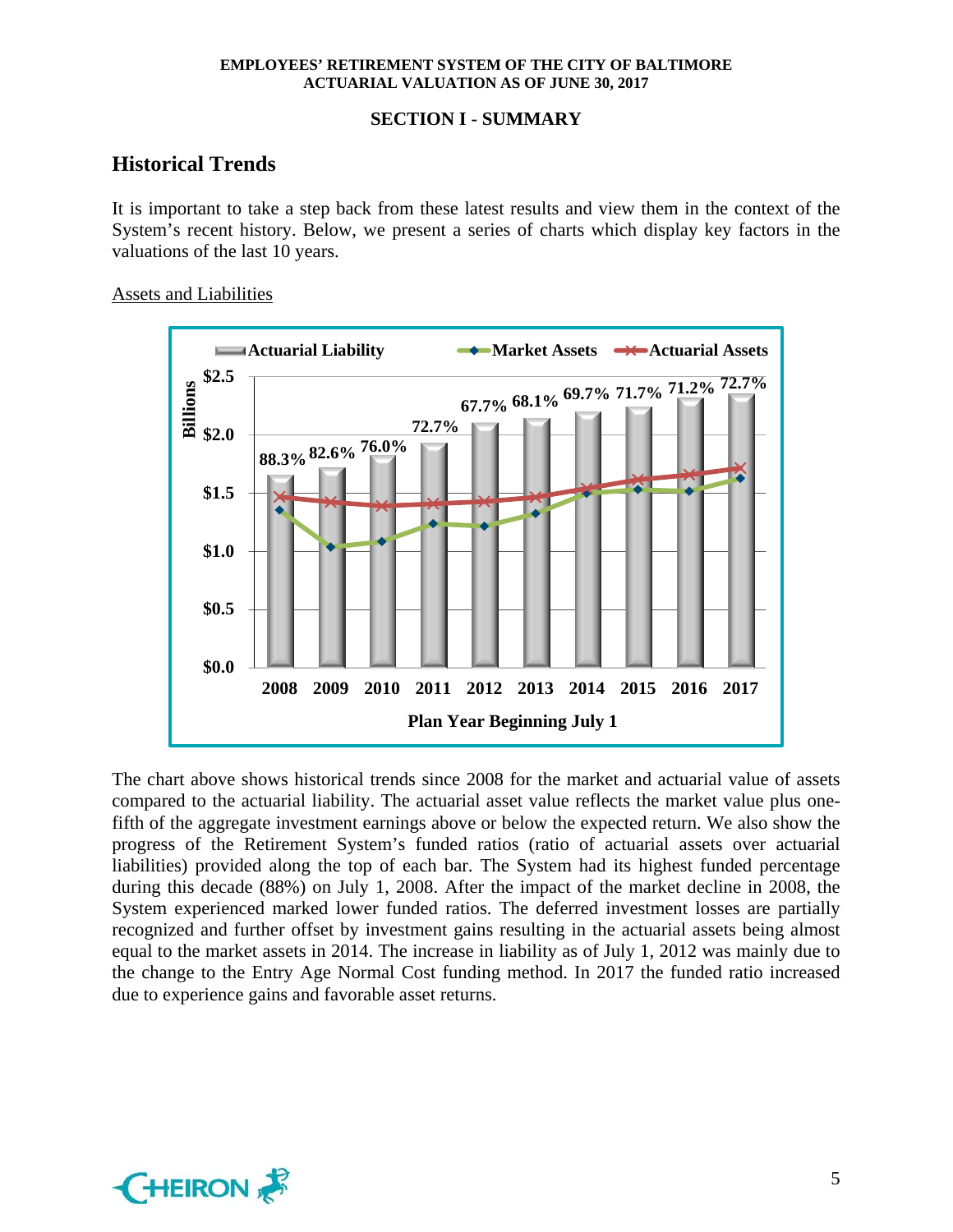## **SECTION I - SUMMARY**

## **Historical Trends**

It is important to take a step back from these latest results and view them in the context of the System's recent history. Below, we present a series of charts which display key factors in the valuations of the last 10 years.

## Assets and Liabilities



The chart above shows historical trends since 2008 for the market and actuarial value of assets compared to the actuarial liability. The actuarial asset value reflects the market value plus onefifth of the aggregate investment earnings above or below the expected return. We also show the progress of the Retirement System's funded ratios (ratio of actuarial assets over actuarial liabilities) provided along the top of each bar. The System had its highest funded percentage during this decade (88%) on July 1, 2008. After the impact of the market decline in 2008, the System experienced marked lower funded ratios. The deferred investment losses are partially recognized and further offset by investment gains resulting in the actuarial assets being almost equal to the market assets in 2014. The increase in liability as of July 1, 2012 was mainly due to the change to the Entry Age Normal Cost funding method. In 2017 the funded ratio increased due to experience gains and favorable asset returns.

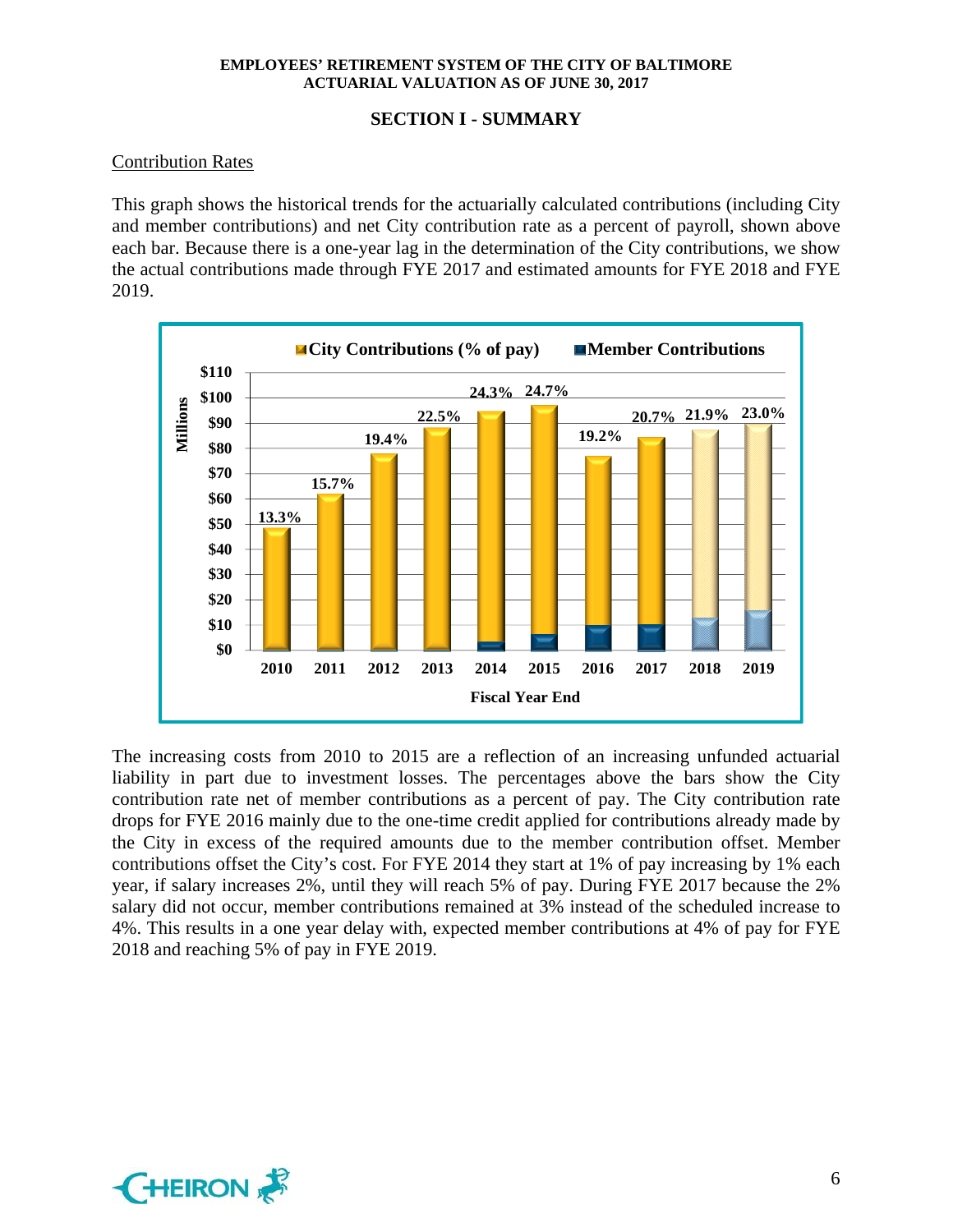## **SECTION I - SUMMARY**

## Contribution Rates

This graph shows the historical trends for the actuarially calculated contributions (including City and member contributions) and net City contribution rate as a percent of payroll, shown above each bar. Because there is a one-year lag in the determination of the City contributions, we show the actual contributions made through FYE 2017 and estimated amounts for FYE 2018 and FYE 2019.



The increasing costs from 2010 to 2015 are a reflection of an increasing unfunded actuarial liability in part due to investment losses. The percentages above the bars show the City contribution rate net of member contributions as a percent of pay. The City contribution rate drops for FYE 2016 mainly due to the one-time credit applied for contributions already made by the City in excess of the required amounts due to the member contribution offset. Member contributions offset the City's cost. For FYE 2014 they start at 1% of pay increasing by 1% each year, if salary increases 2%, until they will reach 5% of pay. During FYE 2017 because the 2% salary did not occur, member contributions remained at 3% instead of the scheduled increase to 4%. This results in a one year delay with, expected member contributions at 4% of pay for FYE 2018 and reaching 5% of pay in FYE 2019.

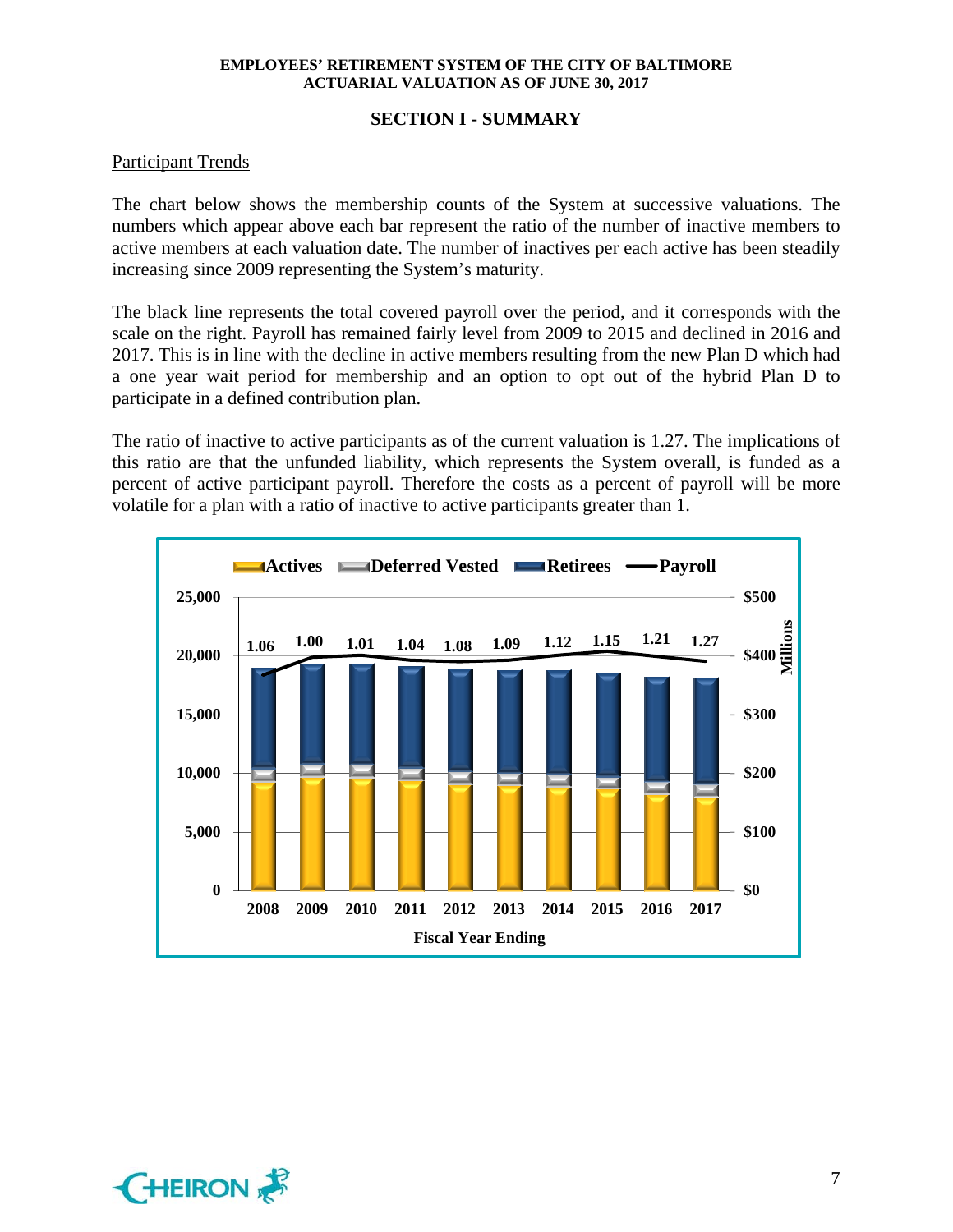## **SECTION I - SUMMARY**

## Participant Trends

The chart below shows the membership counts of the System at successive valuations. The numbers which appear above each bar represent the ratio of the number of inactive members to active members at each valuation date. The number of inactives per each active has been steadily increasing since 2009 representing the System's maturity.

The black line represents the total covered payroll over the period, and it corresponds with the scale on the right. Payroll has remained fairly level from 2009 to 2015 and declined in 2016 and 2017. This is in line with the decline in active members resulting from the new Plan D which had a one year wait period for membership and an option to opt out of the hybrid Plan D to participate in a defined contribution plan.

The ratio of inactive to active participants as of the current valuation is 1.27. The implications of this ratio are that the unfunded liability, which represents the System overall, is funded as a percent of active participant payroll. Therefore the costs as a percent of payroll will be more volatile for a plan with a ratio of inactive to active participants greater than 1.



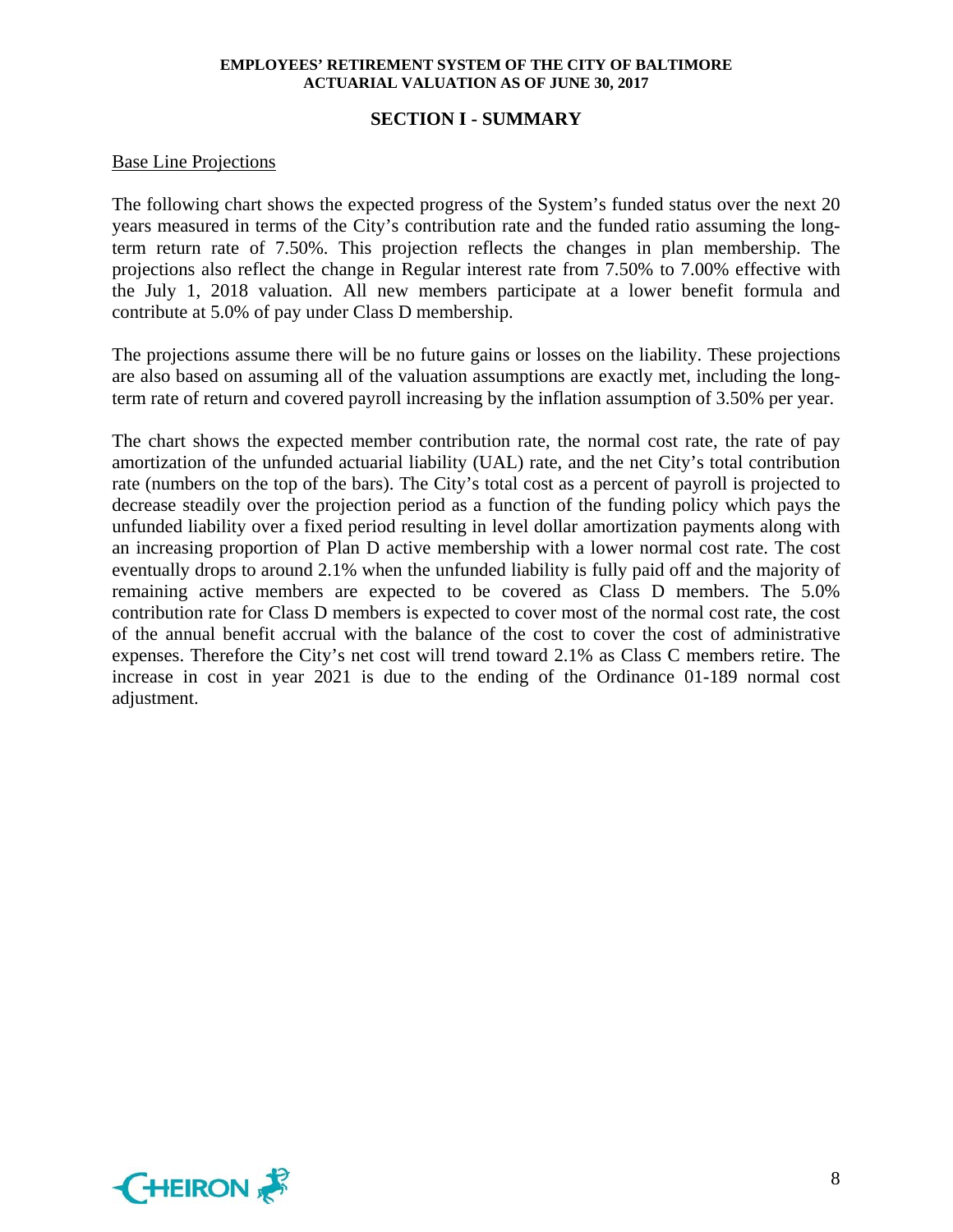#### **SECTION I - SUMMARY**

#### Base Line Projections

The following chart shows the expected progress of the System's funded status over the next 20 years measured in terms of the City's contribution rate and the funded ratio assuming the longterm return rate of 7.50%. This projection reflects the changes in plan membership. The projections also reflect the change in Regular interest rate from 7.50% to 7.00% effective with the July 1, 2018 valuation. All new members participate at a lower benefit formula and contribute at 5.0% of pay under Class D membership.

The projections assume there will be no future gains or losses on the liability. These projections are also based on assuming all of the valuation assumptions are exactly met, including the longterm rate of return and covered payroll increasing by the inflation assumption of 3.50% per year.

The chart shows the expected member contribution rate, the normal cost rate, the rate of pay amortization of the unfunded actuarial liability (UAL) rate, and the net City's total contribution rate (numbers on the top of the bars). The City's total cost as a percent of payroll is projected to decrease steadily over the projection period as a function of the funding policy which pays the unfunded liability over a fixed period resulting in level dollar amortization payments along with an increasing proportion of Plan D active membership with a lower normal cost rate. The cost eventually drops to around 2.1% when the unfunded liability is fully paid off and the majority of remaining active members are expected to be covered as Class D members. The 5.0% contribution rate for Class D members is expected to cover most of the normal cost rate, the cost of the annual benefit accrual with the balance of the cost to cover the cost of administrative expenses. Therefore the City's net cost will trend toward 2.1% as Class C members retire. The increase in cost in year 2021 is due to the ending of the Ordinance 01-189 normal cost adjustment.

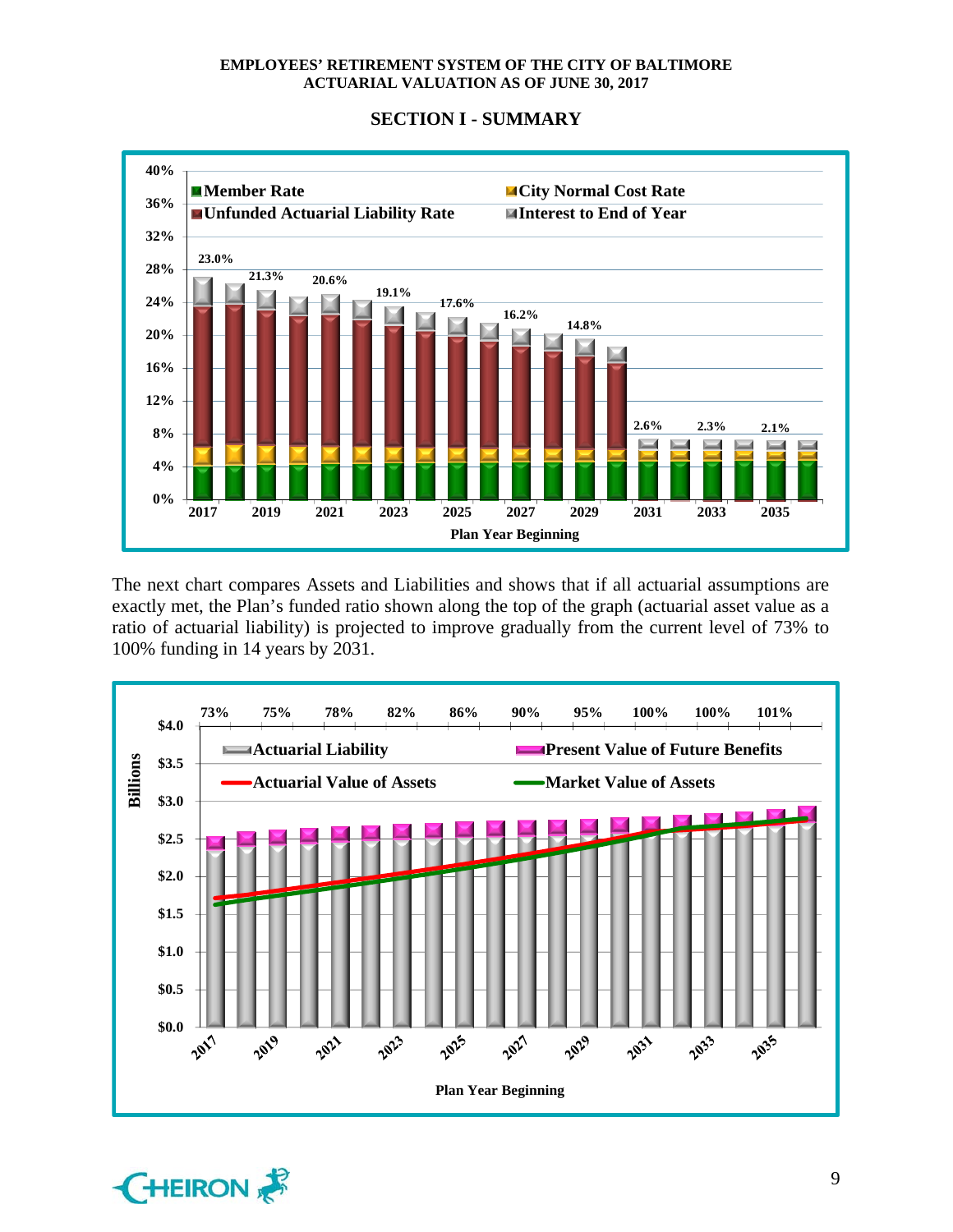

**SECTION I - SUMMARY** 

The next chart compares Assets and Liabilities and shows that if all actuarial assumptions are exactly met, the Plan's funded ratio shown along the top of the graph (actuarial asset value as a ratio of actuarial liability) is projected to improve gradually from the current level of 73% to 100% funding in 14 years by 2031.



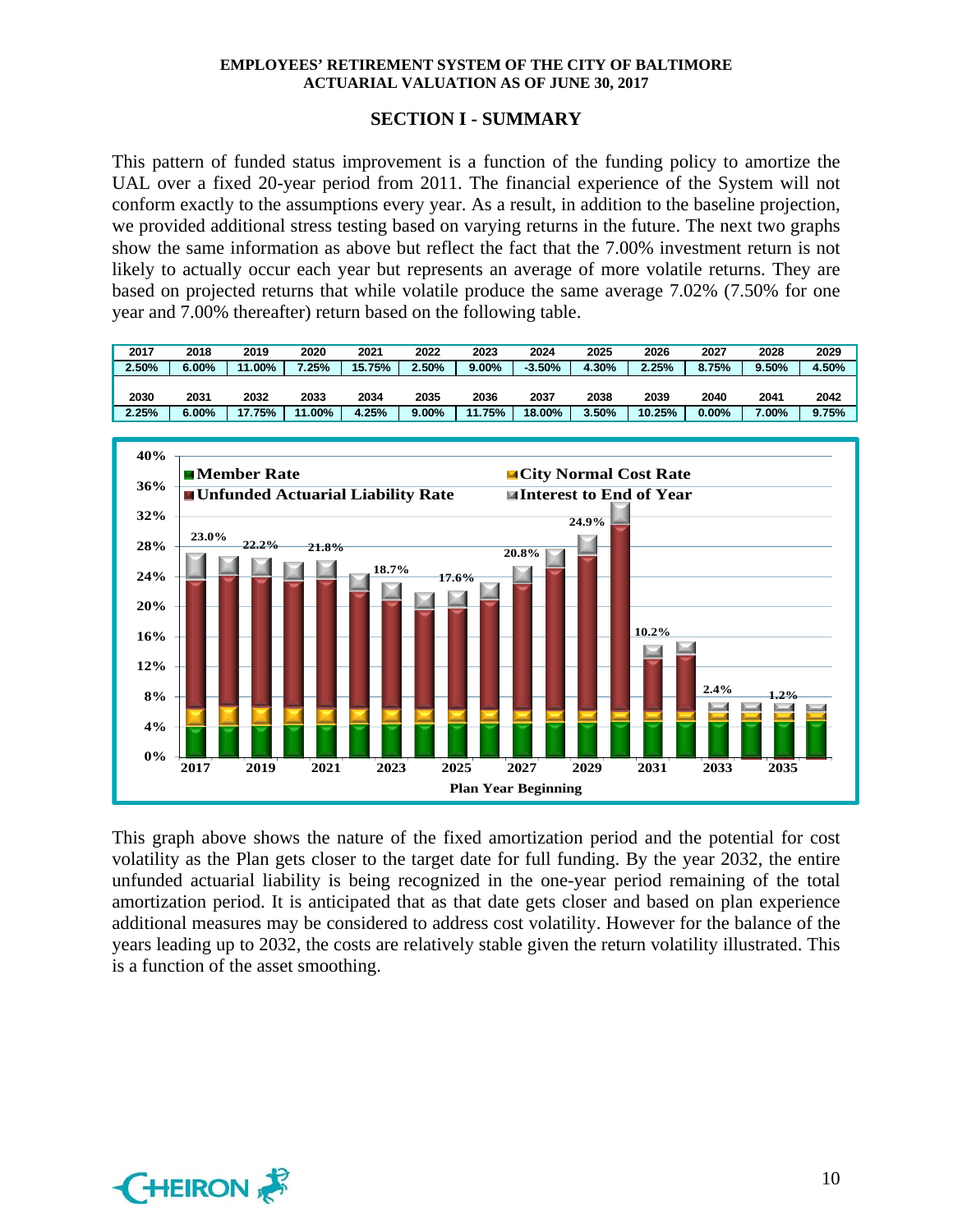## **SECTION I - SUMMARY**

This pattern of funded status improvement is a function of the funding policy to amortize the UAL over a fixed 20-year period from 2011. The financial experience of the System will not conform exactly to the assumptions every year. As a result, in addition to the baseline projection, we provided additional stress testing based on varying returns in the future. The next two graphs show the same information as above but reflect the fact that the 7.00% investment return is not likely to actually occur each year but represents an average of more volatile returns. They are based on projected returns that while volatile produce the same average 7.02% (7.50% for one year and 7.00% thereafter) return based on the following table.

| 2017  | 2018     | 2019   | 2020   | 2021   | 2022  | 2023     | 2024     | 2025  | 2026   | 2027     | 2028     | 2029  |
|-------|----------|--------|--------|--------|-------|----------|----------|-------|--------|----------|----------|-------|
| 2.50% | 5.00%    | 11.00% | 7.25%  | 15.75% | 2.50% | $9.00\%$ | $-3.50%$ | 4.30% | 2.25%  | 8.75%    | 9.50%    | 4.50% |
|       |          |        |        |        |       |          |          |       |        |          |          |       |
| 2030  | 2031     | 2032   | 2033   | 2034   | 2035  | 2036     | 2037     | 2038  | 2039   | 2040     | 2041     | 2042  |
| 2.25% | $6.00\%$ | 17.75% | 11.00% | 4.25%  | 9.00% | 11.75%   | 18.00%   | 3.50% | 10.25% | $0.00\%$ | $7.00\%$ | 9.75% |



This graph above shows the nature of the fixed amortization period and the potential for cost volatility as the Plan gets closer to the target date for full funding. By the year 2032, the entire unfunded actuarial liability is being recognized in the one-year period remaining of the total amortization period. It is anticipated that as that date gets closer and based on plan experience additional measures may be considered to address cost volatility. However for the balance of the years leading up to 2032, the costs are relatively stable given the return volatility illustrated. This is a function of the asset smoothing.

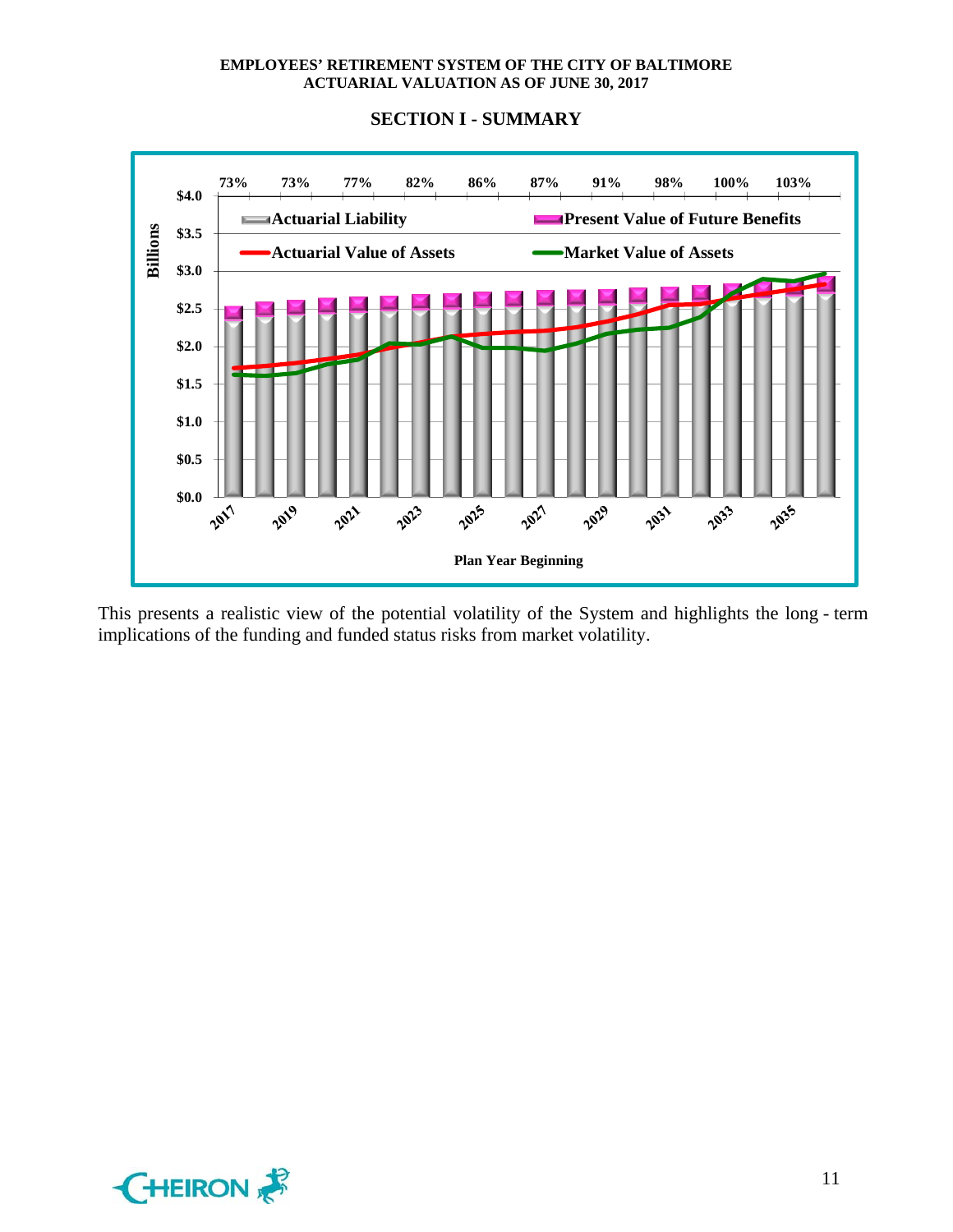

This presents a realistic view of the potential volatility of the System and highlights the long - term implications of the funding and funded status risks from market volatility.

## **SECTION I - SUMMARY**

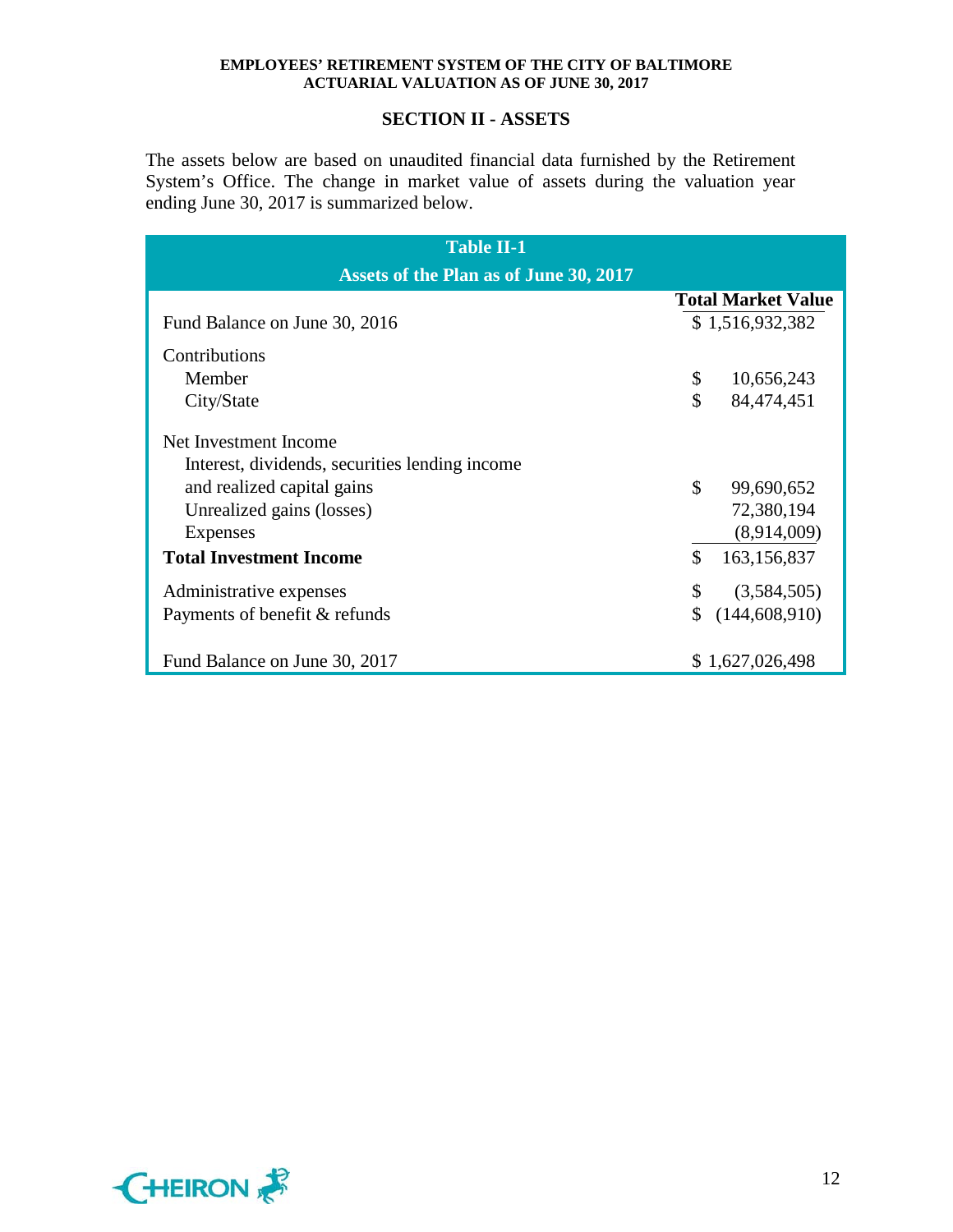## **SECTION II - ASSETS**

The assets below are based on unaudited financial data furnished by the Retirement System's Office. The change in market value of assets during the valuation year ending June 30, 2017 is summarized below.

| <b>Table II-1</b>                                                       |                    |                           |  |  |  |  |  |  |  |  |  |
|-------------------------------------------------------------------------|--------------------|---------------------------|--|--|--|--|--|--|--|--|--|
| Assets of the Plan as of June 30, 2017                                  |                    |                           |  |  |  |  |  |  |  |  |  |
|                                                                         |                    | <b>Total Market Value</b> |  |  |  |  |  |  |  |  |  |
| Fund Balance on June 30, 2016                                           |                    | \$1,516,932,382           |  |  |  |  |  |  |  |  |  |
| Contributions                                                           |                    |                           |  |  |  |  |  |  |  |  |  |
| Member                                                                  | \$                 | 10,656,243                |  |  |  |  |  |  |  |  |  |
| City/State                                                              | \$                 | 84,474,451                |  |  |  |  |  |  |  |  |  |
| Net Investment Income<br>Interest, dividends, securities lending income |                    |                           |  |  |  |  |  |  |  |  |  |
| and realized capital gains                                              | \$                 | 99,690,652                |  |  |  |  |  |  |  |  |  |
| Unrealized gains (losses)                                               |                    | 72,380,194                |  |  |  |  |  |  |  |  |  |
| Expenses                                                                |                    | (8,914,009)               |  |  |  |  |  |  |  |  |  |
| <b>Total Investment Income</b>                                          | $\mathbf{\hat{S}}$ | 163,156,837               |  |  |  |  |  |  |  |  |  |
| Administrative expenses                                                 | \$                 | (3,584,505)               |  |  |  |  |  |  |  |  |  |
| Payments of benefit & refunds                                           |                    | (144, 608, 910)           |  |  |  |  |  |  |  |  |  |
| Fund Balance on June 30, 2017                                           |                    | \$1,627,026,498           |  |  |  |  |  |  |  |  |  |

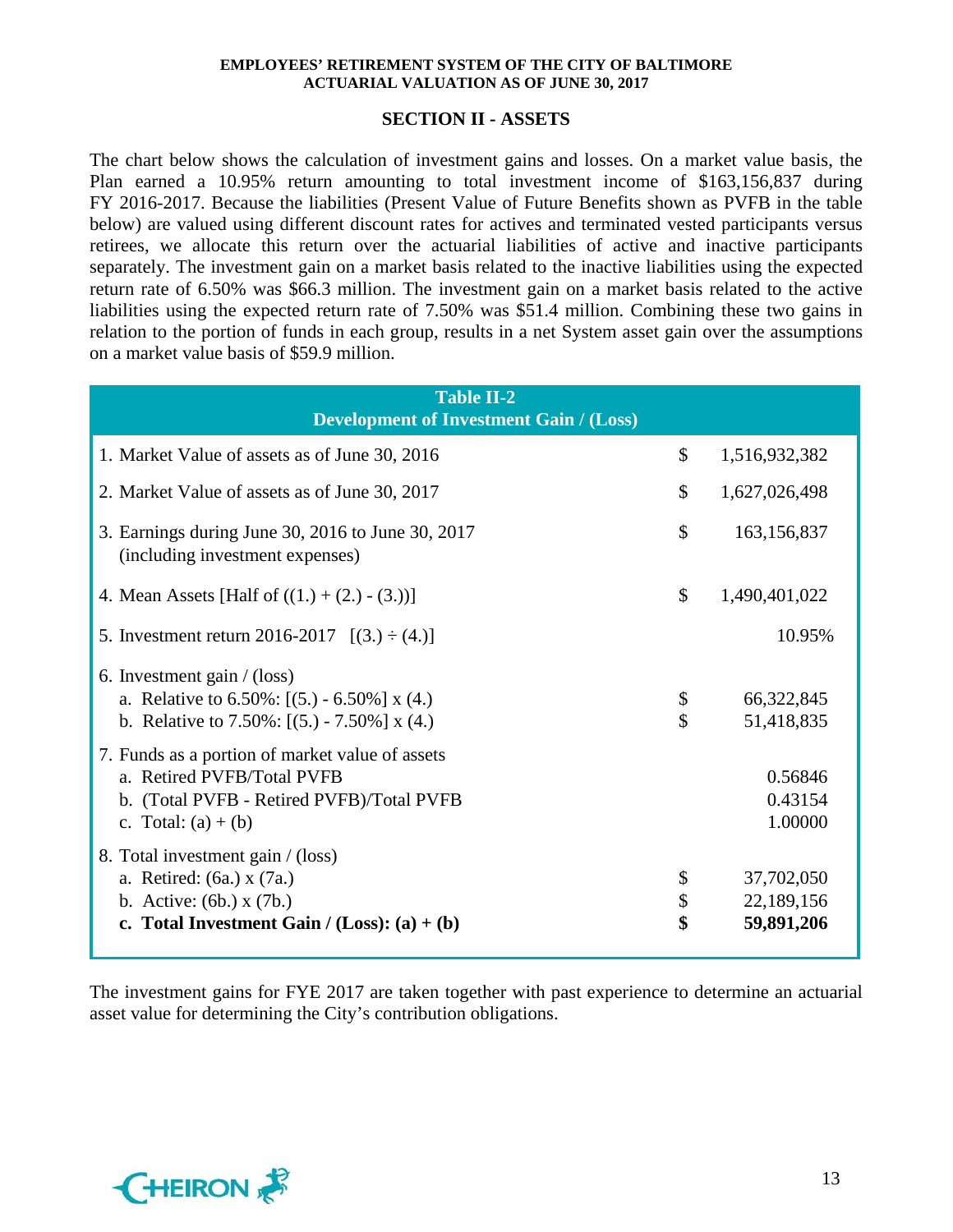## **SECTION II - ASSETS**

The chart below shows the calculation of investment gains and losses. On a market value basis, the Plan earned a 10.95% return amounting to total investment income of \$163,156,837 during FY 2016-2017. Because the liabilities (Present Value of Future Benefits shown as PVFB in the table below) are valued using different discount rates for actives and terminated vested participants versus retirees, we allocate this return over the actuarial liabilities of active and inactive participants separately. The investment gain on a market basis related to the inactive liabilities using the expected return rate of 6.50% was \$66.3 million. The investment gain on a market basis related to the active liabilities using the expected return rate of 7.50% was \$51.4 million. Combining these two gains in relation to the portion of funds in each group, results in a net System asset gain over the assumptions on a market value basis of \$59.9 million.

| <b>Table II-2</b><br><b>Development of Investment Gain / (Loss)</b>                                                                                 |                |                                        |
|-----------------------------------------------------------------------------------------------------------------------------------------------------|----------------|----------------------------------------|
| 1. Market Value of assets as of June 30, 2016                                                                                                       | $\mathcal{S}$  | 1,516,932,382                          |
| 2. Market Value of assets as of June 30, 2017                                                                                                       | \$             | 1,627,026,498                          |
| 3. Earnings during June 30, 2016 to June 30, 2017<br>(including investment expenses)                                                                | \$             | 163,156,837                            |
| 4. Mean Assets [Half of $((1.) + (2.) - (3.))]$                                                                                                     | \$             | 1,490,401,022                          |
| 5. Investment return 2016-2017 $[(3.) \div (4.)]$                                                                                                   |                | 10.95%                                 |
| 6. Investment gain $/$ (loss)<br>a. Relative to $6.50\%$ : [(5.) - $6.50\%$ ] x (4.)<br>b. Relative to $7.50\%$ : [(5.) - $7.50\%$ ] x (4.)         | \$<br>\$       | 66,322,845<br>51,418,835               |
| 7. Funds as a portion of market value of assets<br>a. Retired PVFB/Total PVFB<br>b. (Total PVFB - Retired PVFB)/Total PVFB<br>c. Total: $(a) + (b)$ |                | 0.56846<br>0.43154<br>1.00000          |
| 8. Total investment gain / (loss)<br>a. Retired: (6a.) x (7a.)<br>b. Active: $(6b.) x (7b.)$<br>c. Total Investment Gain / $(Loss)$ : $(a) + (b)$   | \$<br>\$<br>\$ | 37,702,050<br>22,189,156<br>59,891,206 |

The investment gains for FYE 2017 are taken together with past experience to determine an actuarial asset value for determining the City's contribution obligations.

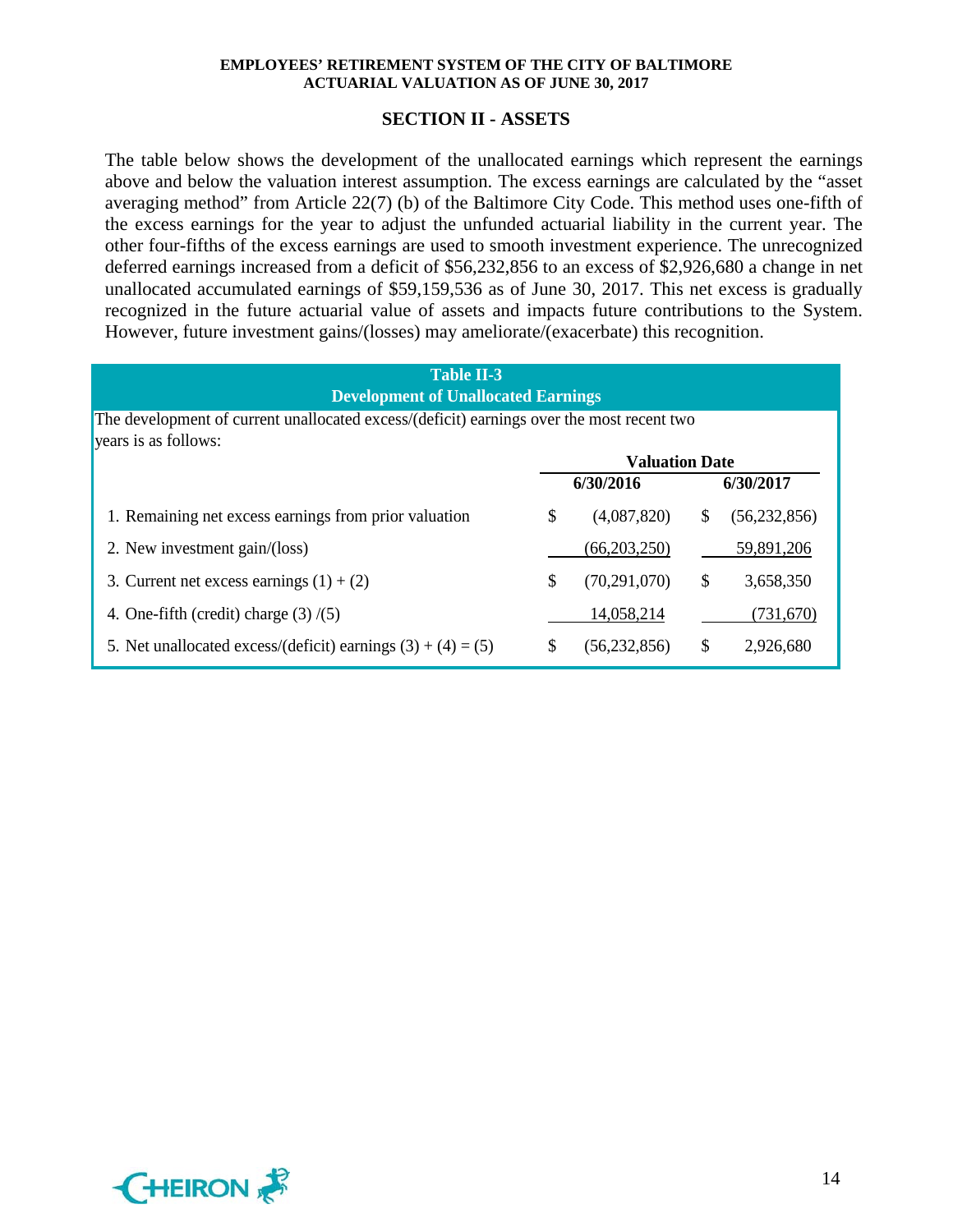## **SECTION II - ASSETS**

The table below shows the development of the unallocated earnings which represent the earnings above and below the valuation interest assumption. The excess earnings are calculated by the "asset averaging method" from Article 22(7) (b) of the Baltimore City Code. This method uses one-fifth of the excess earnings for the year to adjust the unfunded actuarial liability in the current year. The other four-fifths of the excess earnings are used to smooth investment experience. The unrecognized deferred earnings increased from a deficit of \$56,232,856 to an excess of \$2,926,680 a change in net unallocated accumulated earnings of \$59,159,536 as of June 30, 2017. This net excess is gradually recognized in the future actuarial value of assets and impacts future contributions to the System. However, future investment gains/(losses) may ameliorate/(exacerbate) this recognition.

| <b>Table II-3</b><br><b>Development of Unallocated Earnings</b>                           |    |                       |    |                |  |  |  |  |  |  |  |
|-------------------------------------------------------------------------------------------|----|-----------------------|----|----------------|--|--|--|--|--|--|--|
| The development of current unallocated excess/(deficit) earnings over the most recent two |    |                       |    |                |  |  |  |  |  |  |  |
| years is as follows:                                                                      |    | <b>Valuation Date</b> |    |                |  |  |  |  |  |  |  |
|                                                                                           |    | 6/30/2016             |    | 6/30/2017      |  |  |  |  |  |  |  |
| 1. Remaining net excess earnings from prior valuation                                     | \$ | (4,087,820)           | S  | (56, 232, 856) |  |  |  |  |  |  |  |
| 2. New investment gain/(loss)                                                             |    | (66, 203, 250)        |    | 59,891,206     |  |  |  |  |  |  |  |
| 3. Current net excess earnings $(1) + (2)$                                                | \$ | (70, 291, 070)        | \$ | 3,658,350      |  |  |  |  |  |  |  |
| 4. One-fifth (credit) charge $(3)/(5)$                                                    |    | 14,058,214            |    | (731,670)      |  |  |  |  |  |  |  |
| 5. Net unallocated excess/(deficit) earnings $(3) + (4) = (5)$                            | \$ | (56, 232, 856)        | S  | 2,926,680      |  |  |  |  |  |  |  |

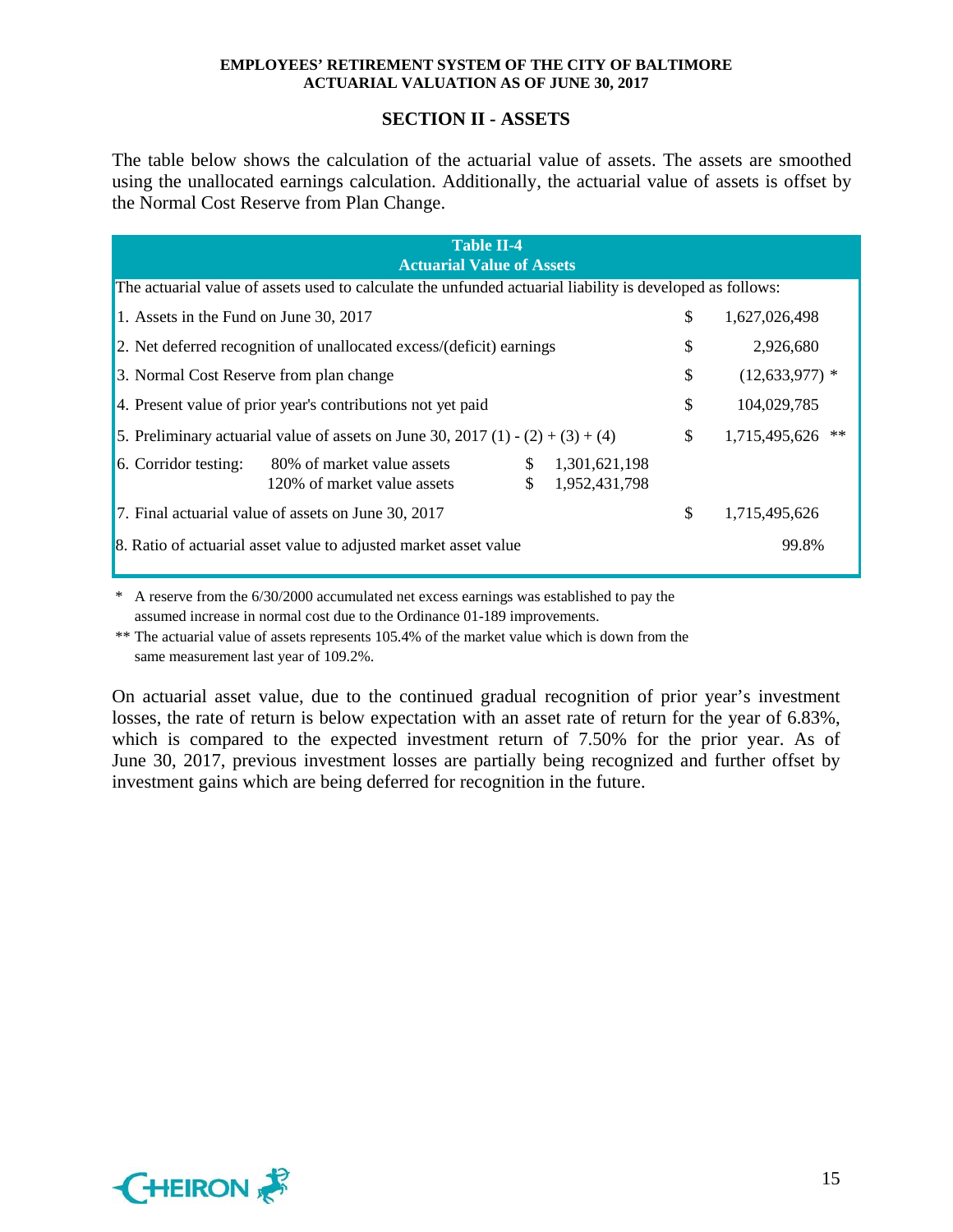## **SECTION II - ASSETS**

The table below shows the calculation of the actuarial value of assets. The assets are smoothed using the unallocated earnings calculation. Additionally, the actuarial value of assets is offset by the Normal Cost Reserve from Plan Change.

| <b>Table II-4</b><br><b>Actuarial Value of Assets</b>                                                     |                                |                    |  |  |  |  |  |  |  |  |  |  |
|-----------------------------------------------------------------------------------------------------------|--------------------------------|--------------------|--|--|--|--|--|--|--|--|--|--|
| The actuarial value of assets used to calculate the unfunded actuarial liability is developed as follows: |                                |                    |  |  |  |  |  |  |  |  |  |  |
| 1. Assets in the Fund on June 30, 2017                                                                    | \$                             | 1,627,026,498      |  |  |  |  |  |  |  |  |  |  |
| 2. Net deferred recognition of unallocated excess/(deficit) earnings                                      | \$                             | 2,926,680          |  |  |  |  |  |  |  |  |  |  |
| 3. Normal Cost Reserve from plan change                                                                   | \$                             | $(12, 633, 977)$ * |  |  |  |  |  |  |  |  |  |  |
| 4. Present value of prior year's contributions not yet paid                                               | \$                             | 104,029,785        |  |  |  |  |  |  |  |  |  |  |
| 5. Preliminary actuarial value of assets on June 30, 2017 (1) - (2) + (3) + (4)                           | \$                             | 1,715,495,626 **   |  |  |  |  |  |  |  |  |  |  |
| 6. Corridor testing:<br>80% of market value assets<br>\$<br>$\mathbb{S}$<br>120% of market value assets   | 1,301,621,198<br>1,952,431,798 |                    |  |  |  |  |  |  |  |  |  |  |
| 7. Final actuarial value of assets on June 30, 2017                                                       | \$                             | 1,715,495,626      |  |  |  |  |  |  |  |  |  |  |
| 8. Ratio of actuarial asset value to adjusted market asset value                                          |                                | 99.8%              |  |  |  |  |  |  |  |  |  |  |

\* A reserve from the 6/30/2000 accumulated net excess earnings was established to pay the assumed increase in normal cost due to the Ordinance 01-189 improvements.

\*\* The actuarial value of assets represents 105.4% of the market value which is down from the same measurement last year of 109.2%.

On actuarial asset value, due to the continued gradual recognition of prior year's investment losses, the rate of return is below expectation with an asset rate of return for the year of 6.83%, which is compared to the expected investment return of 7.50% for the prior year. As of June 30, 2017, previous investment losses are partially being recognized and further offset by investment gains which are being deferred for recognition in the future.

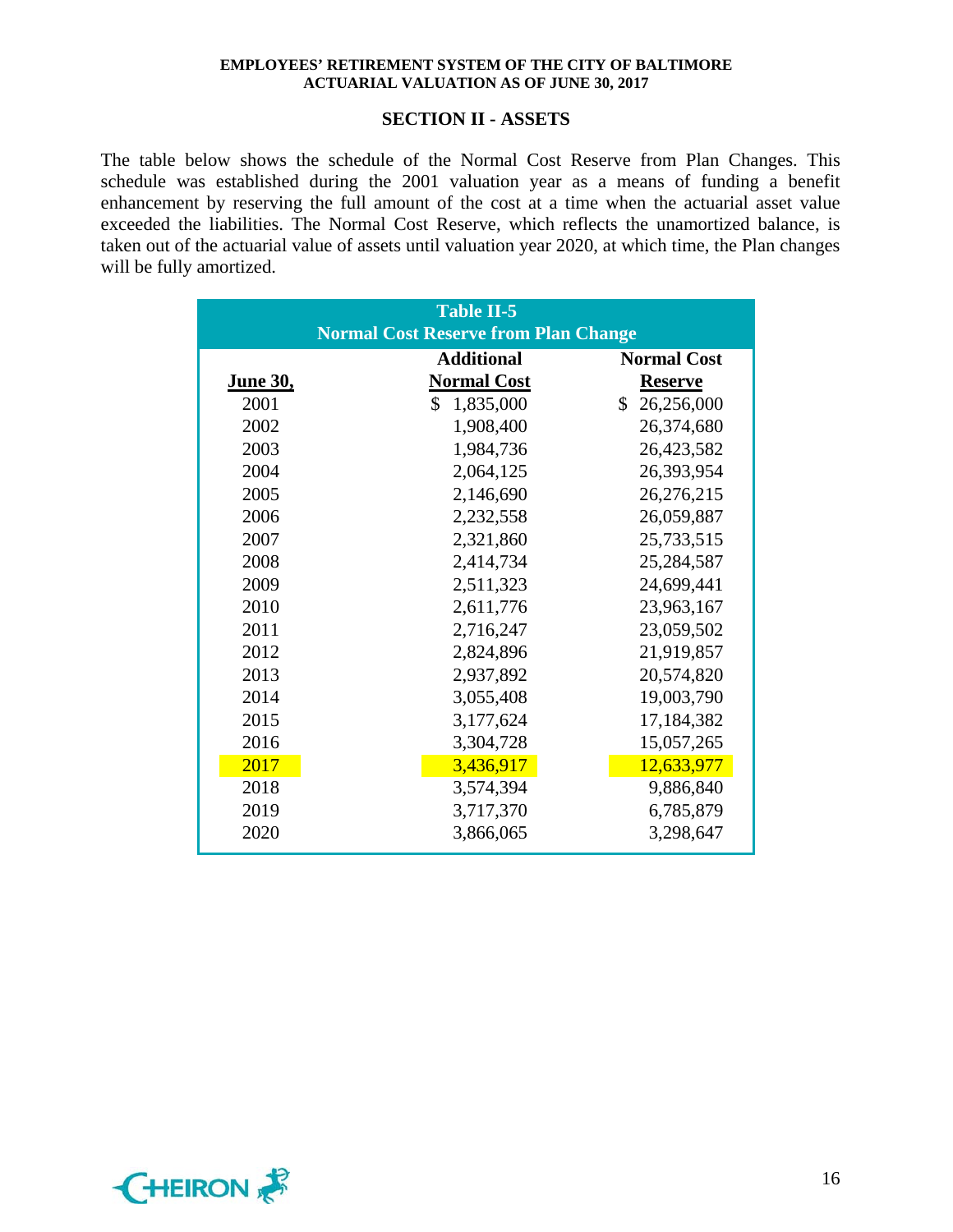#### **SECTION II - ASSETS**

The table below shows the schedule of the Normal Cost Reserve from Plan Changes. This schedule was established during the 2001 valuation year as a means of funding a benefit enhancement by reserving the full amount of the cost at a time when the actuarial asset value exceeded the liabilities. The Normal Cost Reserve, which reflects the unamortized balance, is taken out of the actuarial value of assets until valuation year 2020, at which time, the Plan changes will be fully amortized.

|                 | <b>Table II-5</b>                           |                    |
|-----------------|---------------------------------------------|--------------------|
|                 | <b>Normal Cost Reserve from Plan Change</b> |                    |
|                 | <b>Additional</b>                           | <b>Normal Cost</b> |
| <u>June 30,</u> | <b>Normal Cost</b>                          | <b>Reserve</b>     |
| 2001            | \$<br>1,835,000                             | \$<br>26,256,000   |
| 2002            | 1,908,400                                   | 26,374,680         |
| 2003            | 1,984,736                                   | 26,423,582         |
| 2004            | 2,064,125                                   | 26,393,954         |
| 2005            | 2,146,690                                   | 26,276,215         |
| 2006            | 2,232,558                                   | 26,059,887         |
| 2007            | 2,321,860                                   | 25,733,515         |
| 2008            | 2,414,734                                   | 25,284,587         |
| 2009            | 2,511,323                                   | 24,699,441         |
| 2010            | 2,611,776                                   | 23,963,167         |
| 2011            | 2,716,247                                   | 23,059,502         |
| 2012            | 2,824,896                                   | 21,919,857         |
| 2013            | 2,937,892                                   | 20,574,820         |
| 2014            | 3,055,408                                   | 19,003,790         |
| 2015            | 3,177,624                                   | 17,184,382         |
| 2016            | 3,304,728                                   | 15,057,265         |
| 2017            | 3,436,917                                   | 12,633,977         |
| 2018            | 3,574,394                                   | 9,886,840          |
| 2019            | 3,717,370                                   | 6,785,879          |
| 2020            | 3,866,065                                   | 3,298,647          |

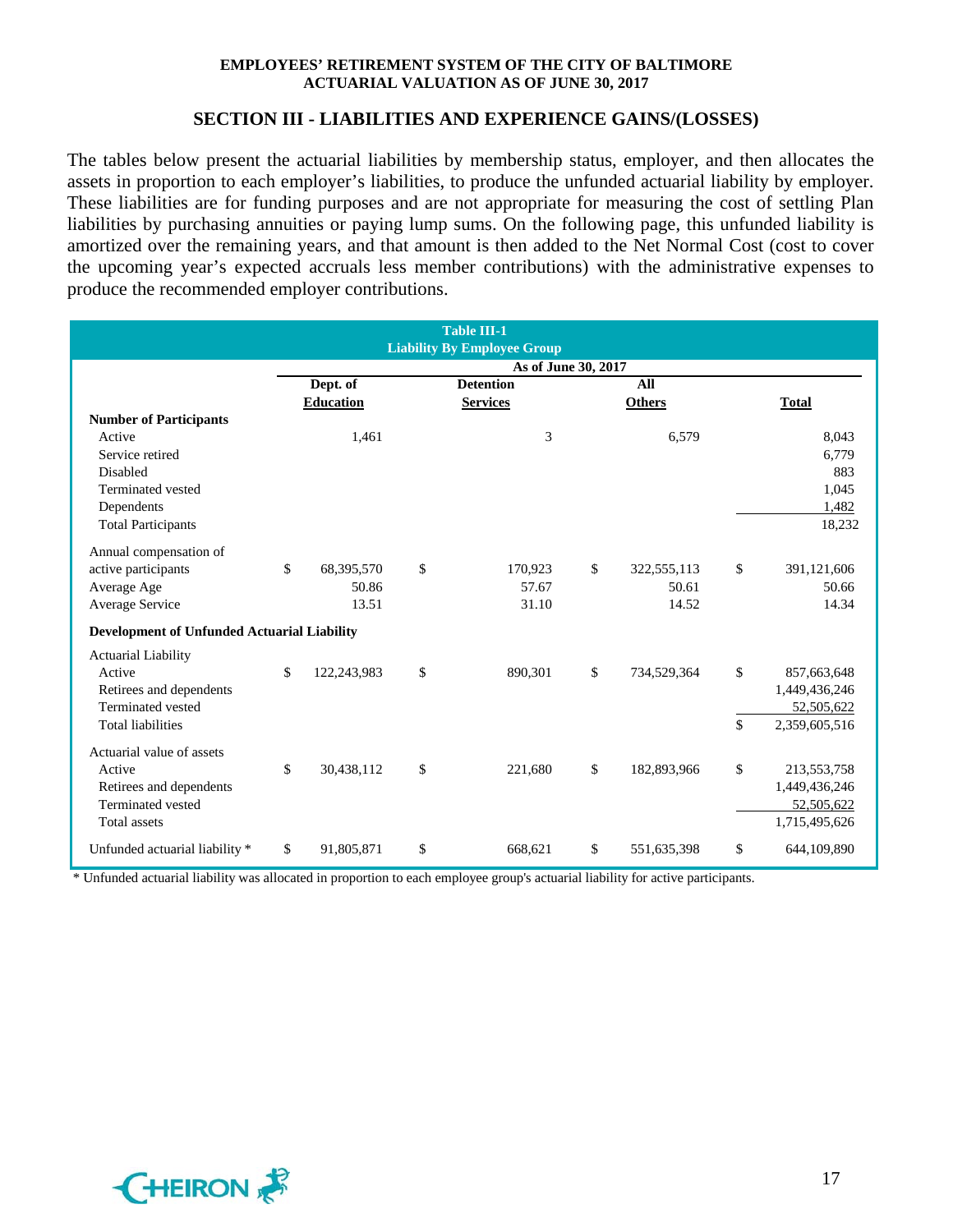#### **SECTION III - LIABILITIES AND EXPERIENCE GAINS/(LOSSES)**

The tables below present the actuarial liabilities by membership status, employer, and then allocates the assets in proportion to each employer's liabilities, to produce the unfunded actuarial liability by employer. These liabilities are for funding purposes and are not appropriate for measuring the cost of settling Plan liabilities by purchasing annuities or paying lump sums. On the following page, this unfunded liability is amortized over the remaining years, and that amount is then added to the Net Normal Cost (cost to cover the upcoming year's expected accruals less member contributions) with the administrative expenses to produce the recommended employer contributions.

|                                                    |                     |                  |    | <b>Table III-1</b><br><b>Liability By Employee Group</b> |    |               |              |               |  |  |  |
|----------------------------------------------------|---------------------|------------------|----|----------------------------------------------------------|----|---------------|--------------|---------------|--|--|--|
|                                                    | As of June 30, 2017 |                  |    |                                                          |    |               |              |               |  |  |  |
|                                                    |                     | Dept. of         |    | <b>Detention</b>                                         |    | All           |              |               |  |  |  |
|                                                    |                     | <b>Education</b> |    | <b>Services</b>                                          |    | <b>Others</b> |              | <b>Total</b>  |  |  |  |
| <b>Number of Participants</b>                      |                     |                  |    |                                                          |    |               |              |               |  |  |  |
| Active                                             |                     | 1,461            |    | 3                                                        |    | 6,579         |              | 8,043         |  |  |  |
| Service retired                                    |                     |                  |    |                                                          |    |               |              | 6.779         |  |  |  |
| Disabled                                           |                     |                  |    |                                                          |    |               |              | 883           |  |  |  |
| Terminated vested                                  |                     |                  |    |                                                          |    |               |              | 1,045         |  |  |  |
| Dependents                                         |                     |                  |    |                                                          |    |               |              | 1,482         |  |  |  |
| <b>Total Participants</b>                          |                     |                  |    |                                                          |    |               |              | 18,232        |  |  |  |
| Annual compensation of                             |                     |                  |    |                                                          |    |               |              |               |  |  |  |
| active participants                                | \$                  | 68,395,570       | \$ | 170,923                                                  | \$ | 322,555,113   | $\mathbb{S}$ | 391,121,606   |  |  |  |
| Average Age                                        |                     | 50.86            |    | 57.67                                                    |    | 50.61         |              | 50.66         |  |  |  |
| Average Service                                    |                     | 13.51            |    | 31.10                                                    |    | 14.52         |              | 14.34         |  |  |  |
| <b>Development of Unfunded Actuarial Liability</b> |                     |                  |    |                                                          |    |               |              |               |  |  |  |
| <b>Actuarial Liability</b>                         |                     |                  |    |                                                          |    |               |              |               |  |  |  |
| Active                                             | \$                  | 122,243,983      | \$ | 890,301                                                  | \$ | 734,529,364   | \$           | 857,663,648   |  |  |  |
| Retirees and dependents                            |                     |                  |    |                                                          |    |               |              | 1,449,436,246 |  |  |  |
| <b>Terminated</b> vested                           |                     |                  |    |                                                          |    |               |              | 52,505,622    |  |  |  |
| <b>Total liabilities</b>                           |                     |                  |    |                                                          |    |               | \$           | 2,359,605,516 |  |  |  |
| Actuarial value of assets                          |                     |                  |    |                                                          |    |               |              |               |  |  |  |
| Active                                             | $\mathbb{S}$        | 30,438,112       | \$ | 221,680                                                  | \$ | 182,893,966   | \$           | 213, 553, 758 |  |  |  |
| Retirees and dependents                            |                     |                  |    |                                                          |    |               |              | 1,449,436,246 |  |  |  |
| Terminated vested                                  |                     |                  |    |                                                          |    |               |              | 52,505,622    |  |  |  |
| <b>Total assets</b>                                |                     |                  |    |                                                          |    |               |              | 1,715,495,626 |  |  |  |
| Unfunded actuarial liability *                     | \$                  | 91,805,871       | \$ | 668,621                                                  | \$ | 551,635,398   | \$           | 644,109,890   |  |  |  |

\* Unfunded actuarial liability was allocated in proportion to each employee group's actuarial liability for active participants.

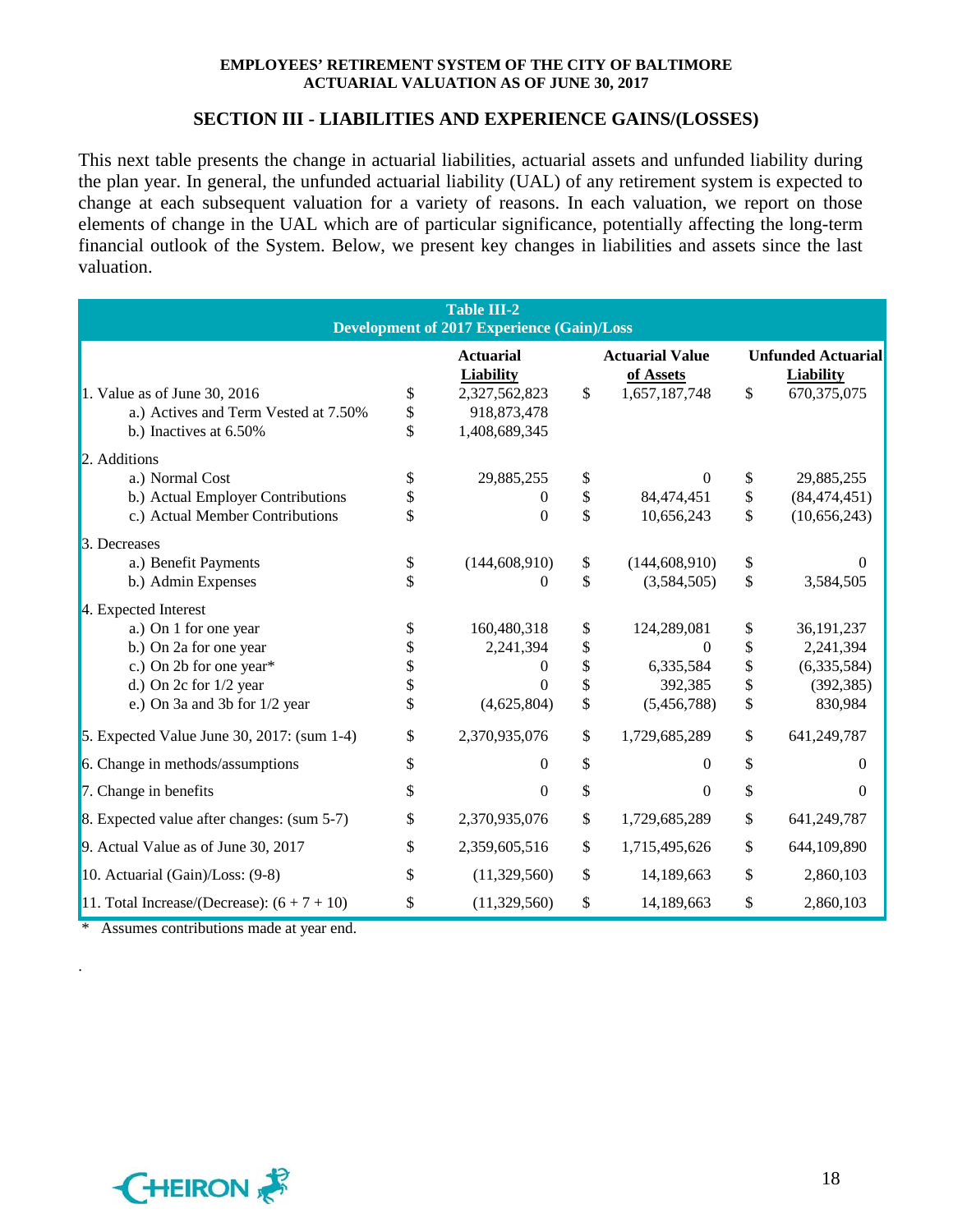#### **SECTION III - LIABILITIES AND EXPERIENCE GAINS/(LOSSES)**

This next table presents the change in actuarial liabilities, actuarial assets and unfunded liability during the plan year. In general, the unfunded actuarial liability (UAL) of any retirement system is expected to change at each subsequent valuation for a variety of reasons. In each valuation, we report on those elements of change in the UAL which are of particular significance, potentially affecting the long-term financial outlook of the System. Below, we present key changes in liabilities and assets since the last valuation.

|                                               | <b>Table III-2</b><br><b>Development of 2017 Experience (Gain)/Loss</b> |                                     |                                               |
|-----------------------------------------------|-------------------------------------------------------------------------|-------------------------------------|-----------------------------------------------|
|                                               | <b>Actuarial</b><br><b>Liability</b>                                    | <b>Actuarial Value</b><br>of Assets | <b>Unfunded Actuarial</b><br><b>Liability</b> |
| 1. Value as of June 30, 2016                  | \$<br>2,327,562,823                                                     | \$<br>1,657,187,748                 | \$<br>670, 375, 075                           |
| a.) Actives and Term Vested at 7.50%          | \$<br>918,873,478                                                       |                                     |                                               |
| b.) Inactives at 6.50%                        | \$<br>1,408,689,345                                                     |                                     |                                               |
| 2. Additions                                  |                                                                         |                                     |                                               |
| a.) Normal Cost                               | \$<br>29,885,255                                                        | \$<br>0                             | \$<br>29,885,255                              |
| b.) Actual Employer Contributions             | 0                                                                       | \$<br>84,474,451                    | \$<br>(84, 474, 451)                          |
| c.) Actual Member Contributions               | \$<br>0                                                                 | \$<br>10,656,243                    | \$<br>(10,656,243)                            |
| 3. Decreases                                  |                                                                         |                                     |                                               |
| a.) Benefit Payments                          | \$<br>(144, 608, 910)                                                   | \$<br>(144, 608, 910)               | \$<br>0                                       |
| b.) Admin Expenses                            | \$<br>0                                                                 | \$<br>(3,584,505)                   | \$<br>3,584,505                               |
| 4. Expected Interest                          |                                                                         |                                     |                                               |
| a.) On 1 for one year                         | \$<br>160,480,318                                                       | \$<br>124,289,081                   | \$<br>36, 191, 237                            |
| b.) On 2a for one year                        | \$<br>2,241,394                                                         | \$<br>$\theta$                      | \$<br>2,241,394                               |
| c.) On 2b for one year*                       | \$<br>0                                                                 | \$<br>6,335,584                     | \$<br>(6,335,584)                             |
| d.) On $2c$ for $1/2$ year                    | \$<br>0                                                                 | \$<br>392,385                       | \$<br>(392, 385)                              |
| e.) On 3a and 3b for 1/2 year                 | \$<br>(4,625,804)                                                       | \$<br>(5,456,788)                   | \$<br>830,984                                 |
| 5. Expected Value June 30, 2017: (sum 1-4)    | \$<br>2,370,935,076                                                     | \$<br>1,729,685,289                 | \$<br>641,249,787                             |
| 6. Change in methods/assumptions              | \$<br>0                                                                 | \$<br>$\mathbf{0}$                  | \$<br>$\theta$                                |
| 7. Change in benefits                         | \$<br>$\theta$                                                          | \$<br>$\Omega$                      | \$<br>$\Omega$                                |
| 8. Expected value after changes: (sum 5-7)    | \$<br>2,370,935,076                                                     | \$<br>1,729,685,289                 | \$<br>641,249,787                             |
| 9. Actual Value as of June 30, 2017           | \$<br>2,359,605,516                                                     | \$<br>1,715,495,626                 | \$<br>644,109,890                             |
| 10. Actuarial (Gain)/Loss: (9-8)              | \$<br>(11,329,560)                                                      | \$<br>14,189,663                    | \$<br>2,860,103                               |
| 11. Total Increase/(Decrease): $(6 + 7 + 10)$ | \$<br>(11,329,560)                                                      | \$<br>14,189,663                    | \$<br>2,860,103                               |

Assumes contributions made at year end.

.

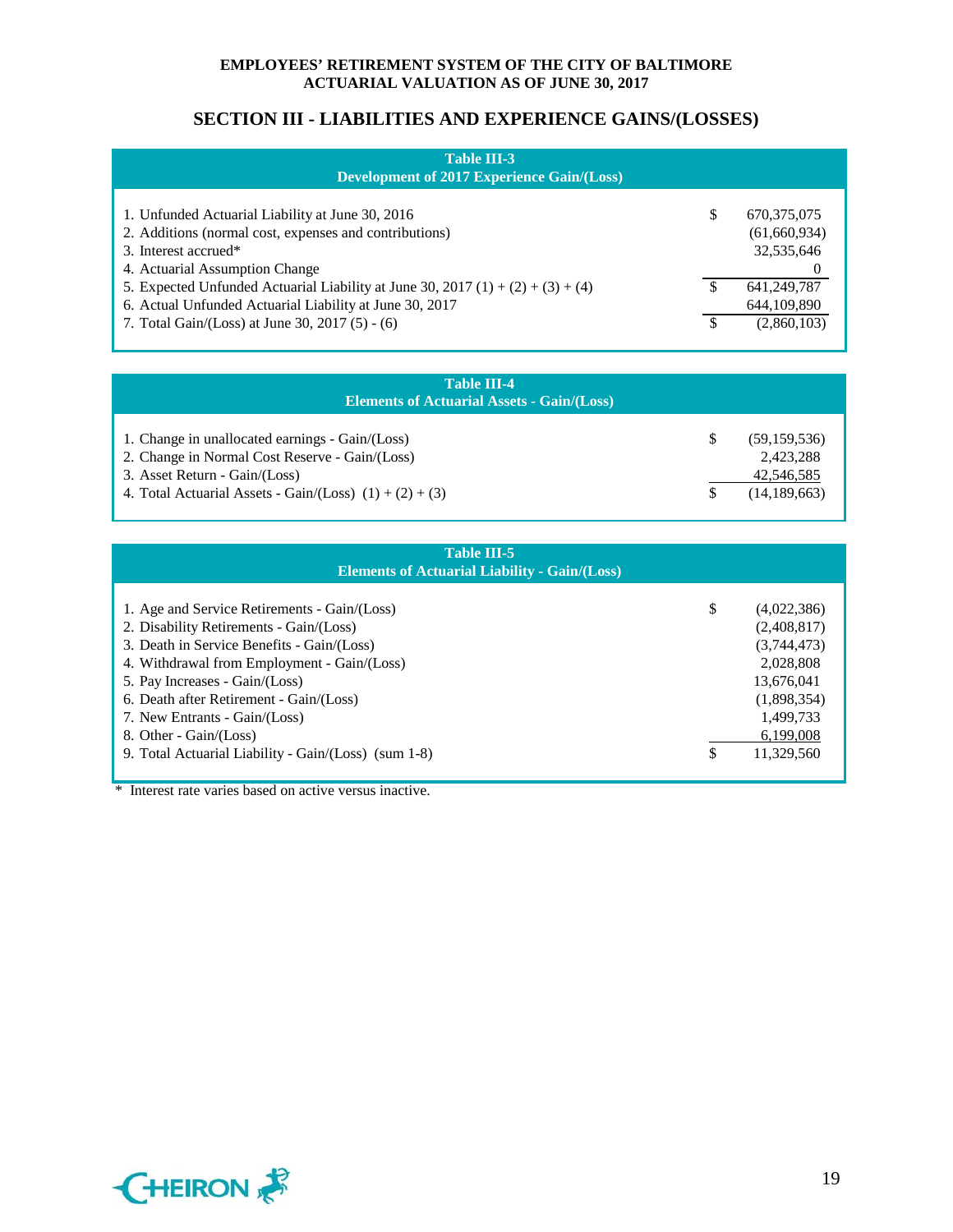## **SECTION III - LIABILITIES AND EXPERIENCE GAINS/(LOSSES)**

| <b>Table III-3</b><br><b>Development of 2017 Experience Gain/(Loss)</b>                                                                                                                       |                                             |
|-----------------------------------------------------------------------------------------------------------------------------------------------------------------------------------------------|---------------------------------------------|
| 1. Unfunded Actuarial Liability at June 30, 2016<br>2. Additions (normal cost, expenses and contributions)<br>3. Interest accrued*<br>4. Actuarial Assumption Change                          | 670, 375, 075<br>(61,660,934)<br>32,535,646 |
| 5. Expected Unfunded Actuarial Liability at June 30, 2017 (1) + (2) + (3) + (4)<br>6. Actual Unfunded Actuarial Liability at June 30, 2017<br>7. Total Gain/(Loss) at June 30, 2017 (5) - (6) | 641, 249, 787<br>644,109,890<br>(2,860,103) |

| <b>Table III-4</b><br><b>Elements of Actuarial Assets - Gain/(Loss)</b>                                                                                                                         |                                                             |
|-------------------------------------------------------------------------------------------------------------------------------------------------------------------------------------------------|-------------------------------------------------------------|
| 1. Change in unallocated earnings - Gain/(Loss)<br>2. Change in Normal Cost Reserve - Gain/(Loss)<br>3. Asset Return - Gain/(Loss)<br>4. Total Actuarial Assets - Gain/(Loss) $(1) + (2) + (3)$ | (59, 159, 536)<br>2,423,288<br>42,546,585<br>(14, 189, 663) |

| <b>Table III-5</b><br><b>Elements of Actuarial Liability - Gain/(Loss)</b>                                                                                                                                                                                                                                                                                                           |                                                                                                                                   |
|--------------------------------------------------------------------------------------------------------------------------------------------------------------------------------------------------------------------------------------------------------------------------------------------------------------------------------------------------------------------------------------|-----------------------------------------------------------------------------------------------------------------------------------|
| 1. Age and Service Retirements - Gain/(Loss)<br>2. Disability Retirements - Gain/(Loss)<br>3. Death in Service Benefits - Gain/(Loss)<br>4. Withdrawal from Employment - Gain/(Loss)<br>5. Pay Increases - Gain/(Loss)<br>6. Death after Retirement - Gain/(Loss)<br>7. New Entrants - Gain/(Loss)<br>8. Other - Gain/(Loss)<br>9. Total Actuarial Liability - Gain/(Loss) (sum 1-8) | \$<br>(4,022,386)<br>(2,408,817)<br>(3,744,473)<br>2,028,808<br>13,676,041<br>(1,898,354)<br>1,499,733<br>6,199,008<br>11.329.560 |

\* Interest rate varies based on active versus inactive.

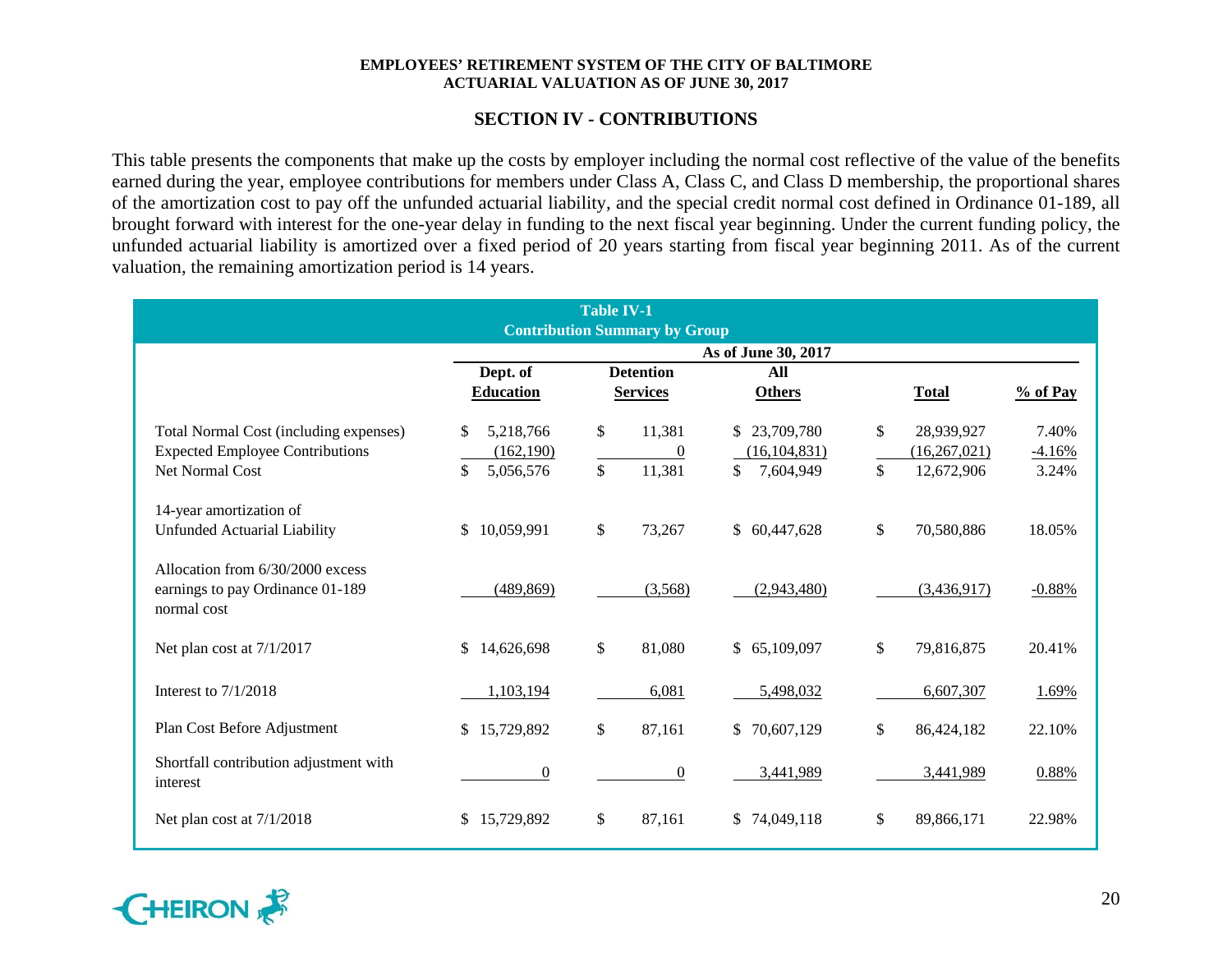## **SECTION IV - CONTRIBUTIONS**

This table presents the components that make up the costs by employer including the normal cost reflective of the value of the benefits earned during the year, employee contributions for members under Class A, Class C, and Class D membership, the proportional shares of the amortization cost to pay off the unfunded actuarial liability, and the special credit normal cost defined in Ordinance 01-189, all brought forward with interest for the one-year delay in funding to the next fiscal year beginning. Under the current funding policy, the unfunded actuarial liability is amortized over a fixed period of 20 years starting from fiscal year beginning 2011. As of the current valuation, the remaining amortization period is 14 years.

|                                                                                     |                            | <b>Table IV-1</b>                    |                     |                  |          |
|-------------------------------------------------------------------------------------|----------------------------|--------------------------------------|---------------------|------------------|----------|
|                                                                                     |                            | <b>Contribution Summary by Group</b> |                     |                  |          |
|                                                                                     |                            |                                      | As of June 30, 2017 |                  |          |
|                                                                                     | Dept. of                   | <b>Detention</b>                     | All                 |                  |          |
|                                                                                     | <b>Education</b>           | <b>Services</b>                      | <b>Others</b>       | <b>Total</b>     | % of Pay |
| Total Normal Cost (including expenses)                                              | \$<br>5,218,766            | \$<br>11,381                         | \$23,709,780        | \$<br>28,939,927 | 7.40%    |
| <b>Expected Employee Contributions</b>                                              | (162, 190)                 | $\overline{0}$                       | (16, 104, 831)      | (16, 267, 021)   | $-4.16%$ |
| Net Normal Cost                                                                     | \$<br>5,056,576            | 11,381<br>\$                         | \$<br>7,604,949     | \$<br>12,672,906 | 3.24%    |
| 14-year amortization of                                                             |                            |                                      |                     |                  |          |
| <b>Unfunded Actuarial Liability</b>                                                 | $\mathbb{S}$<br>10,059,991 | \$<br>73,267                         | \$60,447,628        | \$<br>70,580,886 | 18.05%   |
| Allocation from 6/30/2000 excess<br>earnings to pay Ordinance 01-189<br>normal cost | (489, 869)                 | (3,568)                              | (2,943,480)         | (3,436,917)      | $-0.88%$ |
| Net plan cost at 7/1/2017                                                           | $\mathbb{S}$<br>14,626,698 | \$<br>81,080                         | \$65,109,097        | \$<br>79,816,875 | 20.41%   |
| Interest to $7/1/2018$                                                              | 1,103,194                  | 6,081                                | 5,498,032           | 6,607,307        | 1.69%    |
| Plan Cost Before Adjustment                                                         | 15,729,892<br>$\mathbb{S}$ | \$<br>87,161                         | \$70,607,129        | \$<br>86,424,182 | 22.10%   |
| Shortfall contribution adjustment with<br>interest                                  | $\boldsymbol{0}$           | $\boldsymbol{0}$                     | 3,441,989           | 3,441,989        | 0.88%    |
| Net plan cost at 7/1/2018                                                           | \$15,729,892               | \$<br>87,161                         | \$74,049,118        | \$<br>89,866,171 | 22.98%   |

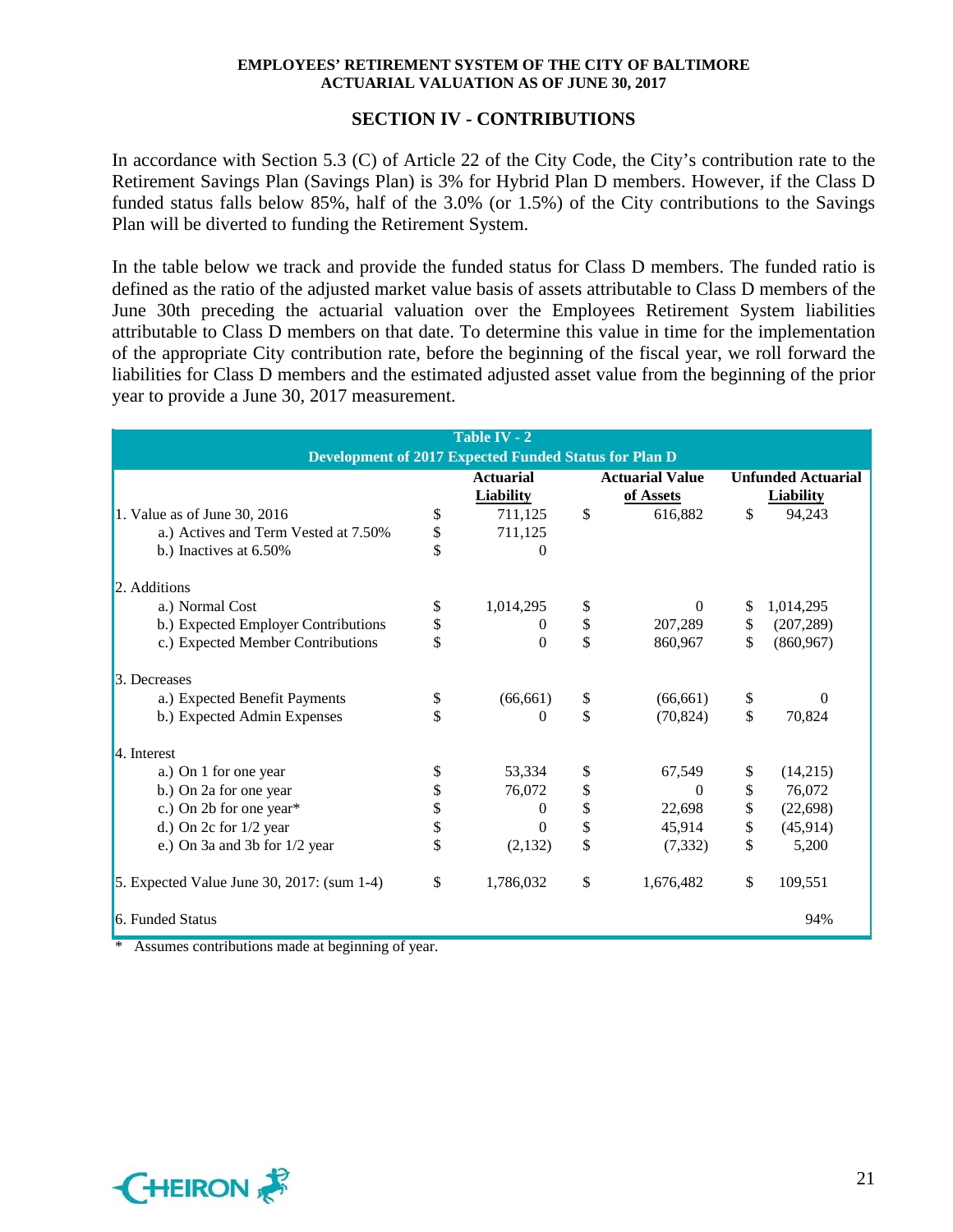## **SECTION IV - CONTRIBUTIONS**

In accordance with Section 5.3 (C) of Article 22 of the City Code, the City's contribution rate to the Retirement Savings Plan (Savings Plan) is 3% for Hybrid Plan D members. However, if the Class D funded status falls below 85%, half of the 3.0% (or 1.5%) of the City contributions to the Savings Plan will be diverted to funding the Retirement System.

In the table below we track and provide the funded status for Class D members. The funded ratio is defined as the ratio of the adjusted market value basis of assets attributable to Class D members of the June 30th preceding the actuarial valuation over the Employees Retirement System liabilities attributable to Class D members on that date. To determine this value in time for the implementation of the appropriate City contribution rate, before the beginning of the fiscal year, we roll forward the liabilities for Class D members and the estimated adjusted asset value from the beginning of the prior year to provide a June 30, 2017 measurement.

|                                            |          | Table IV - 2                                          |                        |                           |
|--------------------------------------------|----------|-------------------------------------------------------|------------------------|---------------------------|
|                                            |          | Development of 2017 Expected Funded Status for Plan D |                        |                           |
|                                            |          | <b>Actuarial</b>                                      | <b>Actuarial Value</b> | <b>Unfunded Actuarial</b> |
|                                            |          | <b>Liability</b>                                      | of Assets              | <b>Liability</b>          |
| 1. Value as of June 30, 2016               | \$       | 711,125                                               | \$<br>616,882          | \$<br>94,243              |
| a.) Actives and Term Vested at 7.50%       | \$       | 711,125                                               |                        |                           |
| b.) Inactives at 6.50%                     | \$       | 0                                                     |                        |                           |
| 2. Additions                               |          |                                                       |                        |                           |
| a.) Normal Cost                            | \$       | 1,014,295                                             | \$<br>$\Omega$         | \$<br>1,014,295           |
| b.) Expected Employer Contributions        | \$       | $\Omega$                                              | \$<br>207,289          | \$<br>(207, 289)          |
| c.) Expected Member Contributions          | \$       | $\boldsymbol{0}$                                      | \$<br>860,967          | \$<br>(860, 967)          |
| 3. Decreases                               |          |                                                       |                        |                           |
| a.) Expected Benefit Payments              | \$       | (66, 661)                                             | \$<br>(66, 661)        | \$<br>$\Omega$            |
| b.) Expected Admin Expenses                | \$       | 0                                                     | \$<br>(70, 824)        | \$<br>70,824              |
| 4. Interest                                |          |                                                       |                        |                           |
| a.) On 1 for one year                      | \$       | 53,334                                                | \$<br>67,549           | \$<br>(14,215)            |
| b.) On 2a for one year                     | \$       | 76,072                                                | \$<br>$\Omega$         | \$<br>76,072              |
| c.) On 2b for one year*                    |          | $\theta$                                              | \$<br>22,698           | \$<br>(22, 698)           |
| d.) On $2c$ for $1/2$ year                 | \$<br>\$ | 0                                                     | \$<br>45,914           | \$<br>(45, 914)           |
| e.) On 3a and 3b for 1/2 year              | \$       | (2,132)                                               | \$<br>(7, 332)         | \$<br>5,200               |
| 5. Expected Value June 30, 2017: (sum 1-4) | \$       | 1,786,032                                             | \$<br>1,676,482        | \$<br>109,551             |
| 6. Funded Status                           |          |                                                       |                        | 94%                       |

Assumes contributions made at beginning of year.

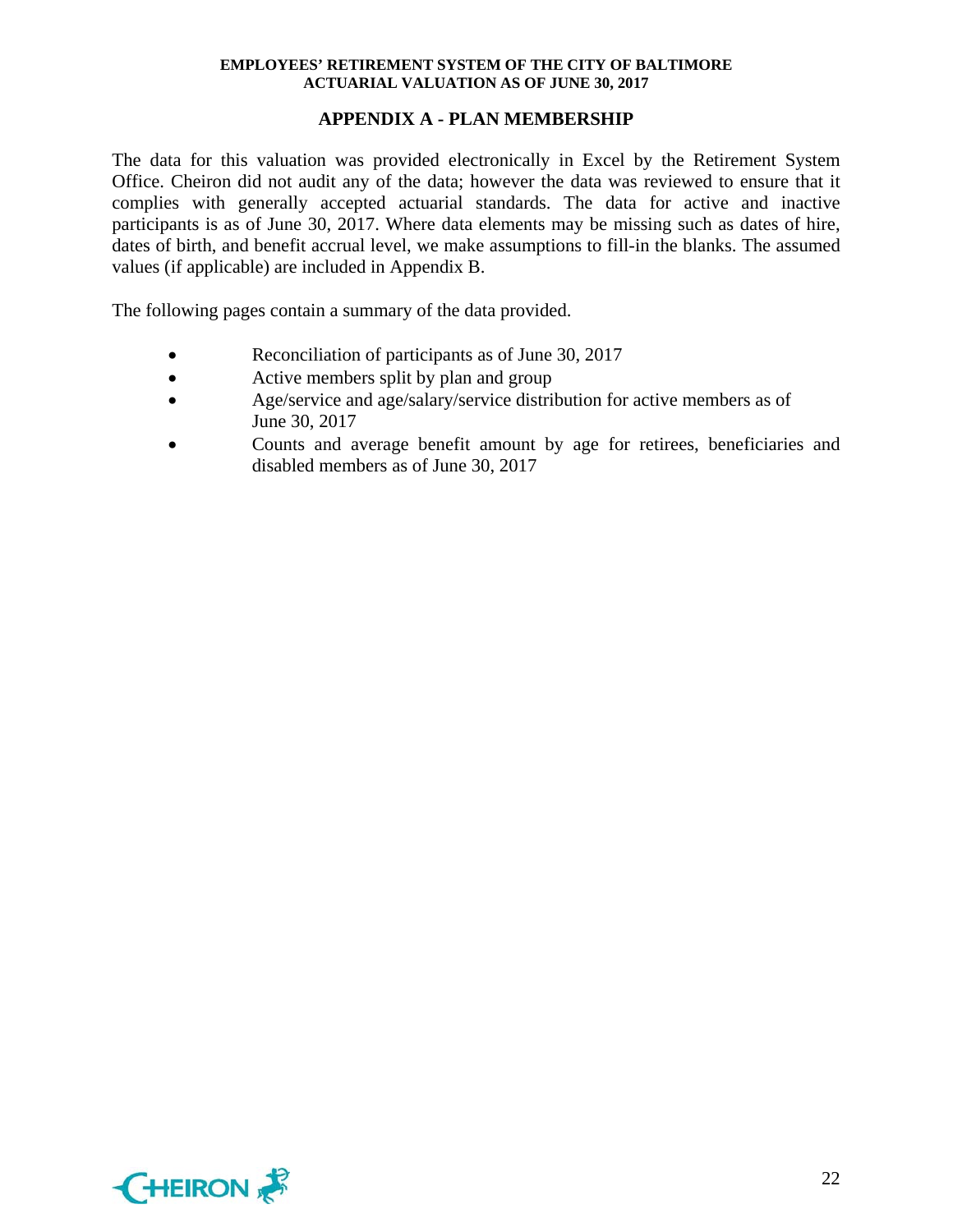## **APPENDIX A - PLAN MEMBERSHIP**

The data for this valuation was provided electronically in Excel by the Retirement System Office. Cheiron did not audit any of the data; however the data was reviewed to ensure that it complies with generally accepted actuarial standards. The data for active and inactive participants is as of June 30, 2017. Where data elements may be missing such as dates of hire, dates of birth, and benefit accrual level, we make assumptions to fill-in the blanks. The assumed values (if applicable) are included in Appendix B.

The following pages contain a summary of the data provided.

- Reconciliation of participants as of June 30, 2017
- Active members split by plan and group
- Age/service and age/salary/service distribution for active members as of June 30, 2017
- Counts and average benefit amount by age for retirees, beneficiaries and disabled members as of June 30, 2017

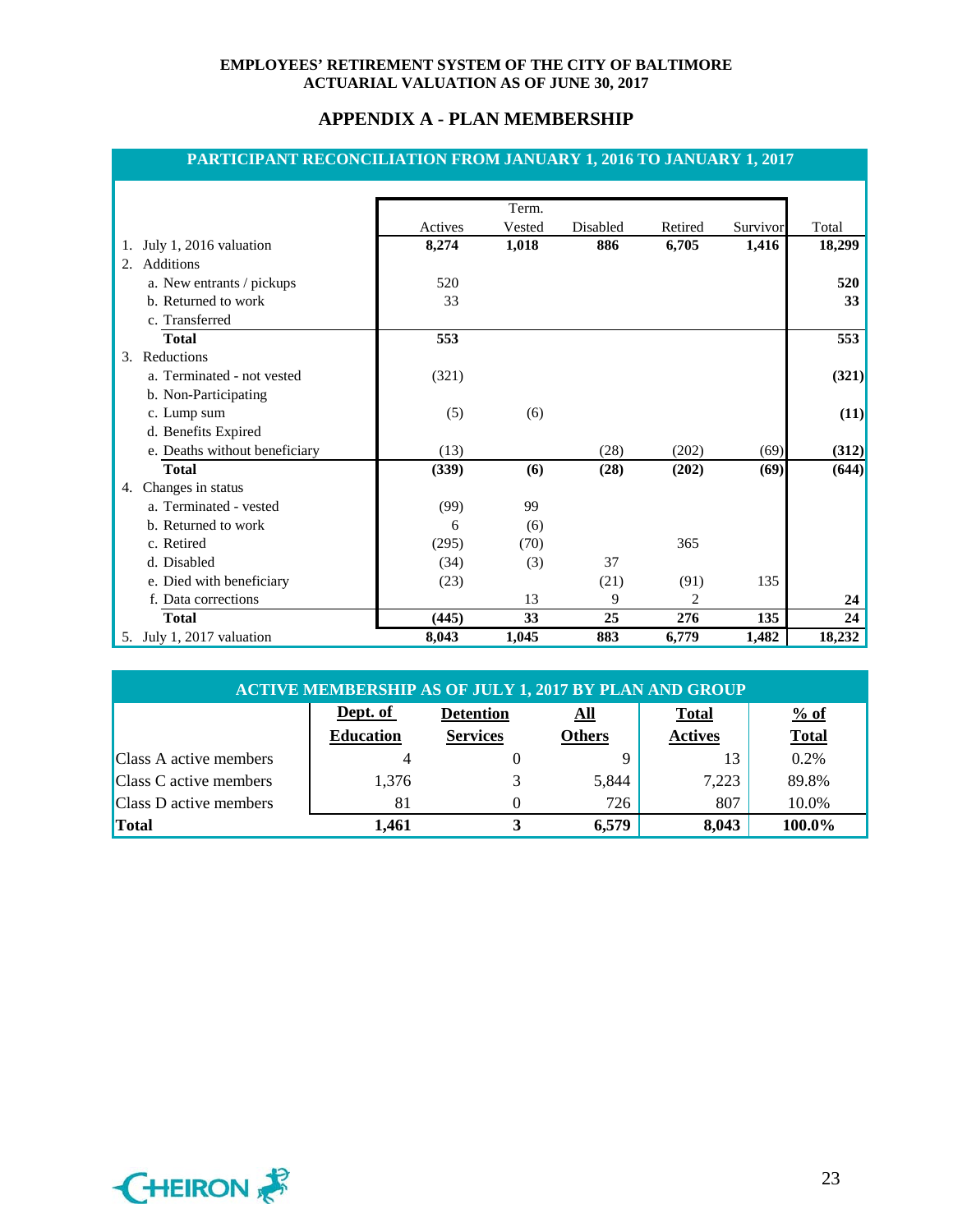## **APPENDIX A - PLAN MEMBERSHIP**

## **PARTICIPANT RECONCILIATION FROM JANUARY 1, 2016 TO JANUARY 1, 2017**

|                               |         | Term.  |          |         |          |        |
|-------------------------------|---------|--------|----------|---------|----------|--------|
|                               | Actives | Vested | Disabled | Retired | Survivor | Total  |
| July 1, 2016 valuation<br>1.  | 8,274   | 1,018  | 886      | 6,705   | 1,416    | 18,299 |
| Additions<br>$2^{+}$          |         |        |          |         |          |        |
| a. New entrants / pickups     | 520     |        |          |         |          | 520    |
| b. Returned to work           | 33      |        |          |         |          | 33     |
| c. Transferred                |         |        |          |         |          |        |
| <b>Total</b>                  | 553     |        |          |         |          | 553    |
| Reductions<br>3.              |         |        |          |         |          |        |
| a. Terminated - not vested    | (321)   |        |          |         |          | (321)  |
| b. Non-Participating          |         |        |          |         |          |        |
| c. Lump sum                   | (5)     | (6)    |          |         |          | (11)   |
| d. Benefits Expired           |         |        |          |         |          |        |
| e. Deaths without beneficiary | (13)    |        | (28)     | (202)   | (69)     | (312)  |
| <b>Total</b>                  | (339)   | (6)    | (28)     | (202)   | (69)     | (644)  |
| Changes in status<br>4.       |         |        |          |         |          |        |
| a. Terminated - vested        | (99)    | 99     |          |         |          |        |
| b. Returned to work           | 6       | (6)    |          |         |          |        |
| c. Retired                    | (295)   | (70)   |          | 365     |          |        |
| d. Disabled                   | (34)    | (3)    | 37       |         |          |        |
| e. Died with beneficiary      | (23)    |        | (21)     | (91)    | 135      |        |
| f. Data corrections           |         | 13     | 9        | 2       |          | 24     |
| <b>Total</b>                  | (445)   | 33     | 25       | 276     | 135      | 24     |
| 5. July 1, 2017 valuation     | 8,043   | 1,045  | 883      | 6,779   | 1,482    | 18,232 |

| <b>ACTIVE MEMBERSHIP AS OF JULY 1, 2017 BY PLAN AND GROUP</b> |                  |                                                        |               |                |              |  |  |
|---------------------------------------------------------------|------------------|--------------------------------------------------------|---------------|----------------|--------------|--|--|
|                                                               | Dept. of         | % of<br><b>Total</b><br><b>Detention</b><br><u>All</u> |               |                |              |  |  |
|                                                               | <b>Education</b> | <b>Services</b>                                        | <b>Others</b> | <b>Actives</b> | <b>Total</b> |  |  |
| <b>Class A active members</b>                                 |                  |                                                        |               |                | 0.2%         |  |  |
| Class C active members                                        | 1,376            |                                                        | 5,844         | 7,223          | 89.8%        |  |  |
| <b>Class D active members</b>                                 | 81               |                                                        | 726           | 807            | 10.0%        |  |  |
| Total                                                         | 1.461            |                                                        | 6,579         | 8,043          | 100.0%       |  |  |

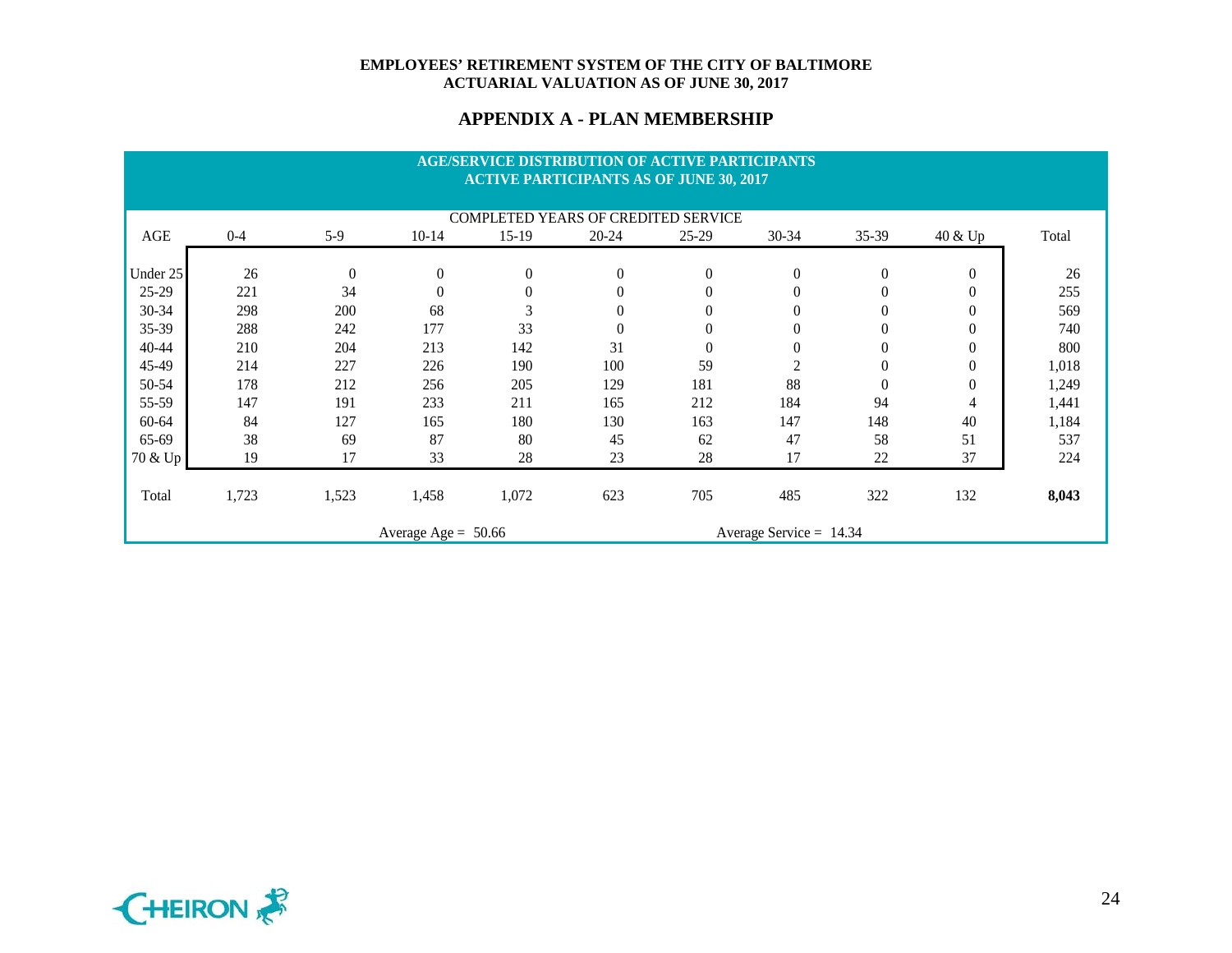#### **APPENDIX A - PLAN MEMBERSHIP**

|           |                                                    |                  |                  |          | <b>AGE/SERVICE DISTRIBUTION OF ACTIVE PARTICIPANTS</b><br><b>ACTIVE PARTICIPANTS AS OF JUNE 30, 2017</b> |                |                |                  |                |       |
|-----------|----------------------------------------------------|------------------|------------------|----------|----------------------------------------------------------------------------------------------------------|----------------|----------------|------------------|----------------|-------|
|           |                                                    |                  |                  |          | COMPLETED YEARS OF CREDITED SERVICE                                                                      |                |                |                  |                |       |
| AGE       | $0 - 4$                                            | $5-9$            | $10-14$          | $15-19$  | $20 - 24$                                                                                                | $25-29$        | 30-34          | $35 - 39$        | 40 & Up        | Total |
| Under 25  | 26                                                 | $\boldsymbol{0}$ | $\boldsymbol{0}$ | $\theta$ | $\boldsymbol{0}$                                                                                         | $\overline{0}$ | $\theta$       | $\boldsymbol{0}$ | $\overline{0}$ | 26    |
| 25-29     | 221                                                | 34               | $\overline{0}$   |          | $\overline{0}$                                                                                           | $\theta$       | $\overline{0}$ | $\theta$         | $\theta$       | 255   |
| 30-34     | 298                                                | 200              | 68               | 3        |                                                                                                          |                | $\theta$       | 0                | $\theta$       | 569   |
| 35-39     | 288                                                | 242              | 177              | 33       | $\theta$                                                                                                 | $\theta$       | $\theta$       | $\theta$         | $\theta$       | 740   |
| 40-44     | 210                                                | 204              | 213              | 142      | 31                                                                                                       | $\theta$       | $\Omega$       | $\theta$         | $\theta$       | 800   |
| 45-49     | 214                                                | 227              | 226              | 190      | 100                                                                                                      | 59             | $\overline{c}$ | $\theta$         | $\theta$       | 1,018 |
| 50-54     | 178                                                | 212              | 256              | 205      | 129                                                                                                      | 181            | 88             | $\theta$         | $\theta$       | 1,249 |
| 55-59     | 147                                                | 191              | 233              | 211      | 165                                                                                                      | 212            | 184            | 94               | 4              | 1,441 |
| $60 - 64$ | 84                                                 | 127              | 165              | 180      | 130                                                                                                      | 163            | 147            | 148              | 40             | 1,184 |
| 65-69     | 38                                                 | 69               | 87               | 80       | 45                                                                                                       | 62             | 47             | 58               | 51             | 537   |
| 70 & Up   | 19                                                 | 17               | 33               | 28       | 23                                                                                                       | 28             | 17             | 22               | 37             | 224   |
| Total     | 1,723                                              | 1,523            | 1,458            | 1,072    | 623                                                                                                      | 705            | 485            | 322              | 132            | 8,043 |
|           | Average Service = $14.34$<br>Average Age = $50.66$ |                  |                  |          |                                                                                                          |                |                |                  |                |       |

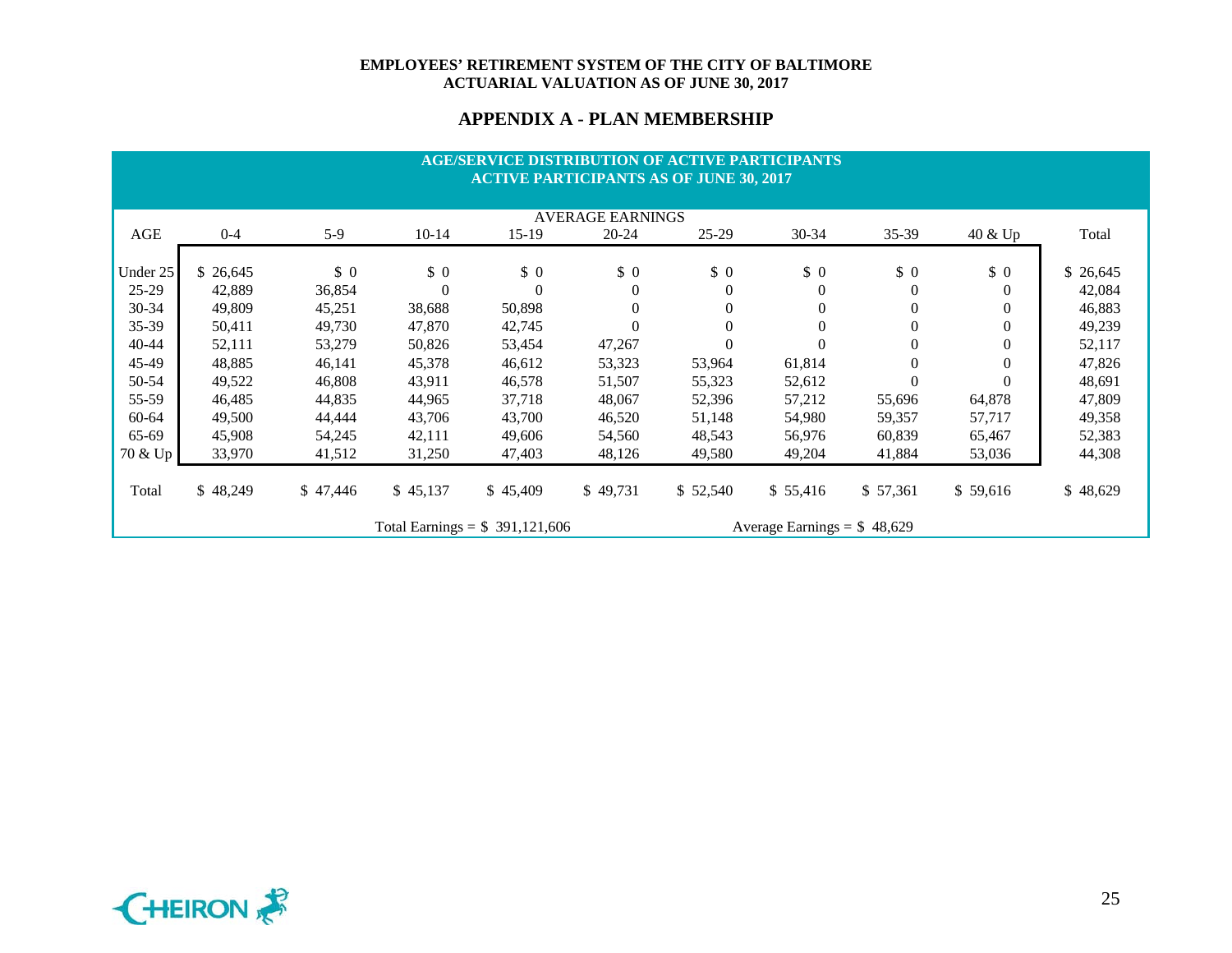## **APPENDIX A - PLAN MEMBERSHIP**

|           |          |            |                |                                 | <b>AGE/SERVICE DISTRIBUTION OF ACTIVE PARTICIPANTS</b><br><b>ACTIVE PARTICIPANTS AS OF JUNE 30, 2017</b> |          |                              |            |            |           |
|-----------|----------|------------|----------------|---------------------------------|----------------------------------------------------------------------------------------------------------|----------|------------------------------|------------|------------|-----------|
|           |          |            |                |                                 | <b>AVERAGE EARNINGS</b>                                                                                  |          |                              |            |            |           |
| AGE       | $0 - 4$  | $5-9$      | $10 - 14$      | $15-19$                         | $20 - 24$                                                                                                | $25-29$  | $30 - 34$                    | 35-39      | 40 & Up    | Total     |
| Under 25  | \$26,645 | $\sqrt{0}$ | $\sqrt{0}$     | $\sqrt{6}$                      | \$0                                                                                                      | \$0      | $\sqrt{0}$                   | $\sqrt{0}$ | $\sqrt{0}$ | \$ 26,645 |
| $25 - 29$ | 42,889   | 36,854     | $\overline{0}$ |                                 | $\theta$                                                                                                 |          | $\theta$                     | $\theta$   | $\Omega$   | 42,084    |
| $30 - 34$ | 49,809   | 45,251     | 38,688         | 50,898                          | $\boldsymbol{0}$                                                                                         |          | $\theta$                     | $\Omega$   | $\Omega$   | 46,883    |
| $35 - 39$ | 50,411   | 49,730     | 47,870         | 42,745                          | $\boldsymbol{0}$                                                                                         | $\Omega$ | $\theta$                     | $\theta$   | $\theta$   | 49,239    |
| 40-44     | 52,111   | 53,279     | 50,826         | 53,454                          | 47,267                                                                                                   |          | $\Omega$                     | $\theta$   | $\Omega$   | 52,117    |
| 45-49     | 48,885   | 46,141     | 45,378         | 46,612                          | 53,323                                                                                                   | 53,964   | 61,814                       | $\Omega$   | $\Omega$   | 47,826    |
| 50-54     | 49,522   | 46,808     | 43,911         | 46,578                          | 51,507                                                                                                   | 55,323   | 52,612                       | $\Omega$   | $\Omega$   | 48,691    |
| 55-59     | 46,485   | 44,835     | 44,965         | 37,718                          | 48,067                                                                                                   | 52,396   | 57,212                       | 55,696     | 64,878     | 47,809    |
| 60-64     | 49,500   | 44,444     | 43,706         | 43,700                          | 46,520                                                                                                   | 51,148   | 54,980                       | 59,357     | 57,717     | 49,358    |
| 65-69     | 45,908   | 54,245     | 42,111         | 49,606                          | 54,560                                                                                                   | 48,543   | 56,976                       | 60,839     | 65,467     | 52,383    |
| 70 & Up   | 33,970   | 41,512     | 31,250         | 47,403                          | 48,126                                                                                                   | 49,580   | 49,204                       | 41,884     | 53,036     | 44,308    |
| Total     | \$48,249 | \$47,446   | \$45,137       | \$45,409                        | \$49,731                                                                                                 | \$52,540 | \$55,416                     | \$ 57,361  | \$59,616   | \$48,629  |
|           |          |            |                | Total Earnings = $$391,121,606$ |                                                                                                          |          | Average Earnings = $$48,629$ |            |            |           |

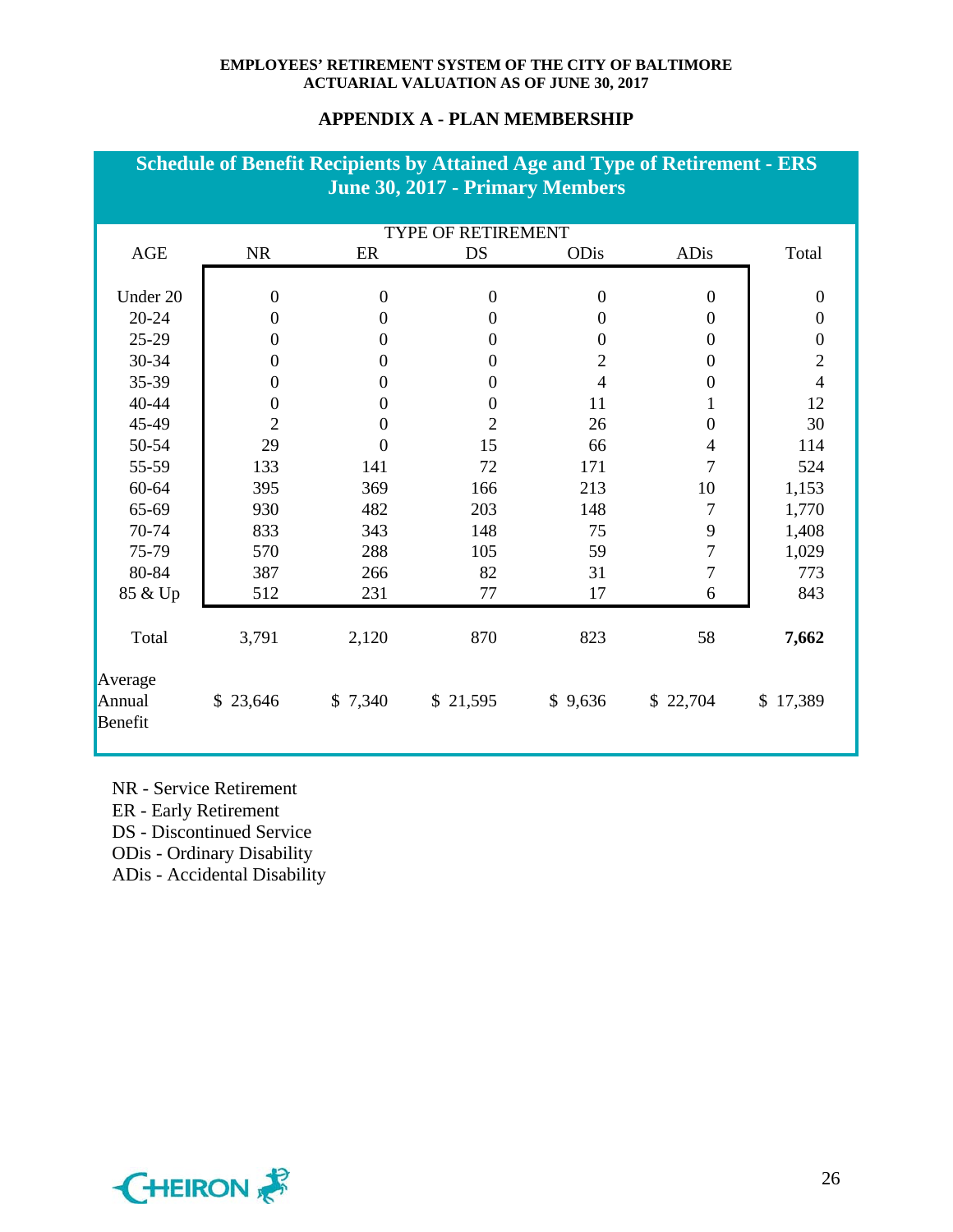## **APPENDIX A - PLAN MEMBERSHIP**

|                              |                  |                  | <b>Schedule of Benefit Recipients by Attained Age and Type of Retirement - ERS</b><br>June 30, 2017 - Primary Members |                  |                  |                  |
|------------------------------|------------------|------------------|-----------------------------------------------------------------------------------------------------------------------|------------------|------------------|------------------|
|                              |                  |                  | TYPE OF RETIREMENT                                                                                                    |                  |                  |                  |
| AGE                          | <b>NR</b>        | ER               | DS                                                                                                                    | ODis             | <b>ADis</b>      | Total            |
| Under 20                     | $\boldsymbol{0}$ | $\boldsymbol{0}$ | $\boldsymbol{0}$                                                                                                      | $\boldsymbol{0}$ | $\boldsymbol{0}$ | $\boldsymbol{0}$ |
| $20 - 24$                    | $\boldsymbol{0}$ | $\boldsymbol{0}$ | $\boldsymbol{0}$                                                                                                      | $\mathbf{0}$     | $\boldsymbol{0}$ | $\boldsymbol{0}$ |
| $25-29$                      | $\boldsymbol{0}$ | $\mathbf{0}$     | $\boldsymbol{0}$                                                                                                      | $\boldsymbol{0}$ | $\boldsymbol{0}$ | $\boldsymbol{0}$ |
| 30-34                        | $\boldsymbol{0}$ | $\boldsymbol{0}$ | $\boldsymbol{0}$                                                                                                      | $\overline{2}$   | $\boldsymbol{0}$ | $\overline{2}$   |
| 35-39                        | $\boldsymbol{0}$ | $\boldsymbol{0}$ | $\boldsymbol{0}$                                                                                                      | $\overline{4}$   | $\boldsymbol{0}$ | $\overline{4}$   |
| 40-44                        | $\boldsymbol{0}$ | $\boldsymbol{0}$ | $\boldsymbol{0}$                                                                                                      | 11               | 1                | 12               |
| 45-49                        | $\overline{2}$   | $\boldsymbol{0}$ | $\overline{2}$                                                                                                        | 26               | $\boldsymbol{0}$ | 30               |
| 50-54                        | 29               | $\overline{0}$   | 15                                                                                                                    | 66               | $\overline{4}$   | 114              |
| 55-59                        | 133              | 141              | 72                                                                                                                    | 171              | 7                | 524              |
| 60-64                        | 395              | 369              | 166                                                                                                                   | 213              | 10               | 1,153            |
| 65-69                        | 930              | 482              | 203                                                                                                                   | 148              | 7                | 1,770            |
| 70-74                        | 833              | 343              | 148                                                                                                                   | 75               | 9                | 1,408            |
| 75-79                        | 570              | 288              | 105                                                                                                                   | 59               | $\overline{7}$   | 1,029            |
| 80-84                        | 387              | 266              | 82                                                                                                                    | 31               | $\tau$           | 773              |
| 85 & Up                      | 512              | 231              | 77                                                                                                                    | 17               | 6                | 843              |
| Total                        | 3,791            | 2,120            | 870                                                                                                                   | 823              | 58               | 7,662            |
| Average<br>Annual<br>Benefit | \$23,646         | \$7,340          | \$21,595                                                                                                              | \$9,636          | \$22,704         | \$17,389         |

NR - Service Retirement

ER - Early Retirement

DS - Discontinued Service

ODis - Ordinary Disability

ADis - Accidental Disability

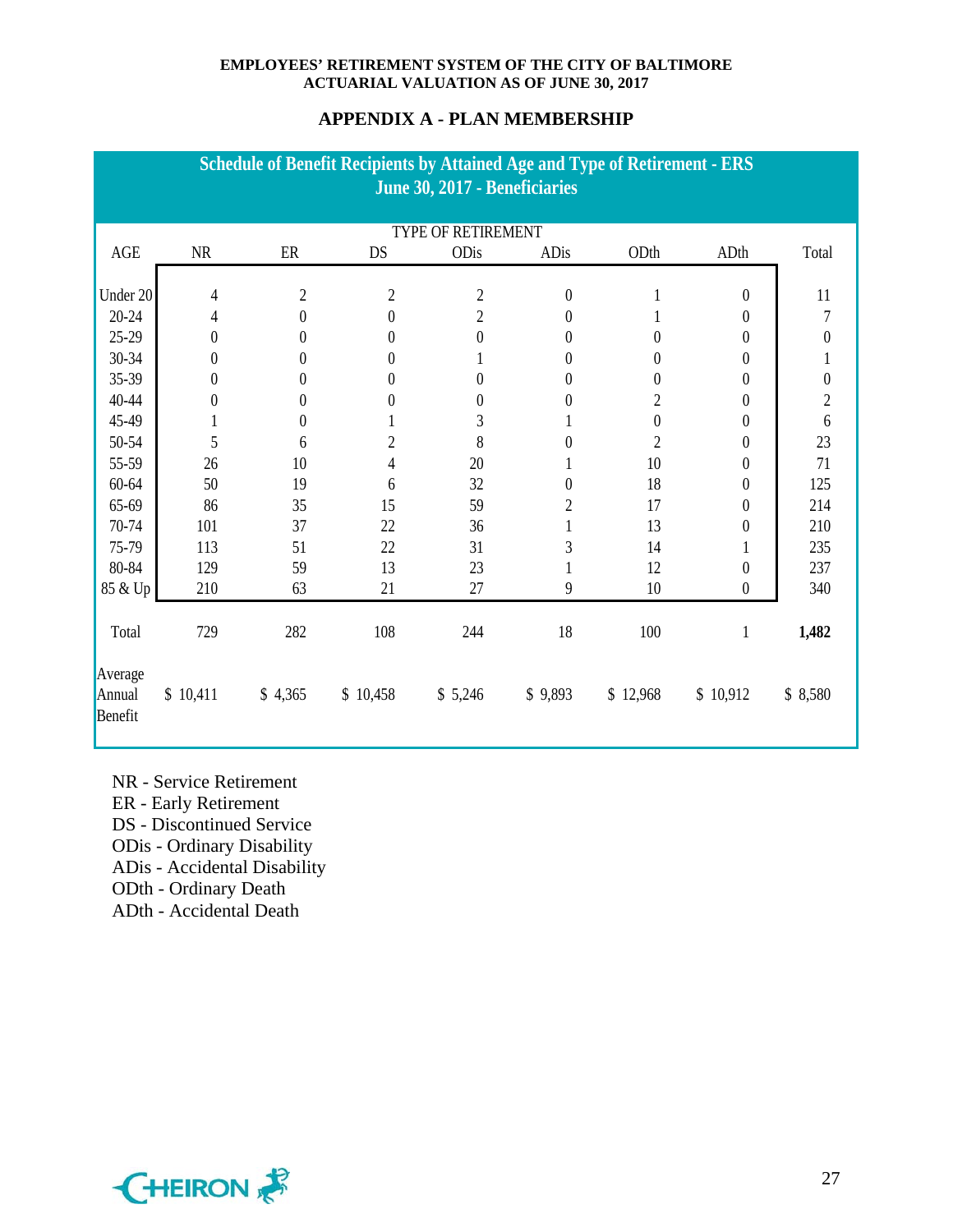## **APPENDIX A - PLAN MEMBERSHIP**

| <b>Schedule of Benefit Recipients by Attained Age and Type of Retirement - ERS</b><br>June 30, 2017 - Beneficiaries |  |                  |                  |                  |                           |                |                  |                  |                              |
|---------------------------------------------------------------------------------------------------------------------|--|------------------|------------------|------------------|---------------------------|----------------|------------------|------------------|------------------------------|
|                                                                                                                     |  |                  |                  |                  |                           |                |                  |                  |                              |
|                                                                                                                     |  |                  |                  |                  | <b>TYPE OF RETIREMENT</b> |                |                  |                  |                              |
| Total                                                                                                               |  | ADth             | ODth             | ADis             | ODis                      | DS             | ER               | $\rm NR$         | AGE                          |
|                                                                                                                     |  |                  |                  |                  |                           |                |                  |                  |                              |
| 11                                                                                                                  |  | $\theta$         |                  | $\boldsymbol{0}$ | $\overline{c}$            | $\overline{2}$ | $\boldsymbol{2}$ | 4                | Under 20                     |
| 7                                                                                                                   |  | $\theta$         |                  | 0                | $\overline{c}$            | $\theta$       | $\boldsymbol{0}$ | 4                | $20 - 24$                    |
| $\boldsymbol{0}$                                                                                                    |  | $\boldsymbol{0}$ | 0                | $\boldsymbol{0}$ | $\boldsymbol{0}$          | $\theta$       | $\boldsymbol{0}$ | $\boldsymbol{0}$ | 25-29                        |
|                                                                                                                     |  | $\theta$         | 0                | $\boldsymbol{0}$ |                           | 0              | $\boldsymbol{0}$ | 0                | 30-34                        |
| $\boldsymbol{0}$                                                                                                    |  | $\theta$         | 0                | $\boldsymbol{0}$ | $\theta$                  | 0              | $\boldsymbol{0}$ | $\theta$         | 35-39                        |
| $\sqrt{2}$                                                                                                          |  | $\boldsymbol{0}$ | $\overline{c}$   | $\boldsymbol{0}$ | $\boldsymbol{0}$          | 0              | $\boldsymbol{0}$ | $\boldsymbol{0}$ | 40-44                        |
| $6\,$                                                                                                               |  | $\theta$         | $\boldsymbol{0}$ |                  | 3                         |                | $\boldsymbol{0}$ |                  | 45-49                        |
| 23                                                                                                                  |  | $\theta$         | $\overline{2}$   | $\boldsymbol{0}$ | 8                         | $\overline{2}$ | 6                | 5                | 50-54                        |
| 71                                                                                                                  |  | $\boldsymbol{0}$ | 10               | 1                | 20                        | 4              | 10               | 26               | 55-59                        |
| 125                                                                                                                 |  | $\boldsymbol{0}$ | 18               | $\boldsymbol{0}$ | 32                        | 6              | 19               | 50               | 60-64                        |
| 214                                                                                                                 |  | $\theta$         | 17               | $\overline{c}$   | 59                        | 15             | 35               | 86               | 65-69                        |
| 210                                                                                                                 |  | $\boldsymbol{0}$ | 13               | $\mathbf{1}$     | 36                        | $22\,$         | 37               | 101              | 70-74                        |
| 235                                                                                                                 |  |                  | 14               | 3                | 31                        | 22             | 51               | 113              | 75-79                        |
| 237                                                                                                                 |  | $\boldsymbol{0}$ | 12               |                  | 23                        | 13             | 59               | 129              | 80-84                        |
| 340                                                                                                                 |  | $\boldsymbol{0}$ | 10               | 9                | 27                        | 21             | 63               | 210              | 85 & Up                      |
|                                                                                                                     |  |                  |                  |                  |                           |                |                  |                  |                              |
| 1,482                                                                                                               |  | $\mathbf{1}$     | 100              | 18               | 244                       | 108            | 282              | 729              | Total                        |
|                                                                                                                     |  |                  |                  |                  |                           |                |                  |                  |                              |
|                                                                                                                     |  |                  |                  |                  |                           |                |                  |                  |                              |
| \$8,580                                                                                                             |  |                  |                  |                  |                           |                |                  |                  |                              |
|                                                                                                                     |  |                  |                  |                  |                           |                |                  |                  |                              |
|                                                                                                                     |  | \$10,912         | \$12,968         | \$9,893          | \$5,246                   | \$10,458       | \$4,365          | \$10,411         | Average<br>Annual<br>Benefit |

NR - Service Retirement ER - Early Retirement DS - Discontinued Service ODis - Ordinary Disability ADis - Accidental Disability

ODth - Ordinary Death

ADth - Accidental Death

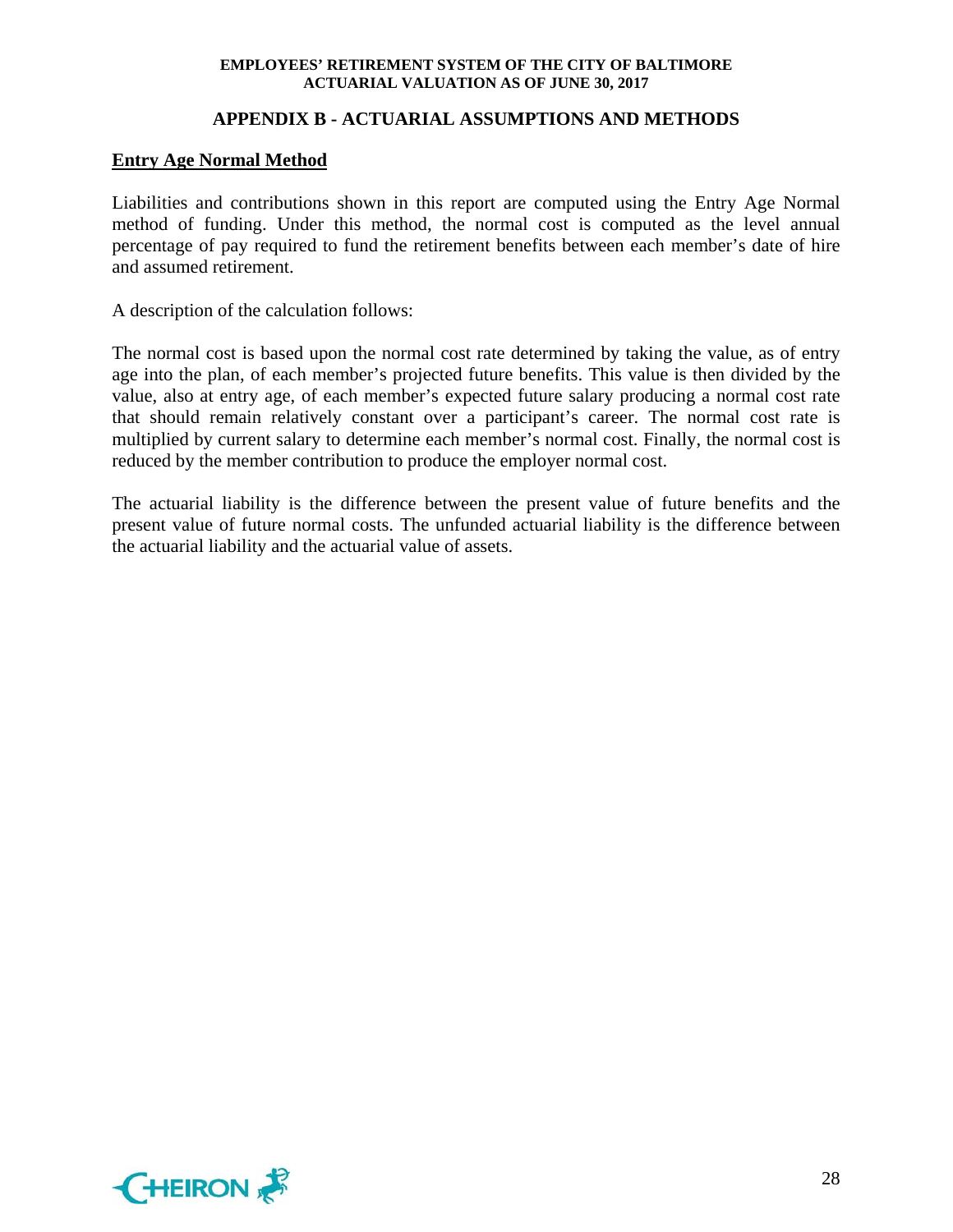## **APPENDIX B - ACTUARIAL ASSUMPTIONS AND METHODS**

#### **Entry Age Normal Method**

Liabilities and contributions shown in this report are computed using the Entry Age Normal method of funding. Under this method, the normal cost is computed as the level annual percentage of pay required to fund the retirement benefits between each member's date of hire and assumed retirement.

A description of the calculation follows:

The normal cost is based upon the normal cost rate determined by taking the value, as of entry age into the plan, of each member's projected future benefits. This value is then divided by the value, also at entry age, of each member's expected future salary producing a normal cost rate that should remain relatively constant over a participant's career. The normal cost rate is multiplied by current salary to determine each member's normal cost. Finally, the normal cost is reduced by the member contribution to produce the employer normal cost.

The actuarial liability is the difference between the present value of future benefits and the present value of future normal costs. The unfunded actuarial liability is the difference between the actuarial liability and the actuarial value of assets.

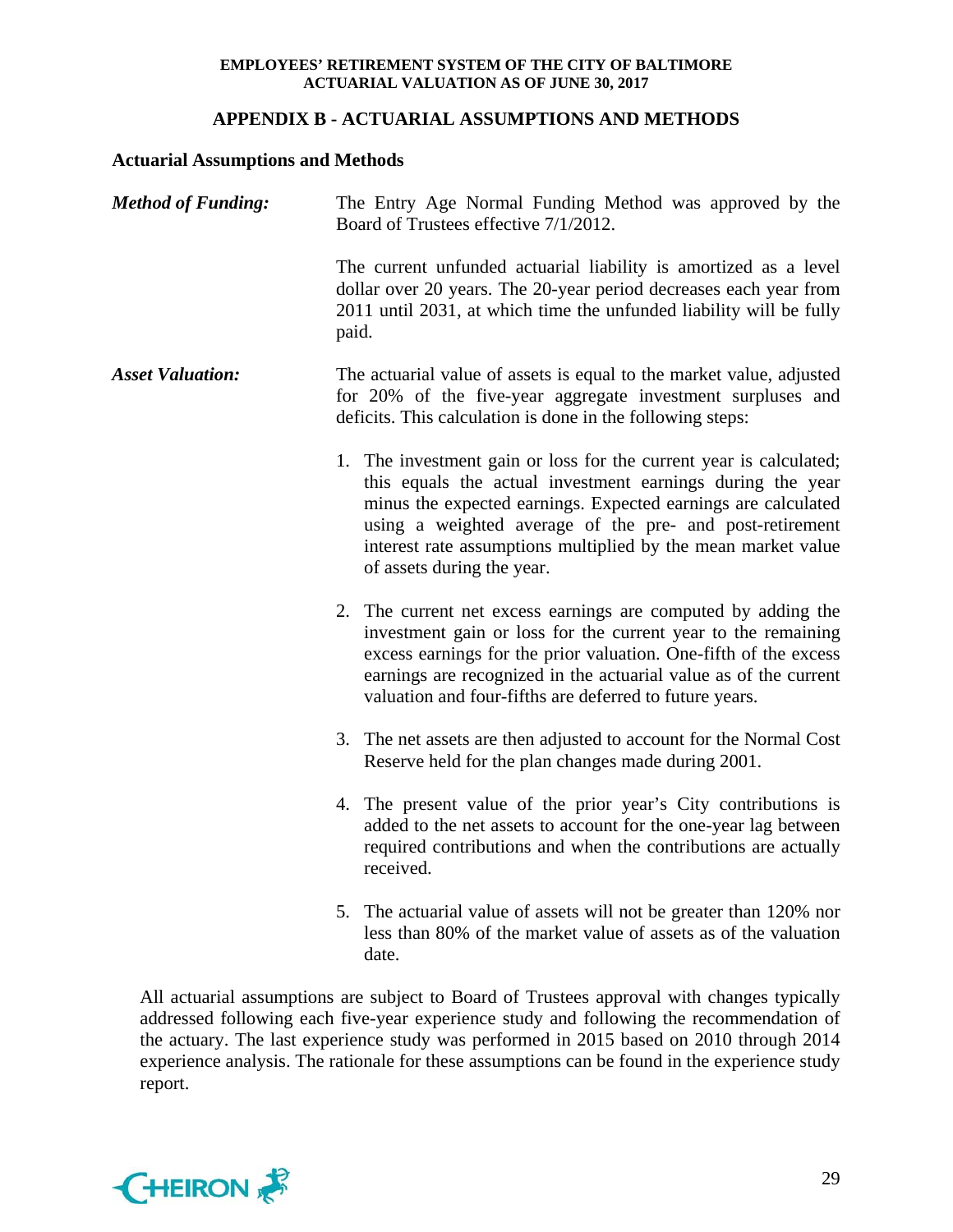## **APPENDIX B - ACTUARIAL ASSUMPTIONS AND METHODS**

## **Actuarial Assumptions and Methods**

| <b>Method of Funding:</b> | The Entry Age Normal Funding Method was approved by the<br>Board of Trustees effective 7/1/2012.                                                                                                                                                                                                                                                             |
|---------------------------|--------------------------------------------------------------------------------------------------------------------------------------------------------------------------------------------------------------------------------------------------------------------------------------------------------------------------------------------------------------|
|                           | The current unfunded actuarial liability is amortized as a level<br>dollar over 20 years. The 20-year period decreases each year from<br>2011 until 2031, at which time the unfunded liability will be fully<br>paid.                                                                                                                                        |
| <b>Asset Valuation:</b>   | The actuarial value of assets is equal to the market value, adjusted<br>for 20% of the five-year aggregate investment surpluses and<br>deficits. This calculation is done in the following steps:                                                                                                                                                            |
|                           | 1. The investment gain or loss for the current year is calculated;<br>this equals the actual investment earnings during the year<br>minus the expected earnings. Expected earnings are calculated<br>using a weighted average of the pre- and post-retirement<br>interest rate assumptions multiplied by the mean market value<br>of assets during the year. |
|                           | 2. The current net excess earnings are computed by adding the<br>investment gain or loss for the current year to the remaining<br>excess earnings for the prior valuation. One-fifth of the excess<br>earnings are recognized in the actuarial value as of the current<br>valuation and four-fifths are deferred to future years.                            |
|                           | 3. The net assets are then adjusted to account for the Normal Cost<br>Reserve held for the plan changes made during 2001.                                                                                                                                                                                                                                    |
|                           | 4. The present value of the prior year's City contributions is<br>added to the net assets to account for the one-year lag between<br>required contributions and when the contributions are actually<br>received.                                                                                                                                             |
|                           | 5. The actuarial value of assets will not be greater than 120% nor<br>less than 80% of the market value of assets as of the valuation<br>date.                                                                                                                                                                                                               |

All actuarial assumptions are subject to Board of Trustees approval with changes typically addressed following each five-year experience study and following the recommendation of the actuary. The last experience study was performed in 2015 based on 2010 through 2014 experience analysis. The rationale for these assumptions can be found in the experience study report.

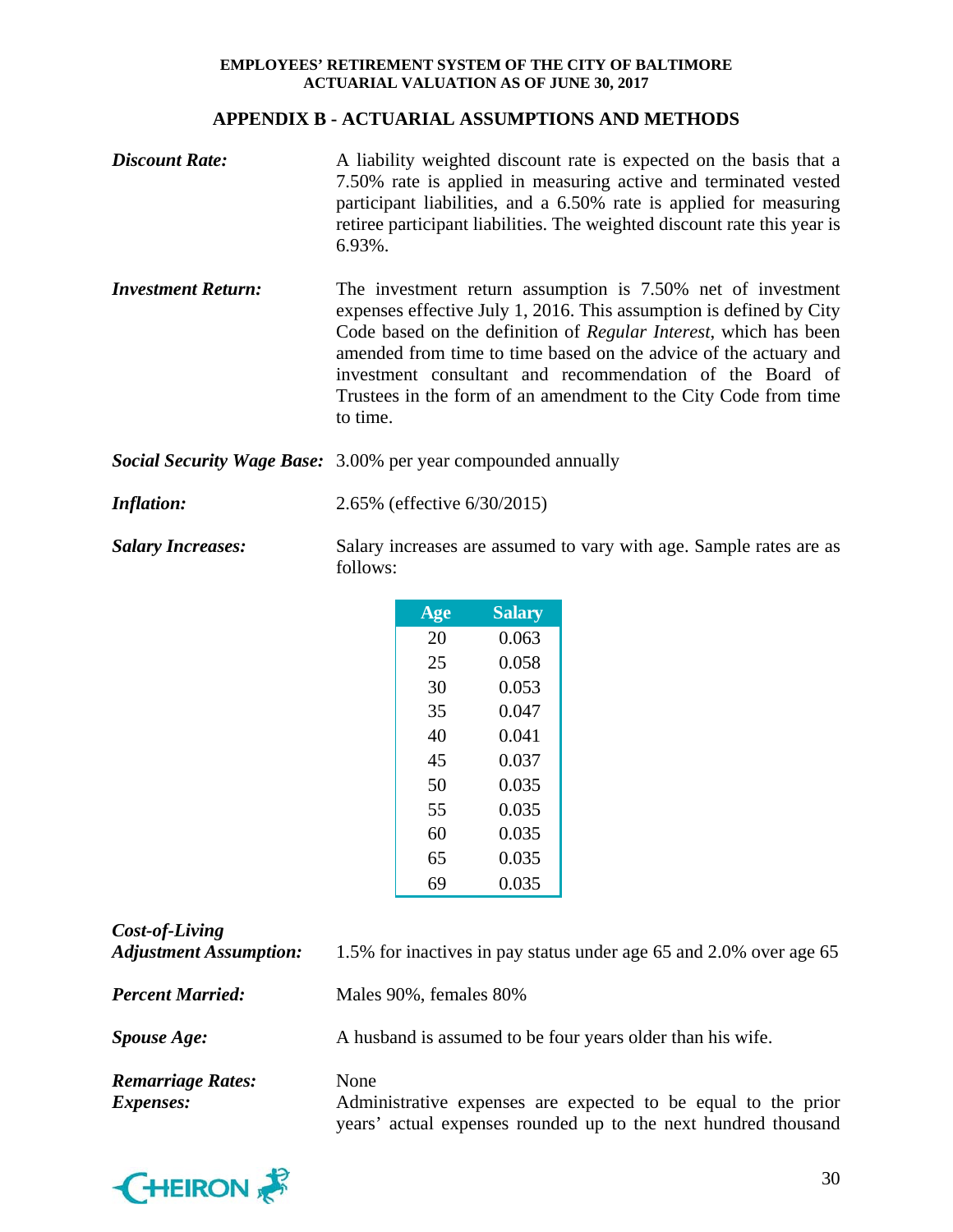## **APPENDIX B - ACTUARIAL ASSUMPTIONS AND METHODS**

| <b>Discount Rate:</b>     | A liability weighted discount rate is expected on the basis that a<br>7.50% rate is applied in measuring active and terminated vested<br>participant liabilities, and a 6.50% rate is applied for measuring<br>retiree participant liabilities. The weighted discount rate this year is<br>$6.93\%$ .                                                                                                                 |
|---------------------------|-----------------------------------------------------------------------------------------------------------------------------------------------------------------------------------------------------------------------------------------------------------------------------------------------------------------------------------------------------------------------------------------------------------------------|
| <b>Investment Return:</b> | The investment return assumption is 7.50% net of investment<br>expenses effective July 1, 2016. This assumption is defined by City<br>Code based on the definition of Regular Interest, which has been<br>amended from time to time based on the advice of the actuary and<br>investment consultant and recommendation of the Board of<br>Trustees in the form of an amendment to the City Code from time<br>to time. |
|                           | <b>Social Security Wage Base:</b> 3.00% per year compounded annually                                                                                                                                                                                                                                                                                                                                                  |
| <b>Inflation:</b>         | 2.65% (effective 6/30/2015)                                                                                                                                                                                                                                                                                                                                                                                           |
| <b>Salary Increases:</b>  | Salary increases are assumed to vary with age. Sample rates are as<br>follows:                                                                                                                                                                                                                                                                                                                                        |

| Age | <b>Salary</b> |
|-----|---------------|
| 20  | 0.063         |
| 25  | 0.058         |
| 30  | 0.053         |
| 35  | 0.047         |
| 40  | 0.041         |
| 45  | 0.037         |
| 50  | 0.035         |
| 55  | 0.035         |
| 60  | 0.035         |
| 65  | 0.035         |
| 69  | 0.035         |

| Cost-of-Living<br><b>Adjustment Assumption:</b> | 1.5% for inactives in pay status under age 65 and 2.0% over age 65                                                                      |
|-------------------------------------------------|-----------------------------------------------------------------------------------------------------------------------------------------|
| <b>Percent Married:</b>                         | Males 90%, females 80%                                                                                                                  |
| <i>Spouse Age:</i>                              | A husband is assumed to be four years older than his wife.                                                                              |
| <b>Remarriage Rates:</b><br><i>Expenses:</i>    | None<br>Administrative expenses are expected to be equal to the prior<br>years' actual expenses rounded up to the next hundred thousand |

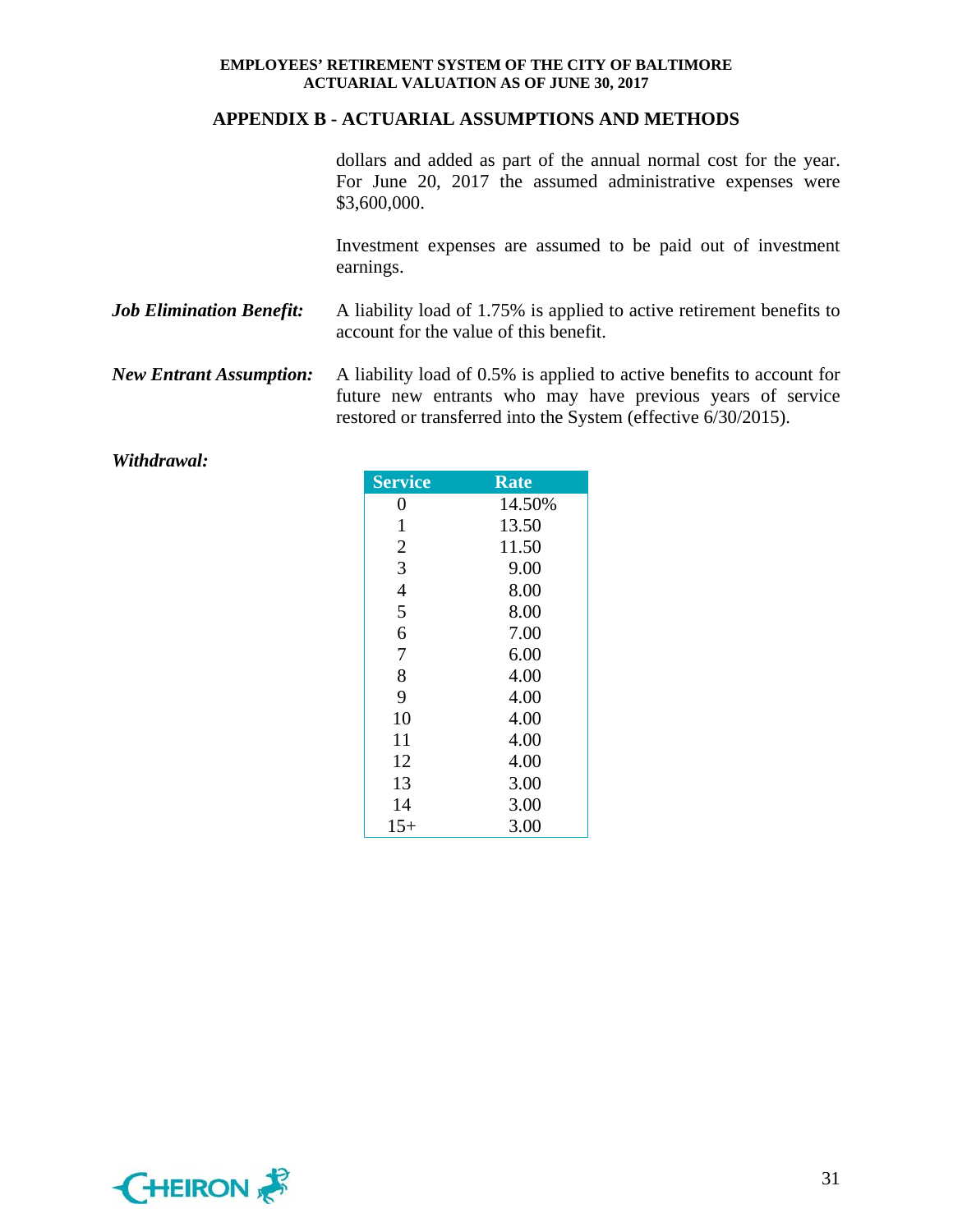#### **APPENDIX B - ACTUARIAL ASSUMPTIONS AND METHODS**

dollars and added as part of the annual normal cost for the year. For June 20, 2017 the assumed administrative expenses were \$3,600,000.

Investment expenses are assumed to be paid out of investment earnings.

- *Job Elimination Benefit:* A liability load of 1.75% is applied to active retirement benefits to account for the value of this benefit.
- *New Entrant Assumption:* A liability load of 0.5% is applied to active benefits to account for future new entrants who may have previous years of service restored or transferred into the System (effective 6/30/2015).

| <b>Service</b> | <b>Rate</b> |
|----------------|-------------|
| 0              | 14.50%      |
| $\mathbf{1}$   | 13.50       |
| $\overline{2}$ | 11.50       |
| 3              | 9.00        |
| $\overline{4}$ | 8.00        |
| 5              | 8.00        |
| 6              | 7.00        |
| 7              | 6.00        |
| 8              | 4.00        |
| 9              | 4.00        |
| 10             | 4.00        |
| 11             | 4.00        |
| 12             | 4.00        |
| 13             | 3.00        |
| 14             | 3.00        |
| $15+$          | 3.00        |

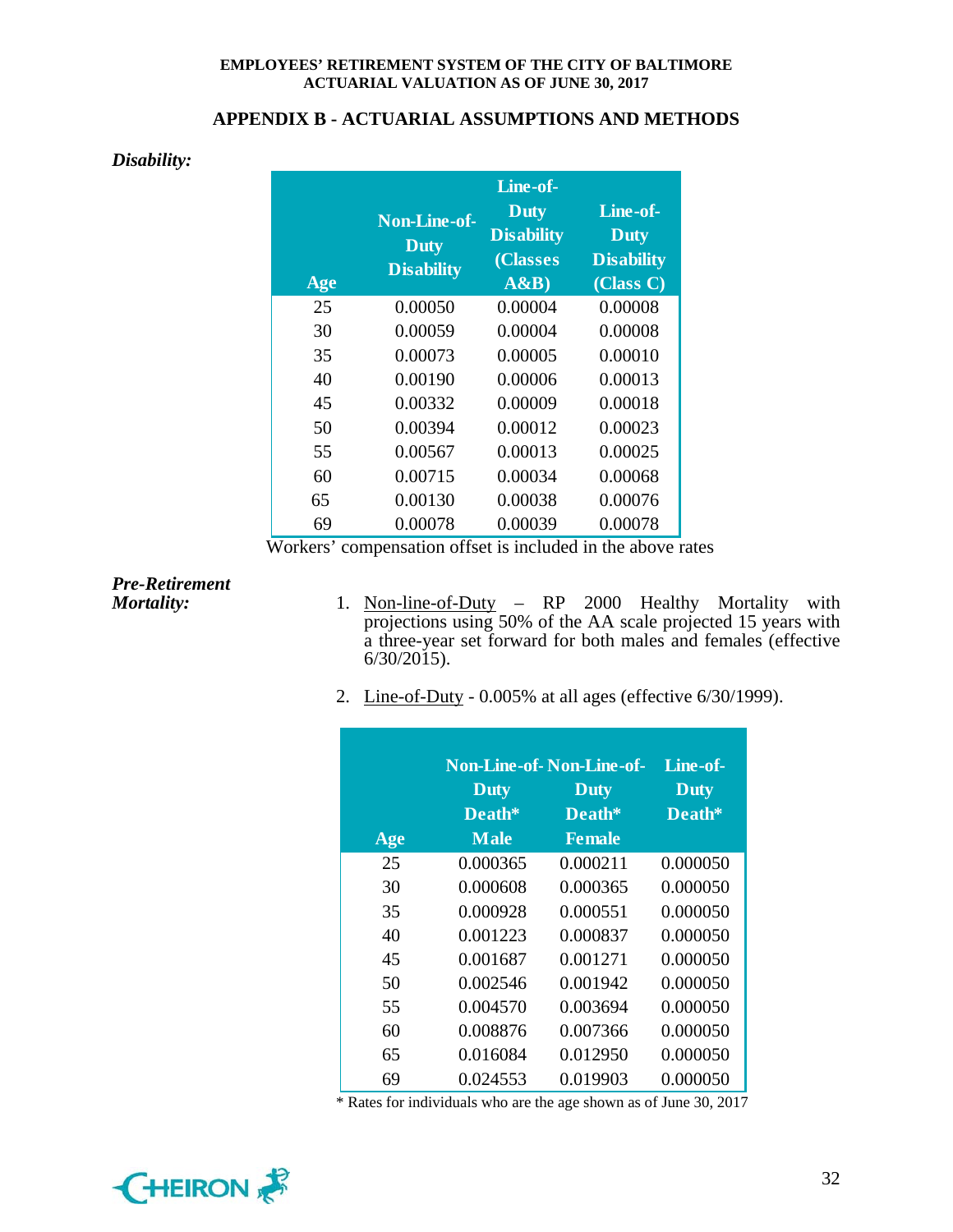#### **APPENDIX B - ACTUARIAL ASSUMPTIONS AND METHODS**

#### *Disability:*

| Age | <b>Non-Line-of-</b><br><b>Duty</b><br><b>Disability</b> | Line-of-<br><b>Duty</b><br><b>Disability</b><br>(Classes<br>A&B | Line-of-<br><b>Duty</b><br><b>Disability</b><br>(Class C) |
|-----|---------------------------------------------------------|-----------------------------------------------------------------|-----------------------------------------------------------|
| 25  | 0.00050                                                 | 0.00004                                                         | 0.00008                                                   |
| 30  | 0.00059                                                 | 0.00004                                                         | 0.00008                                                   |
| 35  | 0.00073                                                 | 0.00005                                                         | 0.00010                                                   |
| 40  | 0.00190                                                 | 0.00006                                                         | 0.00013                                                   |
| 45  | 0.00332                                                 | 0.00009                                                         | 0.00018                                                   |
| 50  | 0.00394                                                 | 0.00012                                                         | 0.00023                                                   |
| 55  | 0.00567                                                 | 0.00013                                                         | 0.00025                                                   |
| 60  | 0.00715                                                 | 0.00034                                                         | 0.00068                                                   |
| 65  | 0.00130                                                 | 0.00038                                                         | 0.00076                                                   |
| 69  | 0.00078                                                 | 0.00039                                                         | 0.00078                                                   |

Workers' compensation offset is included in the above rates

# *Pre-Retirement*

- *Mortality:* 1. Non-line-of-Duty RP 2000 Healthy Mortality with projections using 50% of the AA scale projected 15 years with a three-year set forward for both males and females (effective  $6/30/2015$ ).
	- 2. Line-of-Duty 0.005% at all ages (effective 6/30/1999).

|     | <b>Non-Line-of-Non-Line-of-</b> |               | Line-of-    |
|-----|---------------------------------|---------------|-------------|
|     | <b>Duty</b>                     | <b>Duty</b>   | <b>Duty</b> |
|     | Death*                          | Death*        | Death*      |
| Age | <b>Male</b>                     | <b>Female</b> |             |
| 25  | 0.000365                        | 0.000211      | 0.000050    |
| 30  | 0.000608                        | 0.000365      | 0.000050    |
| 35  | 0.000928                        | 0.000551      | 0.000050    |
| 40  | 0.001223                        | 0.000837      | 0.000050    |
| 45  | 0.001687                        | 0.001271      | 0.000050    |
| 50  | 0.002546                        | 0.001942      | 0.000050    |
| 55  | 0.004570                        | 0.003694      | 0.000050    |
| 60  | 0.008876                        | 0.007366      | 0.000050    |
| 65  | 0.016084                        | 0.012950      | 0.000050    |
| 69  | 0.024553                        | 0.019903      | 0.000050    |

\* Rates for individuals who are the age shown as of June 30, 2017

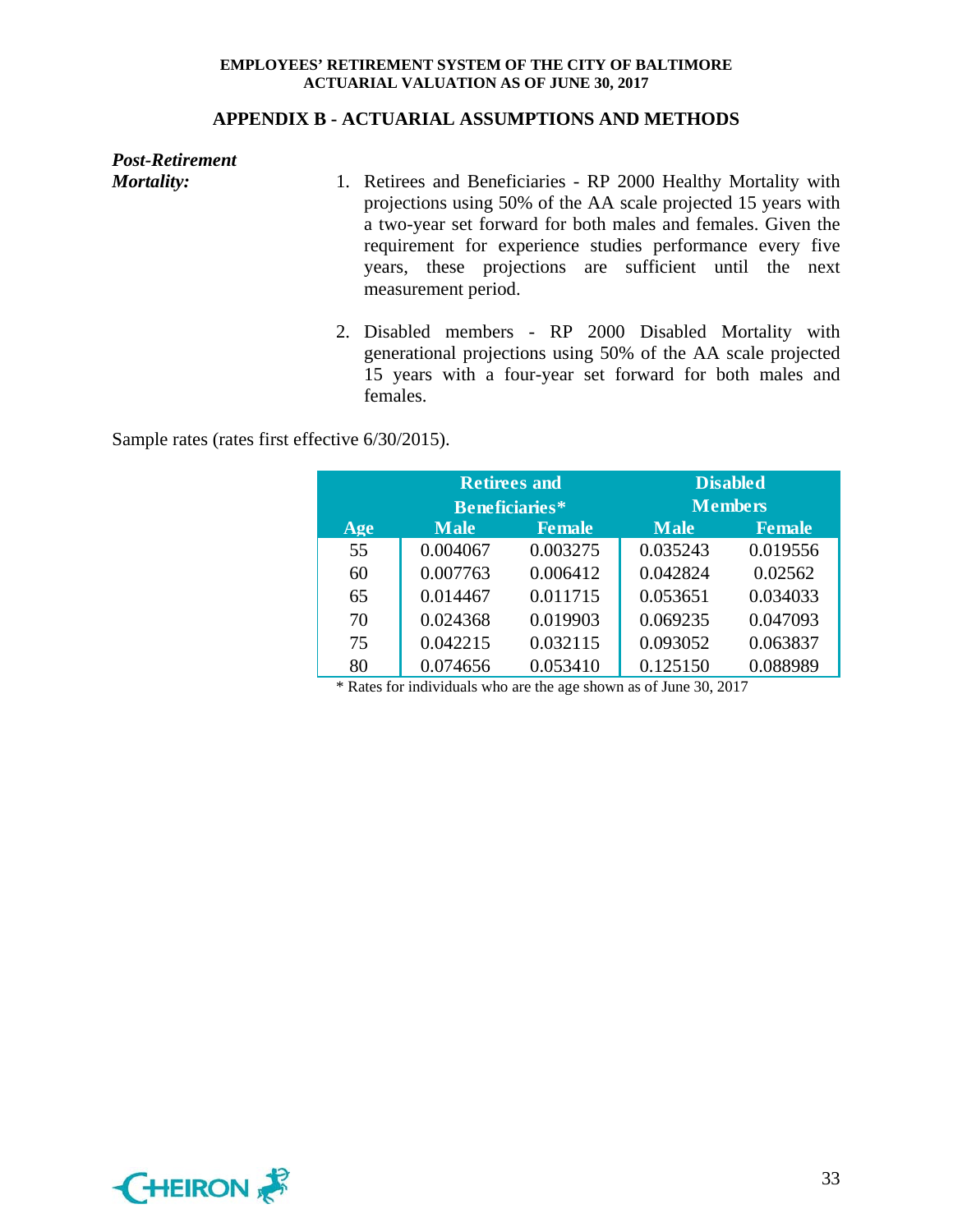#### **APPENDIX B - ACTUARIAL ASSUMPTIONS AND METHODS**

*Post-Retirement* 

- *Mortality:* 1. Retirees and Beneficiaries RP 2000 Healthy Mortality with projections using 50% of the AA scale projected 15 years with a two-year set forward for both males and females. Given the requirement for experience studies performance every five years, these projections are sufficient until the next measurement period.
	- 2. Disabled members RP 2000 Disabled Mortality with generational projections using 50% of the AA scale projected 15 years with a four-year set forward for both males and females.

Sample rates (rates first effective 6/30/2015).

|     | <b>Retirees and</b>   |               |             | <b>Disabled</b> |
|-----|-----------------------|---------------|-------------|-----------------|
|     | <b>Beneficiaries*</b> |               |             | <b>Members</b>  |
| Age | <b>Male</b>           | <b>Female</b> | <b>Male</b> | <b>Female</b>   |
| 55  | 0.004067              | 0.003275      | 0.035243    | 0.019556        |
| 60  | 0.007763              | 0.006412      | 0.042824    | 0.02562         |
| 65  | 0.014467              | 0.011715      | 0.053651    | 0.034033        |
| 70  | 0.024368              | 0.019903      | 0.069235    | 0.047093        |
| 75  | 0.042215              | 0.032115      | 0.093052    | 0.063837        |
| 80  | 0.074656              | 0.053410      | 0.125150    | 0.088989        |

\* Rates for individuals who are the age shown as of June 30, 2017

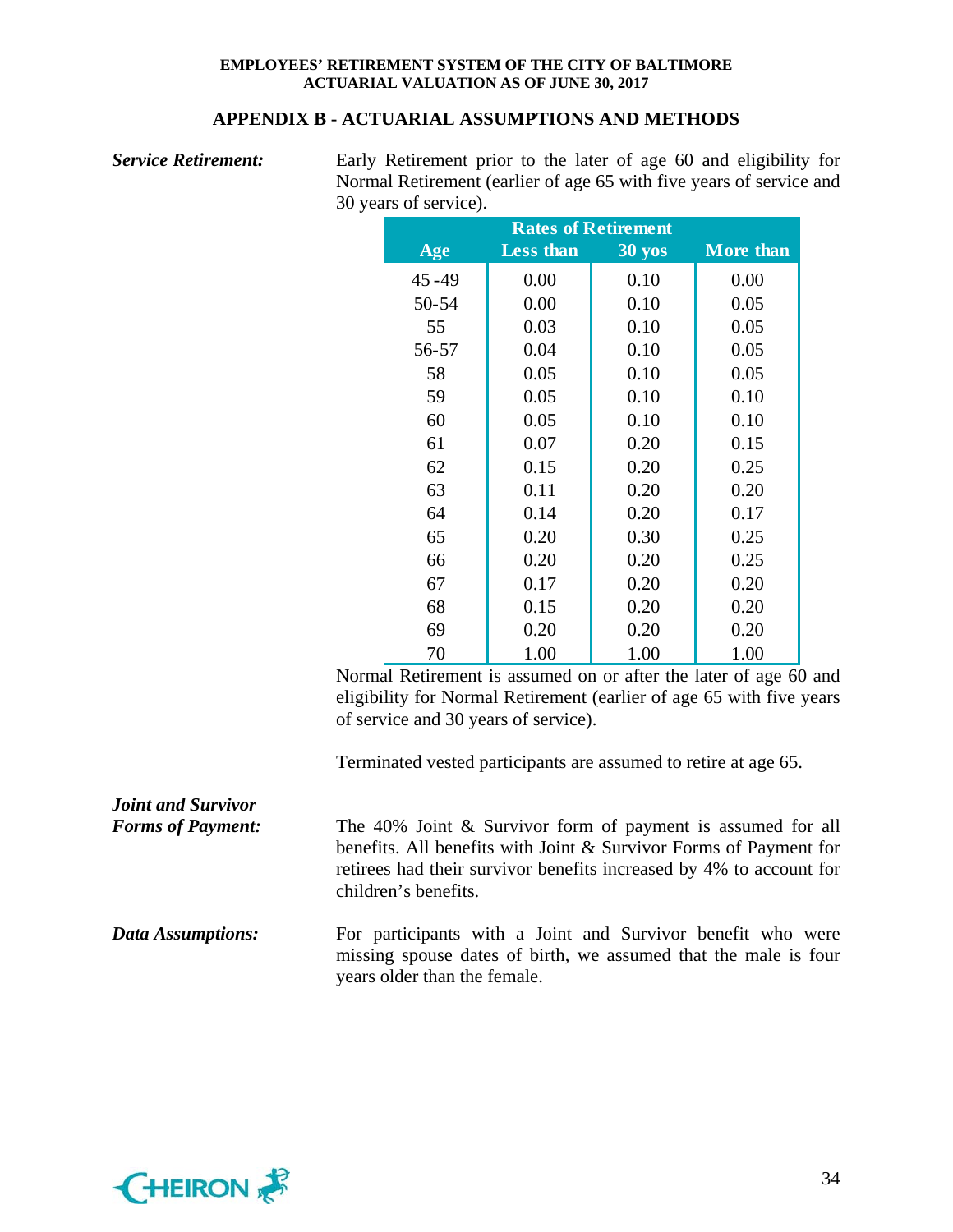#### **APPENDIX B - ACTUARIAL ASSUMPTIONS AND METHODS**

| <b>Service Retirement:</b> | Early Retirement prior to the later of age 60 and eligibility for<br>Normal Retirement (earlier of age 65 with five years of service and |           |                            |                                                                  |  |
|----------------------------|------------------------------------------------------------------------------------------------------------------------------------------|-----------|----------------------------|------------------------------------------------------------------|--|
|                            | 30 years of service).                                                                                                                    |           | <b>Rates of Retirement</b> |                                                                  |  |
|                            | Age                                                                                                                                      | Less than | <b>30 yos</b>              | More than                                                        |  |
|                            | $45 - 49$                                                                                                                                | 0.00      | 0.10                       | 0.00                                                             |  |
|                            | $50 - 54$                                                                                                                                | 0.00      | 0.10                       | 0.05                                                             |  |
|                            | 55                                                                                                                                       | 0.03      | 0.10                       | 0.05                                                             |  |
|                            | 56-57                                                                                                                                    | 0.04      | 0.10                       | 0.05                                                             |  |
|                            | 58                                                                                                                                       | 0.05      | 0.10                       | 0.05                                                             |  |
|                            | 59                                                                                                                                       | 0.05      | 0.10                       | 0.10                                                             |  |
|                            | 60                                                                                                                                       | 0.05      | 0.10                       | 0.10                                                             |  |
|                            | 61                                                                                                                                       | 0.07      | 0.20                       | 0.15                                                             |  |
|                            | 62                                                                                                                                       | 0.15      | 0.20                       | 0.25                                                             |  |
|                            | 63                                                                                                                                       | 0.11      | 0.20                       | 0.20                                                             |  |
|                            | 64                                                                                                                                       | 0.14      | 0.20                       | 0.17                                                             |  |
|                            | 65                                                                                                                                       | 0.20      | 0.30                       | 0.25                                                             |  |
|                            | 66                                                                                                                                       | 0.20      | 0.20                       | 0.25                                                             |  |
|                            | 67                                                                                                                                       | 0.17      | 0.20                       | 0.20                                                             |  |
|                            | 68                                                                                                                                       | 0.15      | 0.20                       | 0.20                                                             |  |
|                            | 69                                                                                                                                       | 0.20      | 0.20                       | 0.20                                                             |  |
|                            | 70                                                                                                                                       | 1.00      | 1.00                       | 1.00                                                             |  |
|                            |                                                                                                                                          |           |                            | Normal Retirement is assumed on or after the later of age 60 and |  |

Normal Retirement is assumed on or after the later of age 60 and eligibility for Normal Retirement (earlier of age 65 with five years of service and 30 years of service).

Terminated vested participants are assumed to retire at age 65.

| <b>Joint and Survivor</b><br><b>Forms of Payment:</b> | The 40% Joint & Survivor form of payment is assumed for all<br>benefits. All benefits with Joint $\&$ Survivor Forms of Payment for<br>retirees had their survivor benefits increased by 4% to account for<br>children's benefits. |
|-------------------------------------------------------|------------------------------------------------------------------------------------------------------------------------------------------------------------------------------------------------------------------------------------|
| Data Assumptions:                                     | For participants with a Joint and Survivor benefit who were<br>missing spouse dates of birth, we assumed that the male is four<br>years older than the female.                                                                     |

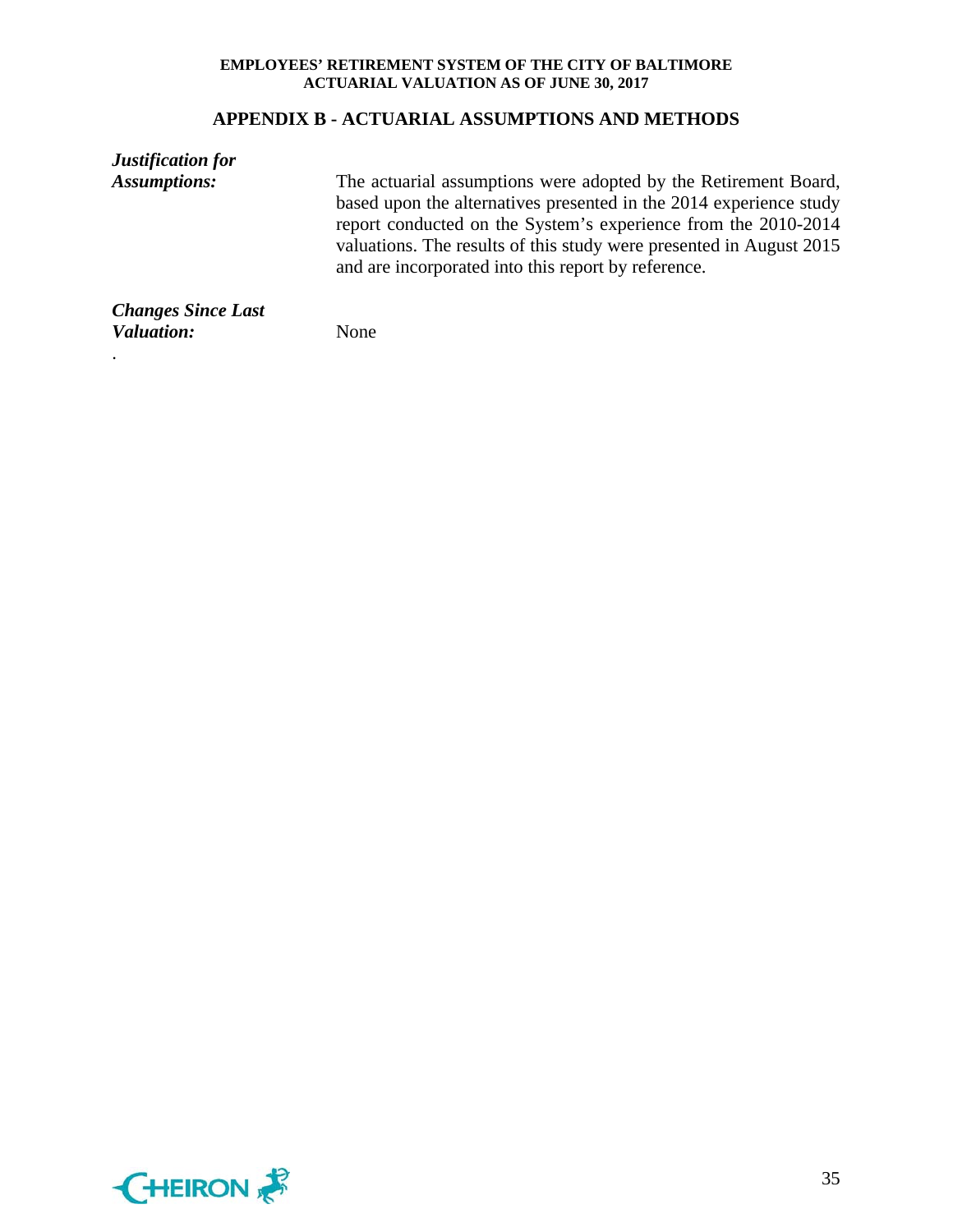#### **APPENDIX B - ACTUARIAL ASSUMPTIONS AND METHODS**

*Justification for Assumptions:* The actuarial assumptions were adopted by the Retirement Board, based upon the alternatives presented in the 2014 experience study report conducted on the System's experience from the 2010-2014 valuations. The results of this study were presented in August 2015 and are incorporated into this report by reference. *Changes Since Last*

*Valuation:* None

.

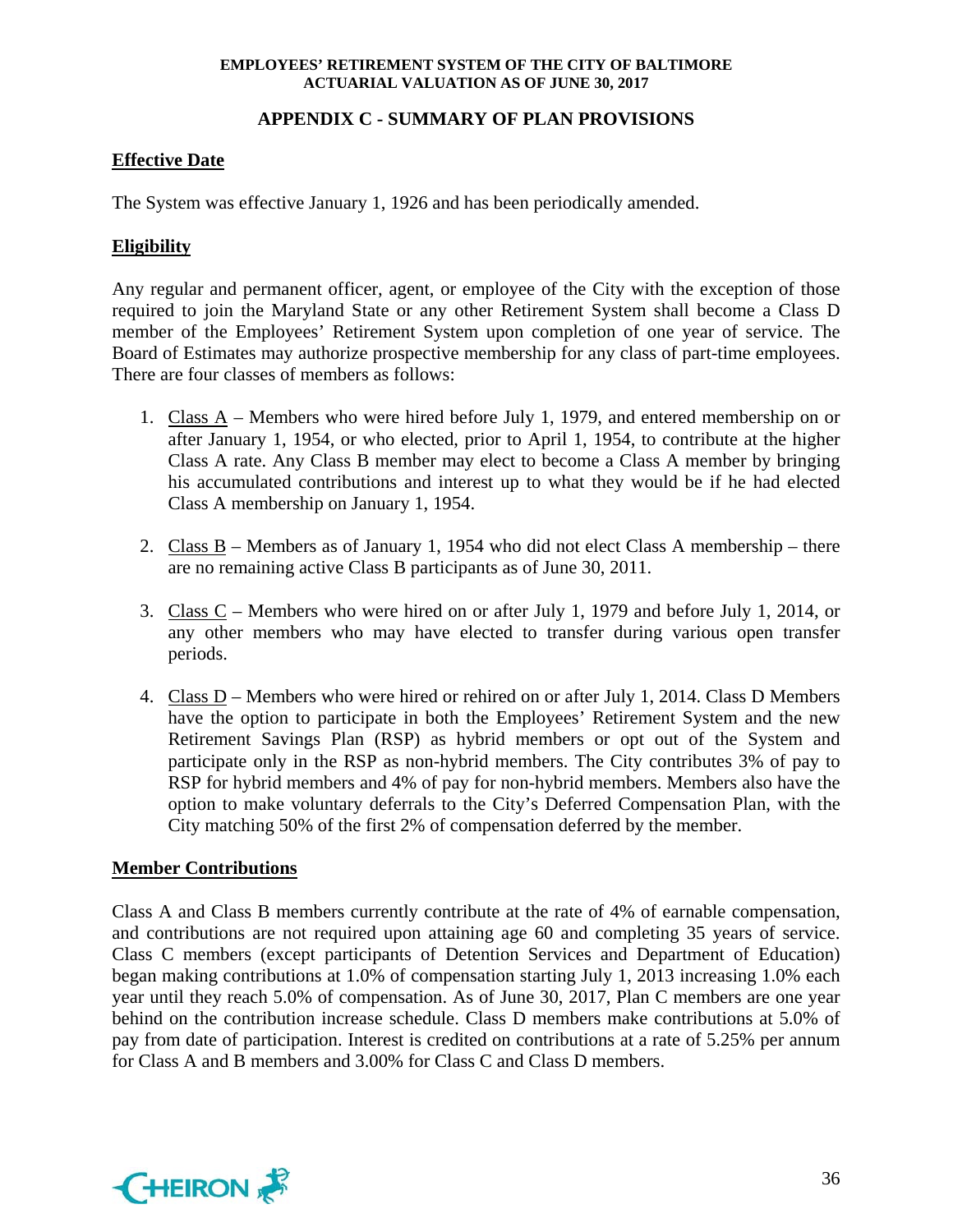## **APPENDIX C - SUMMARY OF PLAN PROVISIONS**

## **Effective Date**

The System was effective January 1, 1926 and has been periodically amended.

## **Eligibility**

Any regular and permanent officer, agent, or employee of the City with the exception of those required to join the Maryland State or any other Retirement System shall become a Class D member of the Employees' Retirement System upon completion of one year of service. The Board of Estimates may authorize prospective membership for any class of part-time employees. There are four classes of members as follows:

- 1. Class A Members who were hired before July 1, 1979, and entered membership on or after January 1, 1954, or who elected, prior to April 1, 1954, to contribute at the higher Class A rate. Any Class B member may elect to become a Class A member by bringing his accumulated contributions and interest up to what they would be if he had elected Class A membership on January 1, 1954.
- 2. Class  $B$  Members as of January 1, 1954 who did not elect Class A membership there are no remaining active Class B participants as of June 30, 2011.
- 3. Class C Members who were hired on or after July 1, 1979 and before July 1, 2014, or any other members who may have elected to transfer during various open transfer periods.
- 4. Class D Members who were hired or rehired on or after July 1, 2014. Class D Members have the option to participate in both the Employees' Retirement System and the new Retirement Savings Plan (RSP) as hybrid members or opt out of the System and participate only in the RSP as non-hybrid members. The City contributes 3% of pay to RSP for hybrid members and 4% of pay for non-hybrid members. Members also have the option to make voluntary deferrals to the City's Deferred Compensation Plan, with the City matching 50% of the first 2% of compensation deferred by the member.

## **Member Contributions**

Class A and Class B members currently contribute at the rate of 4% of earnable compensation, and contributions are not required upon attaining age 60 and completing 35 years of service. Class C members (except participants of Detention Services and Department of Education) began making contributions at 1.0% of compensation starting July 1, 2013 increasing 1.0% each year until they reach 5.0% of compensation. As of June 30, 2017, Plan C members are one year behind on the contribution increase schedule. Class D members make contributions at 5.0% of pay from date of participation. Interest is credited on contributions at a rate of 5.25% per annum for Class A and B members and 3.00% for Class C and Class D members.

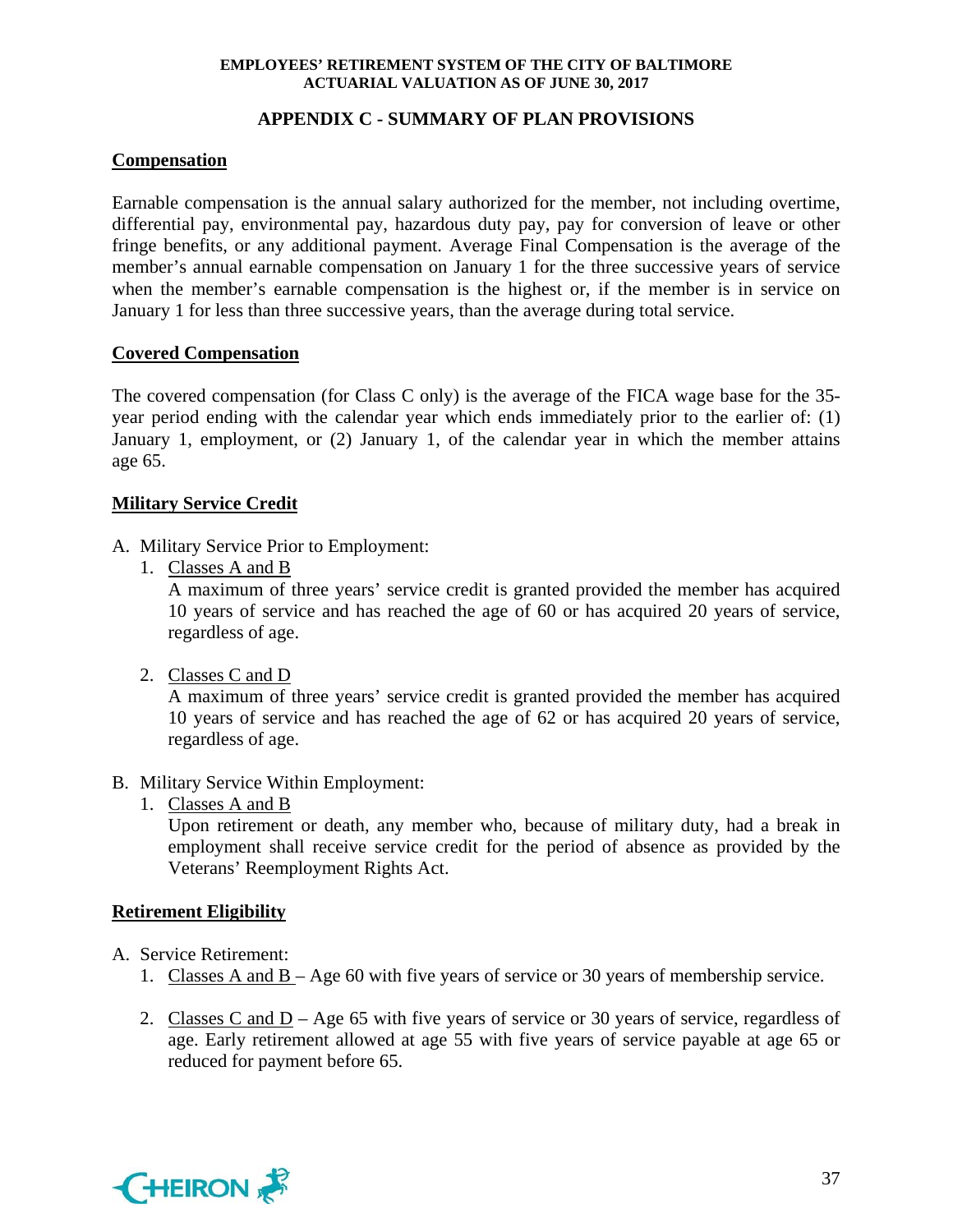## **APPENDIX C - SUMMARY OF PLAN PROVISIONS**

## **Compensation**

Earnable compensation is the annual salary authorized for the member, not including overtime, differential pay, environmental pay, hazardous duty pay, pay for conversion of leave or other fringe benefits, or any additional payment. Average Final Compensation is the average of the member's annual earnable compensation on January 1 for the three successive years of service when the member's earnable compensation is the highest or, if the member is in service on January 1 for less than three successive years, than the average during total service.

## **Covered Compensation**

The covered compensation (for Class C only) is the average of the FICA wage base for the 35 year period ending with the calendar year which ends immediately prior to the earlier of: (1) January 1, employment, or (2) January 1, of the calendar year in which the member attains age 65.

## **Military Service Credit**

- A. Military Service Prior to Employment:
	- 1. Classes A and B

A maximum of three years' service credit is granted provided the member has acquired 10 years of service and has reached the age of 60 or has acquired 20 years of service, regardless of age.

2. Classes C and D

A maximum of three years' service credit is granted provided the member has acquired 10 years of service and has reached the age of 62 or has acquired 20 years of service, regardless of age.

## B. Military Service Within Employment:

1. Classes A and B

Upon retirement or death, any member who, because of military duty, had a break in employment shall receive service credit for the period of absence as provided by the Veterans' Reemployment Rights Act.

## **Retirement Eligibility**

- A. Service Retirement:
	- 1. Classes A and B Age 60 with five years of service or 30 years of membership service.
	- 2. Classes C and D Age 65 with five years of service or 30 years of service, regardless of age. Early retirement allowed at age 55 with five years of service payable at age 65 or reduced for payment before 65.

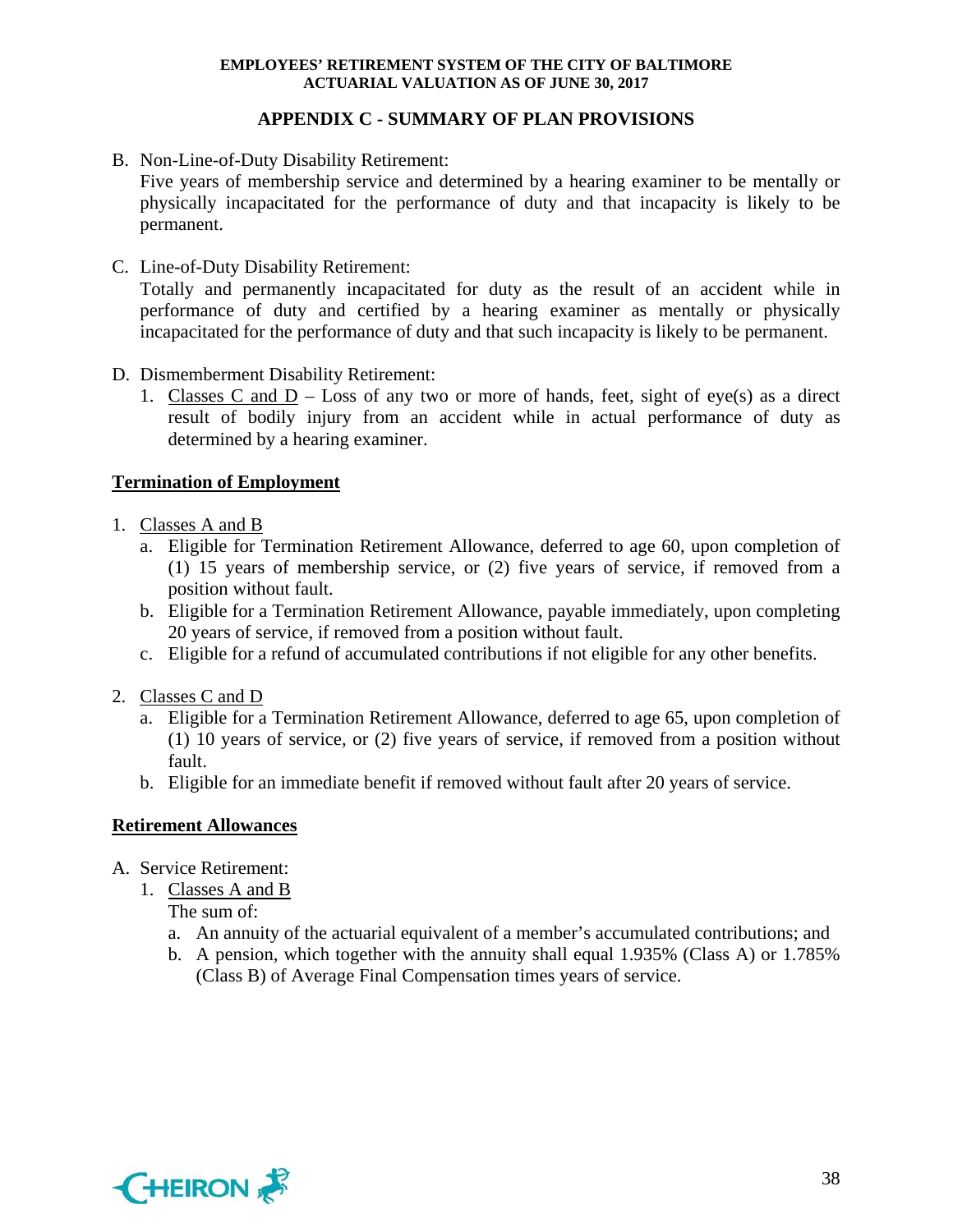## **APPENDIX C - SUMMARY OF PLAN PROVISIONS**

B. Non-Line-of-Duty Disability Retirement:

Five years of membership service and determined by a hearing examiner to be mentally or physically incapacitated for the performance of duty and that incapacity is likely to be permanent.

C. Line-of-Duty Disability Retirement:

Totally and permanently incapacitated for duty as the result of an accident while in performance of duty and certified by a hearing examiner as mentally or physically incapacitated for the performance of duty and that such incapacity is likely to be permanent.

- D. Dismemberment Disability Retirement:
	- 1. Classes C and  $D Loss$  of any two or more of hands, feet, sight of eye(s) as a direct result of bodily injury from an accident while in actual performance of duty as determined by a hearing examiner.

## **Termination of Employment**

- 1. Classes A and B
	- a. Eligible for Termination Retirement Allowance, deferred to age 60, upon completion of (1) 15 years of membership service, or (2) five years of service, if removed from a position without fault.
	- b. Eligible for a Termination Retirement Allowance, payable immediately, upon completing 20 years of service, if removed from a position without fault.
	- c. Eligible for a refund of accumulated contributions if not eligible for any other benefits.
- 2. Classes C and D
	- a. Eligible for a Termination Retirement Allowance, deferred to age 65, upon completion of (1) 10 years of service, or (2) five years of service, if removed from a position without fault.
	- b. Eligible for an immediate benefit if removed without fault after 20 years of service.

## **Retirement Allowances**

- A. Service Retirement:
	- 1. Classes A and B

The sum of:

- a. An annuity of the actuarial equivalent of a member's accumulated contributions; and
- b. A pension, which together with the annuity shall equal 1.935% (Class A) or 1.785% (Class B) of Average Final Compensation times years of service.

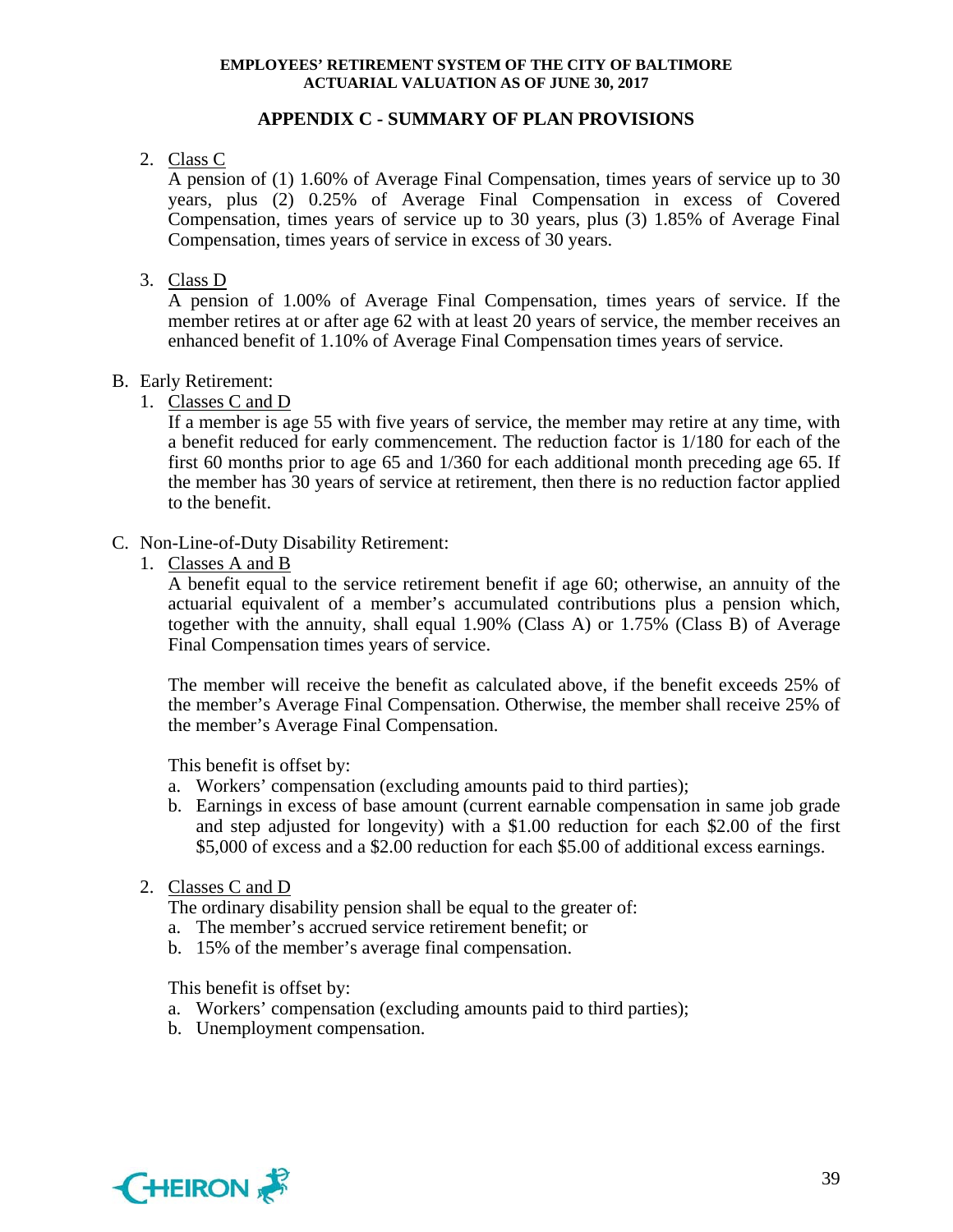## **APPENDIX C - SUMMARY OF PLAN PROVISIONS**

## 2. Class C

A pension of (1) 1.60% of Average Final Compensation, times years of service up to 30 years, plus (2) 0.25% of Average Final Compensation in excess of Covered Compensation, times years of service up to 30 years, plus (3) 1.85% of Average Final Compensation, times years of service in excess of 30 years.

## 3. Class D

A pension of 1.00% of Average Final Compensation, times years of service. If the member retires at or after age 62 with at least 20 years of service, the member receives an enhanced benefit of 1.10% of Average Final Compensation times years of service.

## B. Early Retirement:

1. Classes C and D

If a member is age 55 with five years of service, the member may retire at any time, with a benefit reduced for early commencement. The reduction factor is 1/180 for each of the first 60 months prior to age 65 and 1/360 for each additional month preceding age 65. If the member has 30 years of service at retirement, then there is no reduction factor applied to the benefit.

## C. Non-Line-of-Duty Disability Retirement:

1. Classes A and B

A benefit equal to the service retirement benefit if age 60; otherwise, an annuity of the actuarial equivalent of a member's accumulated contributions plus a pension which, together with the annuity, shall equal 1.90% (Class A) or 1.75% (Class B) of Average Final Compensation times years of service.

The member will receive the benefit as calculated above, if the benefit exceeds 25% of the member's Average Final Compensation. Otherwise, the member shall receive 25% of the member's Average Final Compensation.

This benefit is offset by:

- a. Workers' compensation (excluding amounts paid to third parties);
- b. Earnings in excess of base amount (current earnable compensation in same job grade and step adjusted for longevity) with a \$1.00 reduction for each \$2.00 of the first \$5,000 of excess and a \$2.00 reduction for each \$5.00 of additional excess earnings.

## 2. Classes C and D

The ordinary disability pension shall be equal to the greater of:

- a. The member's accrued service retirement benefit; or
- b. 15% of the member's average final compensation.

This benefit is offset by:

- a. Workers' compensation (excluding amounts paid to third parties);
- b. Unemployment compensation.

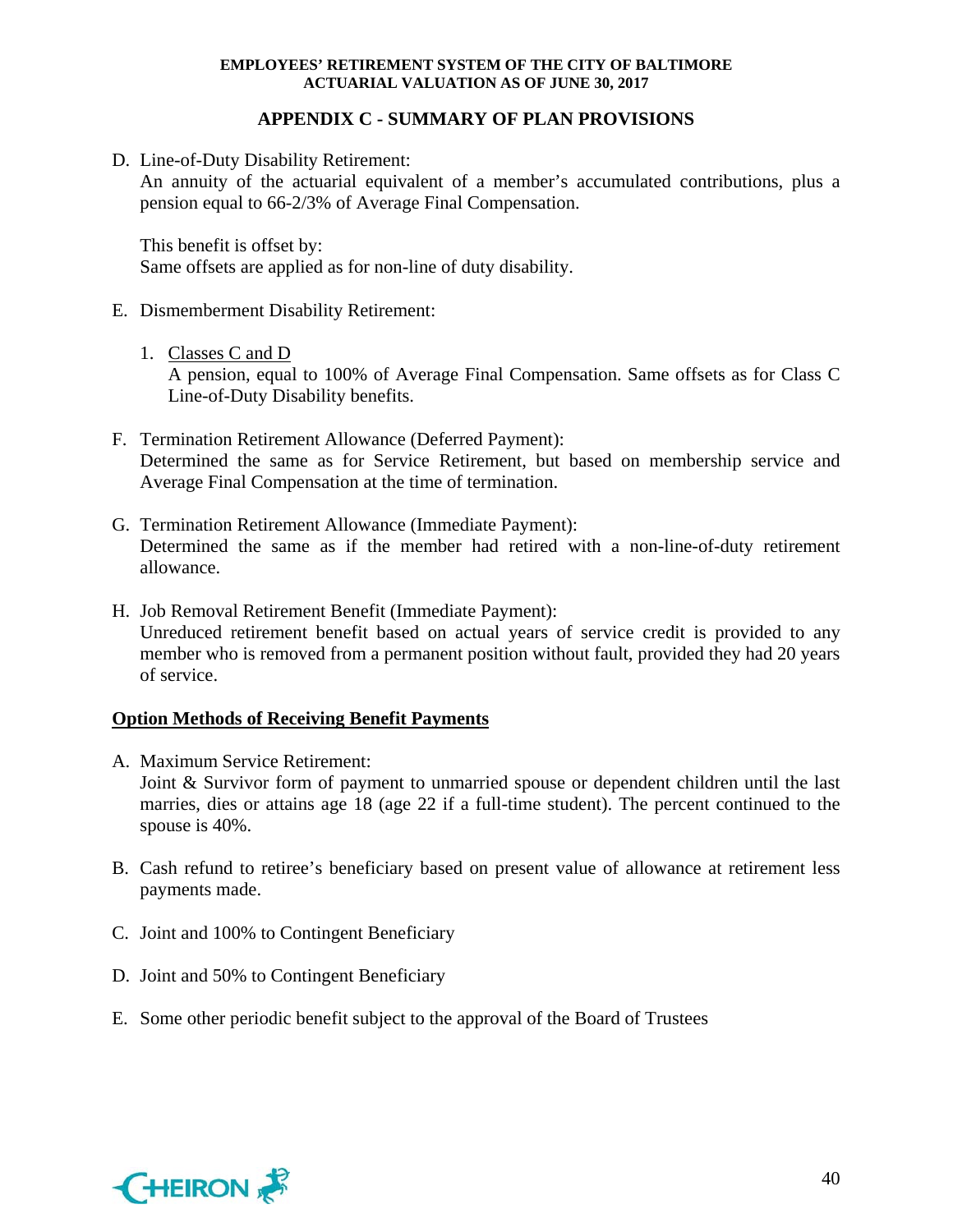## **APPENDIX C - SUMMARY OF PLAN PROVISIONS**

D. Line-of-Duty Disability Retirement:

An annuity of the actuarial equivalent of a member's accumulated contributions, plus a pension equal to 66-2/3% of Average Final Compensation.

This benefit is offset by: Same offsets are applied as for non-line of duty disability.

## E. Dismemberment Disability Retirement:

1. Classes C and D

A pension, equal to 100% of Average Final Compensation. Same offsets as for Class C Line-of-Duty Disability benefits.

- F. Termination Retirement Allowance (Deferred Payment): Determined the same as for Service Retirement, but based on membership service and Average Final Compensation at the time of termination.
- G. Termination Retirement Allowance (Immediate Payment): Determined the same as if the member had retired with a non-line-of-duty retirement allowance.
- H. Job Removal Retirement Benefit (Immediate Payment): Unreduced retirement benefit based on actual years of service credit is provided to any member who is removed from a permanent position without fault, provided they had 20 years of service.

## **Option Methods of Receiving Benefit Payments**

- A. Maximum Service Retirement: Joint & Survivor form of payment to unmarried spouse or dependent children until the last marries, dies or attains age 18 (age 22 if a full-time student). The percent continued to the spouse is 40%.
- B. Cash refund to retiree's beneficiary based on present value of allowance at retirement less payments made.
- C. Joint and 100% to Contingent Beneficiary
- D. Joint and 50% to Contingent Beneficiary
- E. Some other periodic benefit subject to the approval of the Board of Trustees

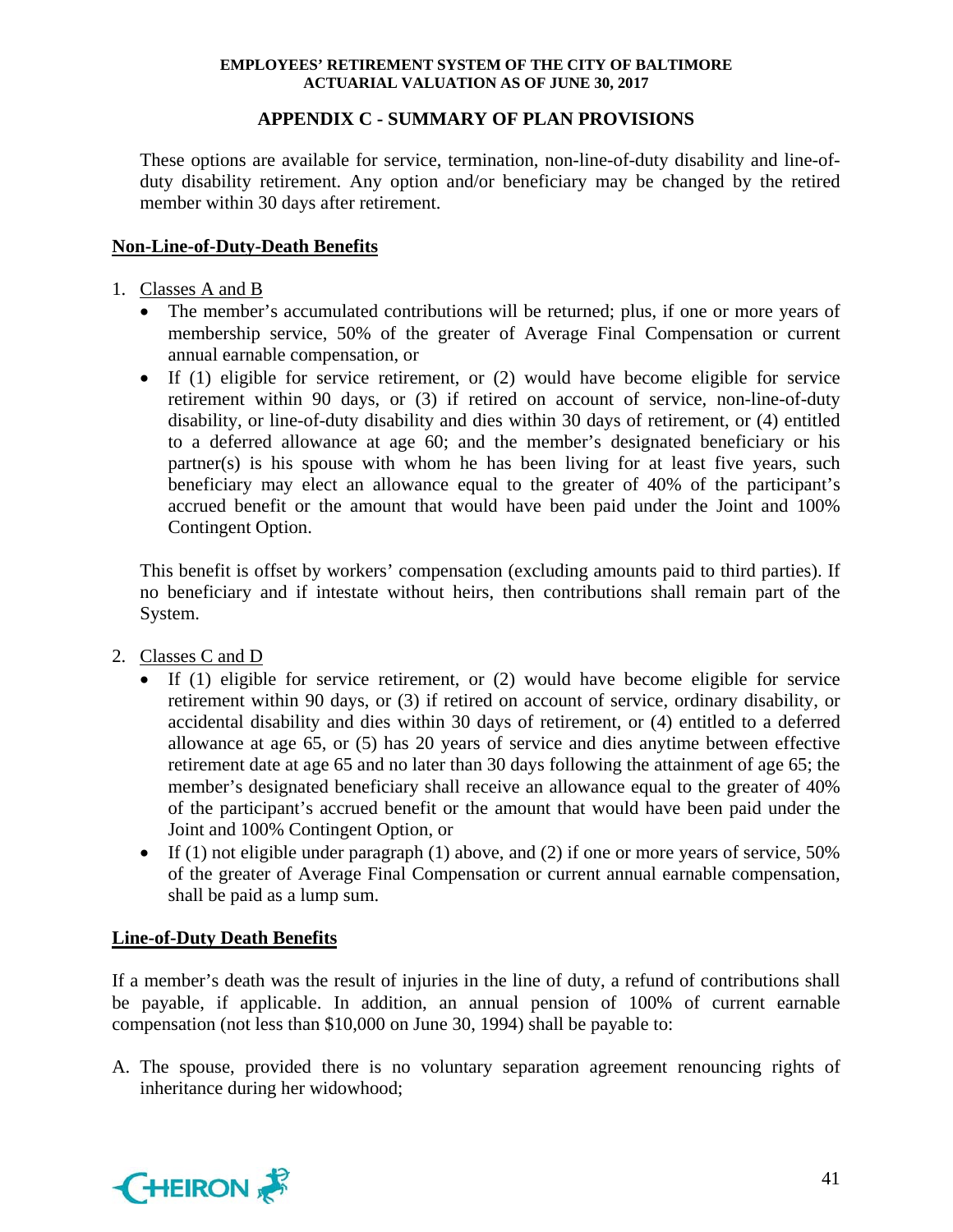## **APPENDIX C - SUMMARY OF PLAN PROVISIONS**

These options are available for service, termination, non-line-of-duty disability and line-ofduty disability retirement. Any option and/or beneficiary may be changed by the retired member within 30 days after retirement.

## **Non-Line-of-Duty-Death Benefits**

- 1. Classes A and B
	- The member's accumulated contributions will be returned; plus, if one or more years of membership service, 50% of the greater of Average Final Compensation or current annual earnable compensation, or
	- If (1) eligible for service retirement, or (2) would have become eligible for service retirement within 90 days, or (3) if retired on account of service, non-line-of-duty disability, or line-of-duty disability and dies within 30 days of retirement, or (4) entitled to a deferred allowance at age 60; and the member's designated beneficiary or his partner(s) is his spouse with whom he has been living for at least five years, such beneficiary may elect an allowance equal to the greater of 40% of the participant's accrued benefit or the amount that would have been paid under the Joint and 100% Contingent Option.

 This benefit is offset by workers' compensation (excluding amounts paid to third parties). If no beneficiary and if intestate without heirs, then contributions shall remain part of the System.

- 2. Classes C and D
	- If (1) eligible for service retirement, or (2) would have become eligible for service retirement within 90 days, or (3) if retired on account of service, ordinary disability, or accidental disability and dies within 30 days of retirement, or (4) entitled to a deferred allowance at age 65, or (5) has 20 years of service and dies anytime between effective retirement date at age 65 and no later than 30 days following the attainment of age 65; the member's designated beneficiary shall receive an allowance equal to the greater of 40% of the participant's accrued benefit or the amount that would have been paid under the Joint and 100% Contingent Option, or
	- If (1) not eligible under paragraph (1) above, and (2) if one or more years of service,  $50\%$ of the greater of Average Final Compensation or current annual earnable compensation, shall be paid as a lump sum.

## **Line-of-Duty Death Benefits**

If a member's death was the result of injuries in the line of duty, a refund of contributions shall be payable, if applicable. In addition, an annual pension of 100% of current earnable compensation (not less than \$10,000 on June 30, 1994) shall be payable to:

A. The spouse, provided there is no voluntary separation agreement renouncing rights of inheritance during her widowhood;